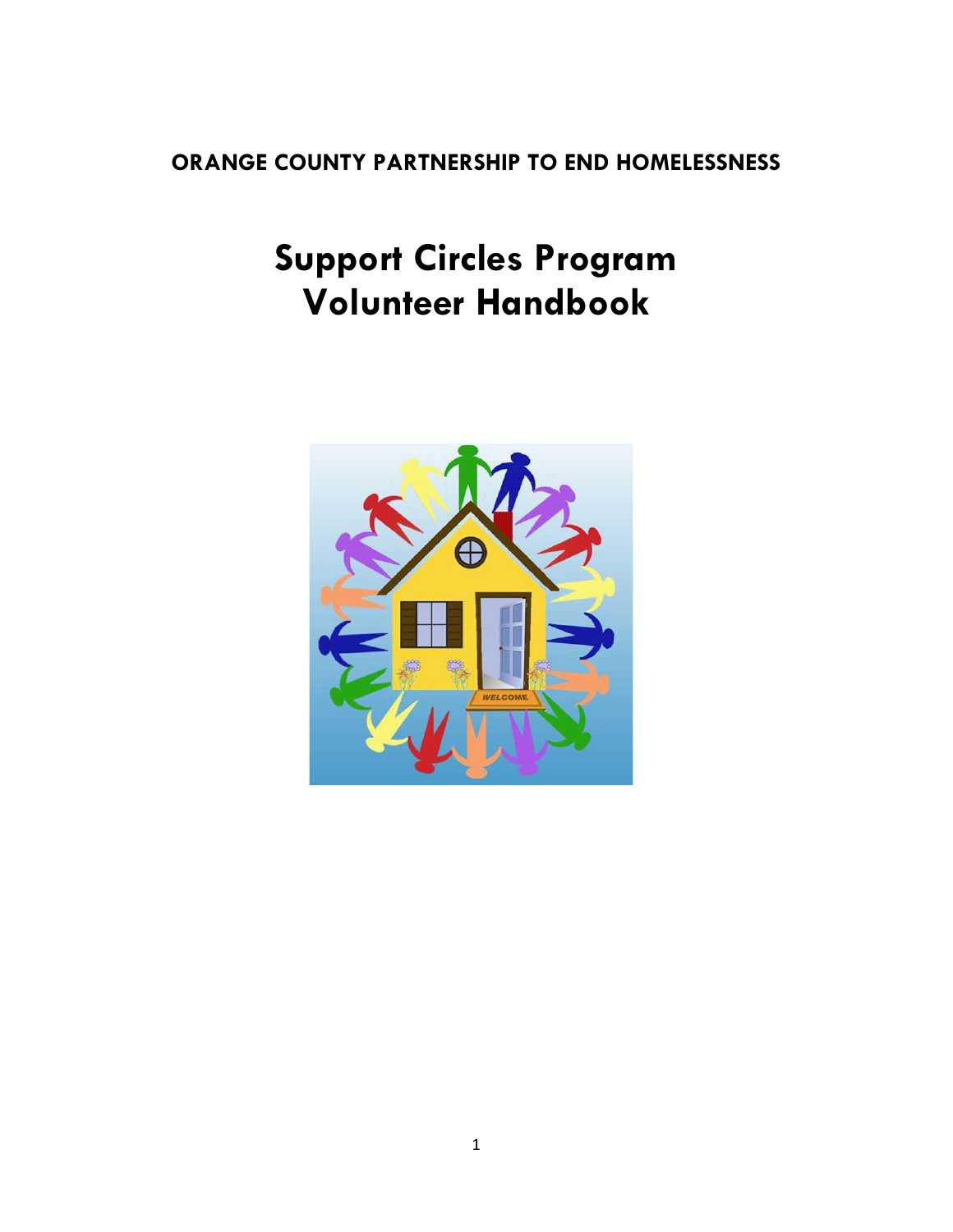## **ORANGE COUNTY PARTNERSHIP TO END HOMELESSNESS**

# **Support Circles Program Volunteer Handbook**

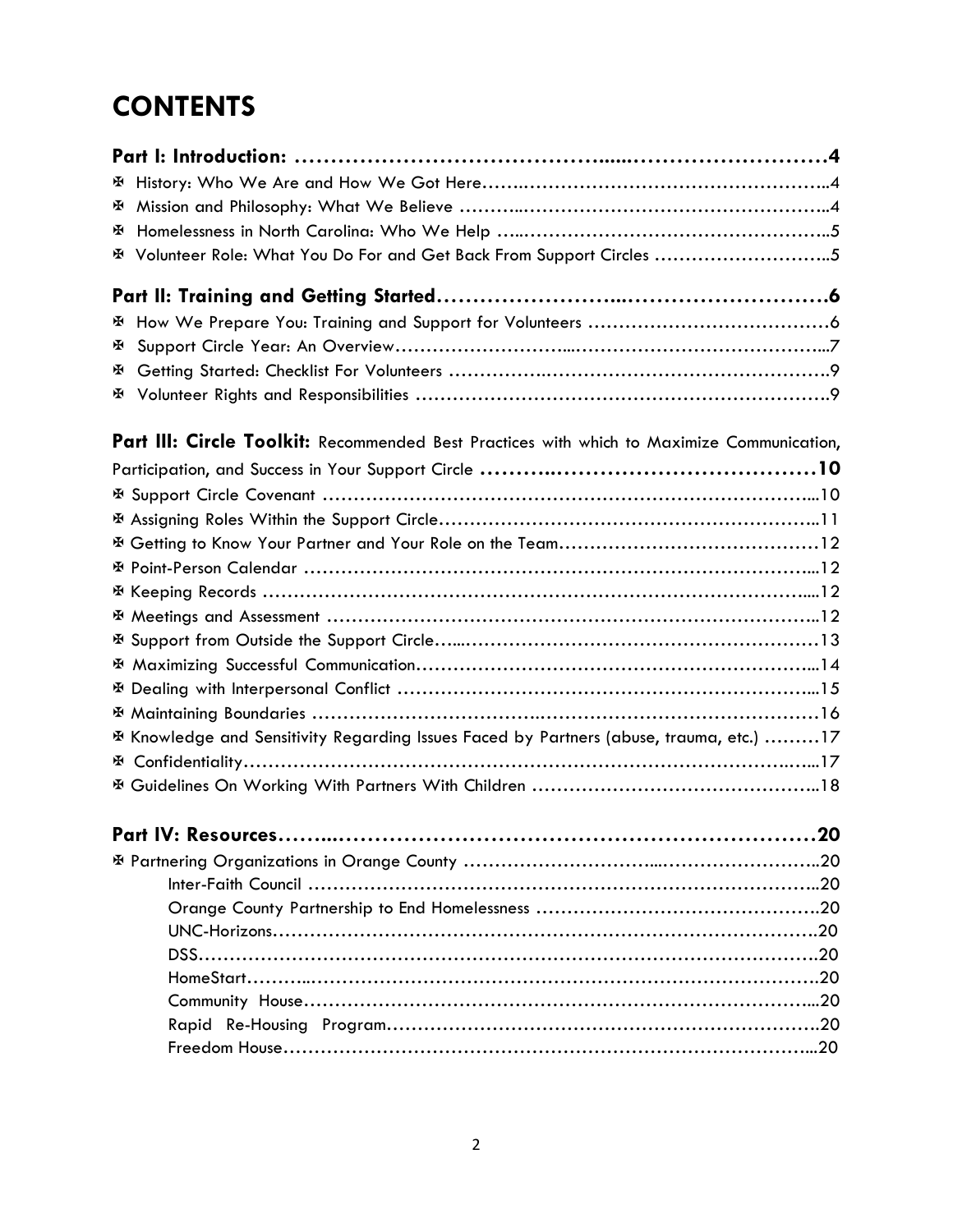# **CONTENTS**

| ж |                                                                                            |
|---|--------------------------------------------------------------------------------------------|
| ж |                                                                                            |
| ж |                                                                                            |
|   | E Volunteer Role: What You Do For and Get Back From Support Circles 5                      |
|   |                                                                                            |
| ж |                                                                                            |
| ж |                                                                                            |
|   |                                                                                            |
|   |                                                                                            |
|   | Part III: Circle Toolkit: Recommended Best Practices with which to Maximize Communication, |
|   |                                                                                            |
|   |                                                                                            |
|   |                                                                                            |
|   |                                                                                            |
|   |                                                                                            |
|   |                                                                                            |
|   |                                                                                            |
|   |                                                                                            |
|   |                                                                                            |
|   | ※ Dealing with Interpersonal Conflict …………………………………………………………………………15                       |
|   |                                                                                            |
|   | E Knowledge and Sensitivity Regarding Issues Faced by Partners (abuse, trauma, etc.) 17    |
|   |                                                                                            |
|   |                                                                                            |
|   |                                                                                            |
|   |                                                                                            |
|   |                                                                                            |
|   |                                                                                            |
|   |                                                                                            |
|   |                                                                                            |
|   |                                                                                            |
|   |                                                                                            |
|   |                                                                                            |
|   |                                                                                            |
|   |                                                                                            |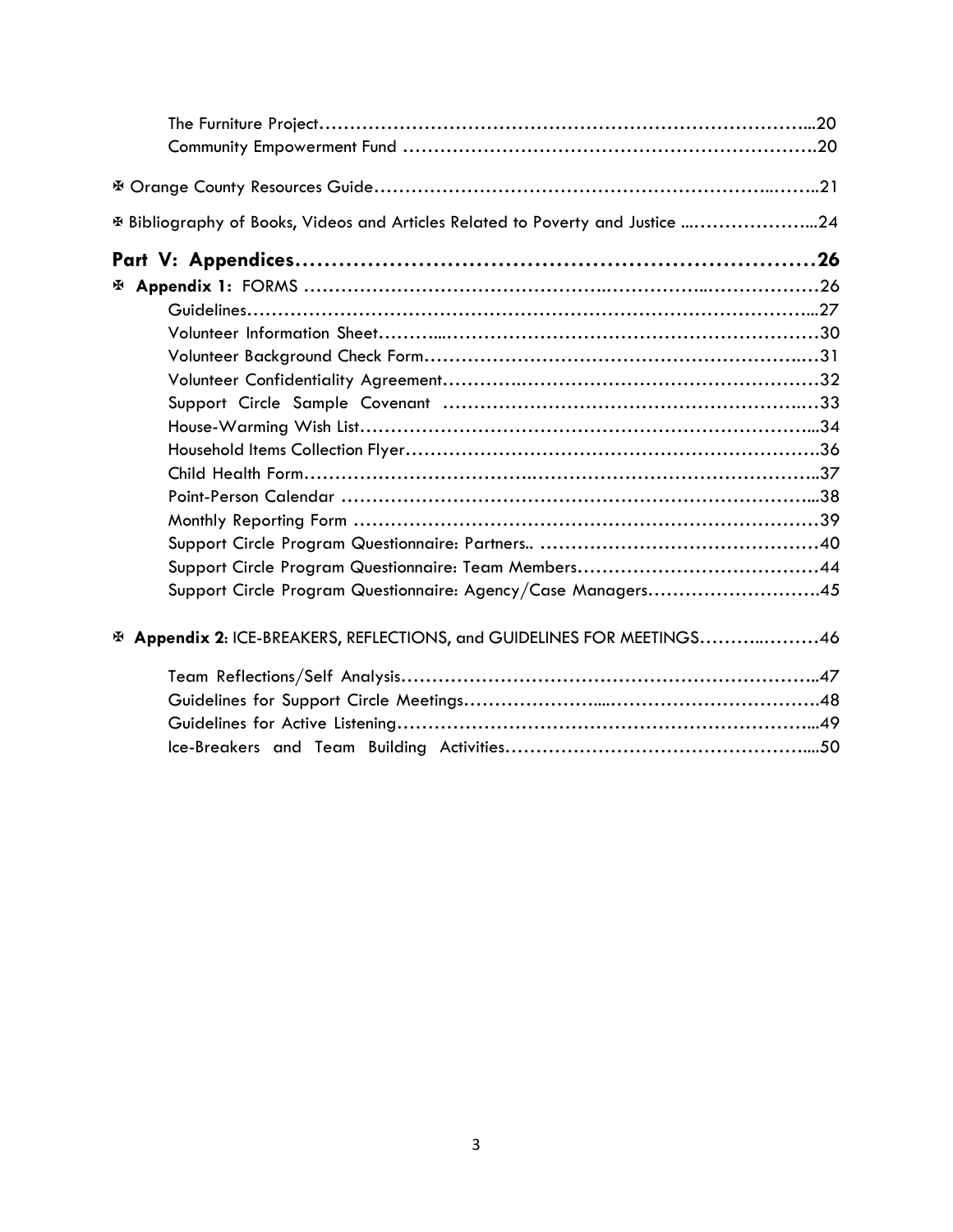| E Bibliography of Books, Videos and Articles Related to Poverty and Justice 24 |  |
|--------------------------------------------------------------------------------|--|
|                                                                                |  |
|                                                                                |  |
|                                                                                |  |
|                                                                                |  |
|                                                                                |  |
|                                                                                |  |
|                                                                                |  |
|                                                                                |  |
|                                                                                |  |
|                                                                                |  |
|                                                                                |  |
|                                                                                |  |
|                                                                                |  |
|                                                                                |  |
| Support Circle Program Questionnaire: Agency/Case Managers45                   |  |
| E Appendix 2: ICE-BREAKERS, REFLECTIONS, and GUIDELINES FOR MEETINGS46         |  |
|                                                                                |  |
|                                                                                |  |
|                                                                                |  |
|                                                                                |  |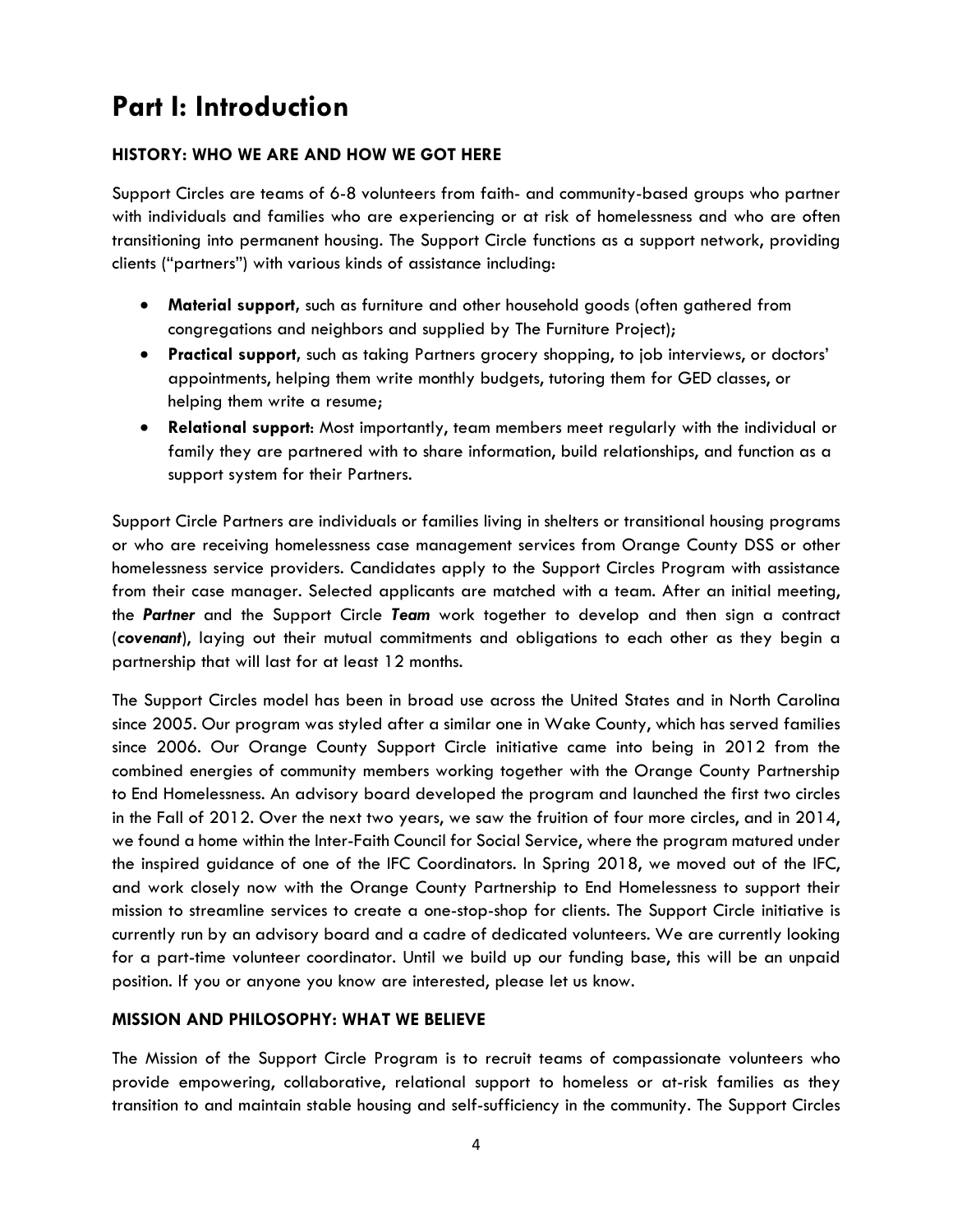## **Part I: Introduction**

## **HISTORY: WHO WE ARE AND HOW WE GOT HERE**

Support Circles are teams of 6-8 volunteers from faith- and community-based groups who partner with individuals and families who are experiencing or at risk of homelessness and who are often transitioning into permanent housing. The Support Circle functions as a support network, providing clients ("partners") with various kinds of assistance including:

- **Material support,** such as furniture and other household goods (often gathered from congregations and neighbors and supplied by The Furniture Project);
- **Practical support,** such as taking Partners grocery shopping, to job interviews, or doctors' appointments, helping them write monthly budgets, tutoring them for GED classes, or helping them write a resume;
- **Relational support**: Most importantly, team members meet regularly with the individual or family they are partnered with to share information, build relationships, and function as a support system for their Partners.

Support Circle Partners are individuals or families living in shelters or transitional housing programs or who are receiving homelessness case management services from Orange County DSS or other homelessness service providers. Candidates apply to the Support Circles Program with assistance from their case manager. Selected applicants are matched with a team. After an initial meeting, the *Partner* and the Support Circle *Team* work together to develop and then sign a contract (*covenant*), laying out their mutual commitments and obligations to each other as they begin a partnership that will last for at least 12 months.

The Support Circles model has been in broad use across the United States and in North Carolina since 2005. Our program was styled after a similar one in Wake County, which has served families since 2006. Our Orange County Support Circle initiative came into being in 2012 from the combined energies of community members working together with the Orange County Partnership to End Homelessness. An advisory board developed the program and launched the first two circles in the Fall of 2012. Over the next two years, we saw the fruition of four more circles, and in 2014, we found a home within the Inter-Faith Council for Social Service, where the program matured under the inspired guidance of one of the IFC Coordinators. In Spring 2018, we moved out of the IFC, and work closely now with the Orange County Partnership to End Homelessness to support their mission to streamline services to create a one-stop-shop for clients. The Support Circle initiative is currently run by an advisory board and a cadre of dedicated volunteers. We are currently looking for a part-time volunteer coordinator. Until we build up our funding base, this will be an unpaid position. If you or anyone you know are interested, please let us know.

## **MISSION AND PHILOSOPHY: WHAT WE BELIEVE**

The Mission of the Support Circle Program is to recruit teams of compassionate volunteers who provide empowering, collaborative, relational support to homeless or at-risk families as they transition to and maintain stable housing and self-sufficiency in the community. The Support Circles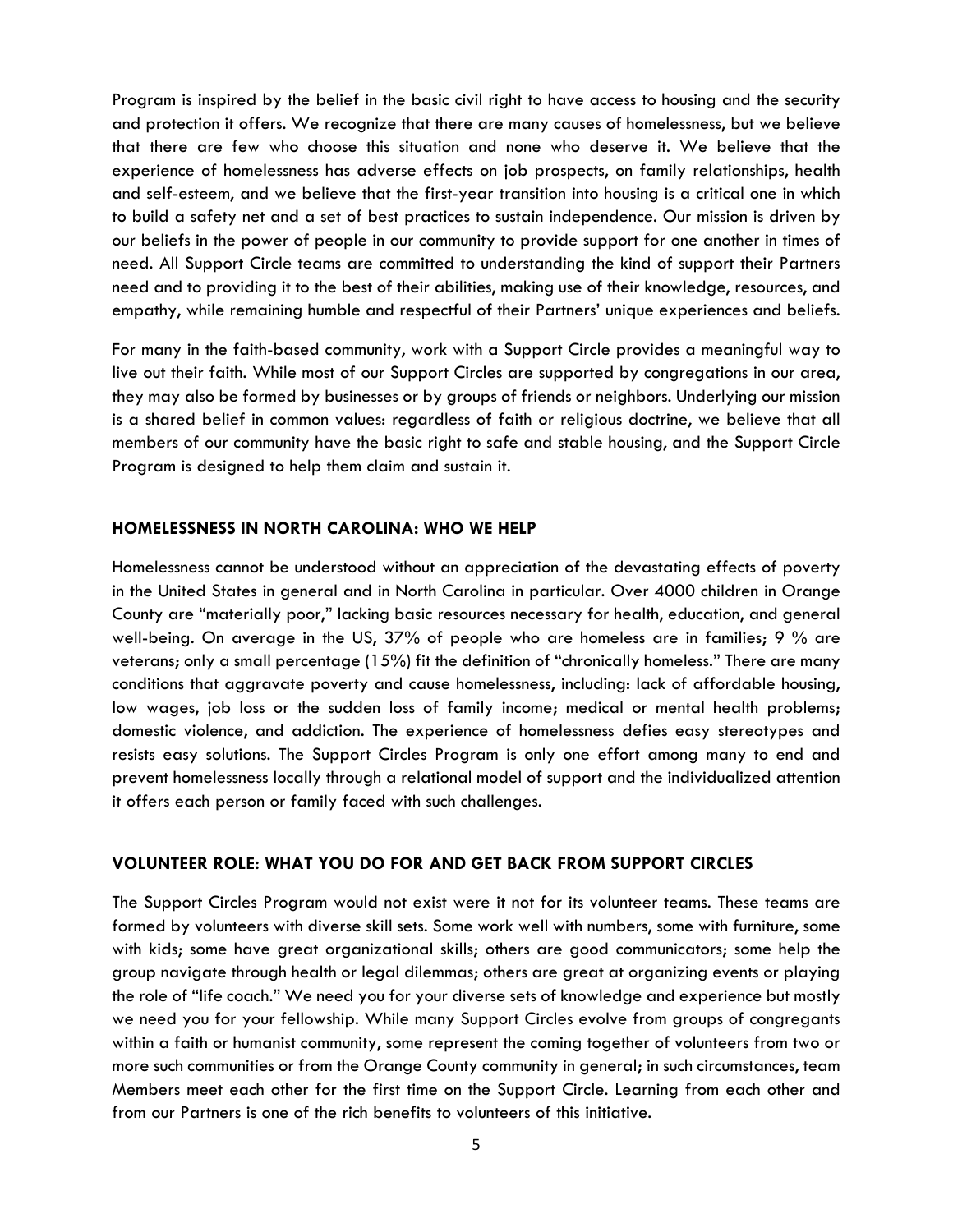Program is inspired by the belief in the basic civil right to have access to housing and the security and protection it offers. We recognize that there are many causes of homelessness, but we believe that there are few who choose this situation and none who deserve it. We believe that the experience of homelessness has adverse effects on job prospects, on family relationships, health and self-esteem, and we believe that the first-year transition into housing is a critical one in which to build a safety net and a set of best practices to sustain independence. Our mission is driven by our beliefs in the power of people in our community to provide support for one another in times of need. All Support Circle teams are committed to understanding the kind of support their Partners need and to providing it to the best of their abilities, making use of their knowledge, resources, and empathy, while remaining humble and respectful of their Partners' unique experiences and beliefs.

For many in the faith-based community, work with a Support Circle provides a meaningful way to live out their faith. While most of our Support Circles are supported by congregations in our area, they may also be formed by businesses or by groups of friends or neighbors. Underlying our mission is a shared belief in common values: regardless of faith or religious doctrine, we believe that all members of our community have the basic right to safe and stable housing, and the Support Circle Program is designed to help them claim and sustain it.

## **HOMELESSNESS IN NORTH CAROLINA: WHO WE HELP**

Homelessness cannot be understood without an appreciation of the devastating effects of poverty in the United States in general and in North Carolina in particular. Over 4000 children in Orange County are "materially poor," lacking basic resources necessary for health, education, and general well-being. On average in the US, 37% of people who are homeless are in families; 9 % are veterans; only a small percentage (15%) fit the definition of "chronically homeless." There are many conditions that aggravate poverty and cause homelessness, including: lack of affordable housing, low wages, job loss or the sudden loss of family income; medical or mental health problems; domestic violence, and addiction. The experience of homelessness defies easy stereotypes and resists easy solutions. The Support Circles Program is only one effort among many to end and prevent homelessness locally through a relational model of support and the individualized attention it offers each person or family faced with such challenges.

## **VOLUNTEER ROLE: WHAT YOU DO FOR AND GET BACK FROM SUPPORT CIRCLES**

The Support Circles Program would not exist were it not for its volunteer teams. These teams are formed by volunteers with diverse skill sets. Some work well with numbers, some with furniture, some with kids; some have great organizational skills; others are good communicators; some help the group navigate through health or legal dilemmas; others are great at organizing events or playing the role of "life coach." We need you for your diverse sets of knowledge and experience but mostly we need you for your fellowship. While many Support Circles evolve from groups of congregants within a faith or humanist community, some represent the coming together of volunteers from two or more such communities or from the Orange County community in general; in such circumstances, team Members meet each other for the first time on the Support Circle. Learning from each other and from our Partners is one of the rich benefits to volunteers of this initiative.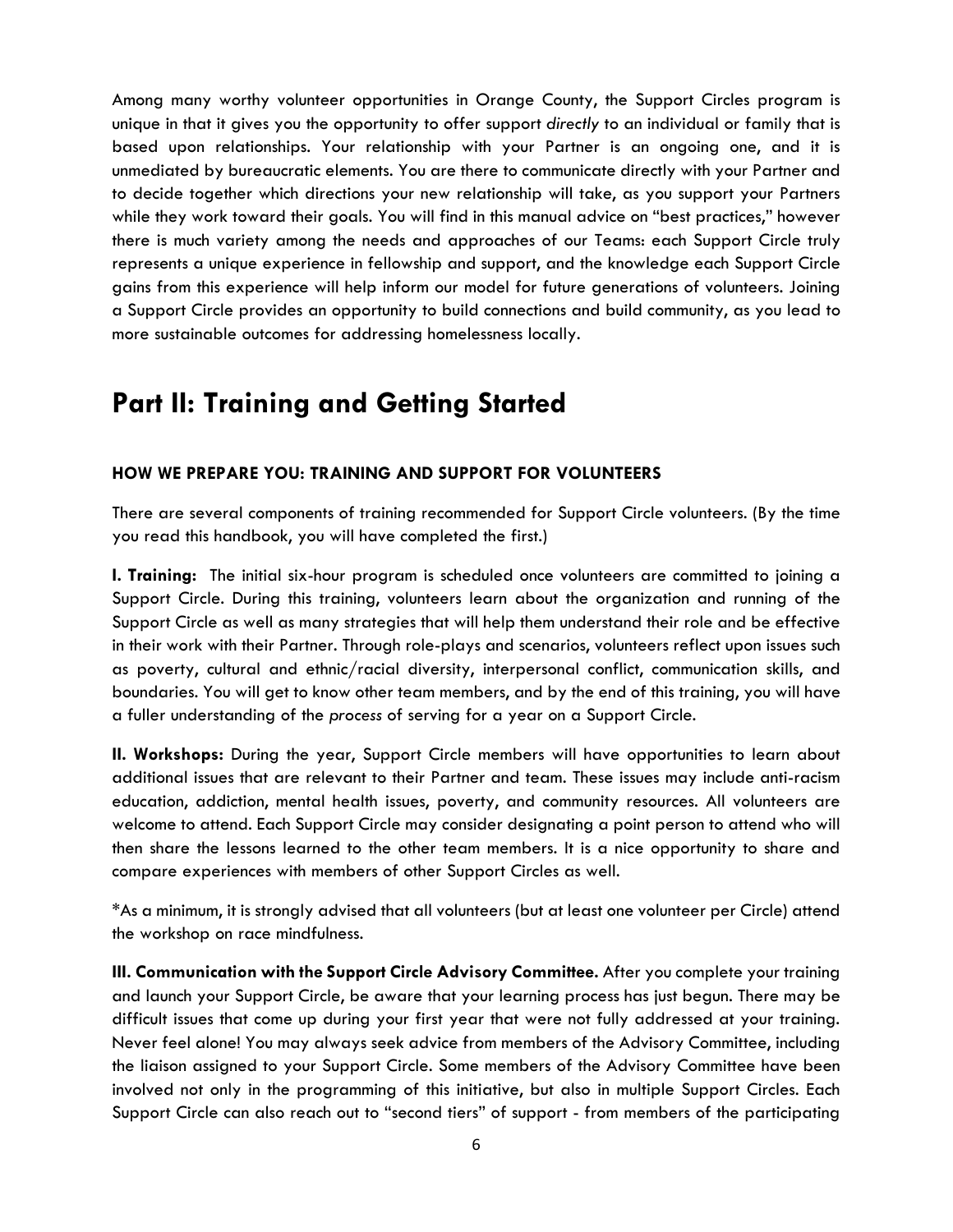Among many worthy volunteer opportunities in Orange County, the Support Circles program is unique in that it gives you the opportunity to offer support *directly* to an individual or family that is based upon relationships. Your relationship with your Partner is an ongoing one, and it is unmediated by bureaucratic elements. You are there to communicate directly with your Partner and to decide together which directions your new relationship will take, as you support your Partners while they work toward their goals. You will find in this manual advice on "best practices," however there is much variety among the needs and approaches of our Teams: each Support Circle truly represents a unique experience in fellowship and support, and the knowledge each Support Circle gains from this experience will help inform our model for future generations of volunteers. Joining a Support Circle provides an opportunity to build connections and build community, as you lead to more sustainable outcomes for addressing homelessness locally.

## **Part II: Training and Getting Started**

## **HOW WE PREPARE YOU: TRAINING AND SUPPORT FOR VOLUNTEERS**

There are several components of training recommended for Support Circle volunteers. (By the time you read this handbook, you will have completed the first.)

**I. Training:** The initial six-hour program is scheduled once volunteers are committed to joining a Support Circle. During this training, volunteers learn about the organization and running of the Support Circle as well as many strategies that will help them understand their role and be effective in their work with their Partner. Through role-plays and scenarios, volunteers reflect upon issues such as poverty, cultural and ethnic/racial diversity, interpersonal conflict, communication skills, and boundaries. You will get to know other team members, and by the end of this training, you will have a fuller understanding of the *process* of serving for a year on a Support Circle.

**II. Workshops:** During the year, Support Circle members will have opportunities to learn about additional issues that are relevant to their Partner and team. These issues may include anti-racism education, addiction, mental health issues, poverty, and community resources. All volunteers are welcome to attend. Each Support Circle may consider designating a point person to attend who will then share the lessons learned to the other team members. It is a nice opportunity to share and compare experiences with members of other Support Circles as well.

\*As a minimum, it is strongly advised that all volunteers (but at least one volunteer per Circle) attend the workshop on race mindfulness.

**III. Communication with the Support Circle Advisory Committee.** After you complete your training and launch your Support Circle, be aware that your learning process has just begun. There may be difficult issues that come up during your first year that were not fully addressed at your training. Never feel alone! You may always seek advice from members of the Advisory Committee, including the liaison assigned to your Support Circle. Some members of the Advisory Committee have been involved not only in the programming of this initiative, but also in multiple Support Circles. Each Support Circle can also reach out to "second tiers" of support - from members of the participating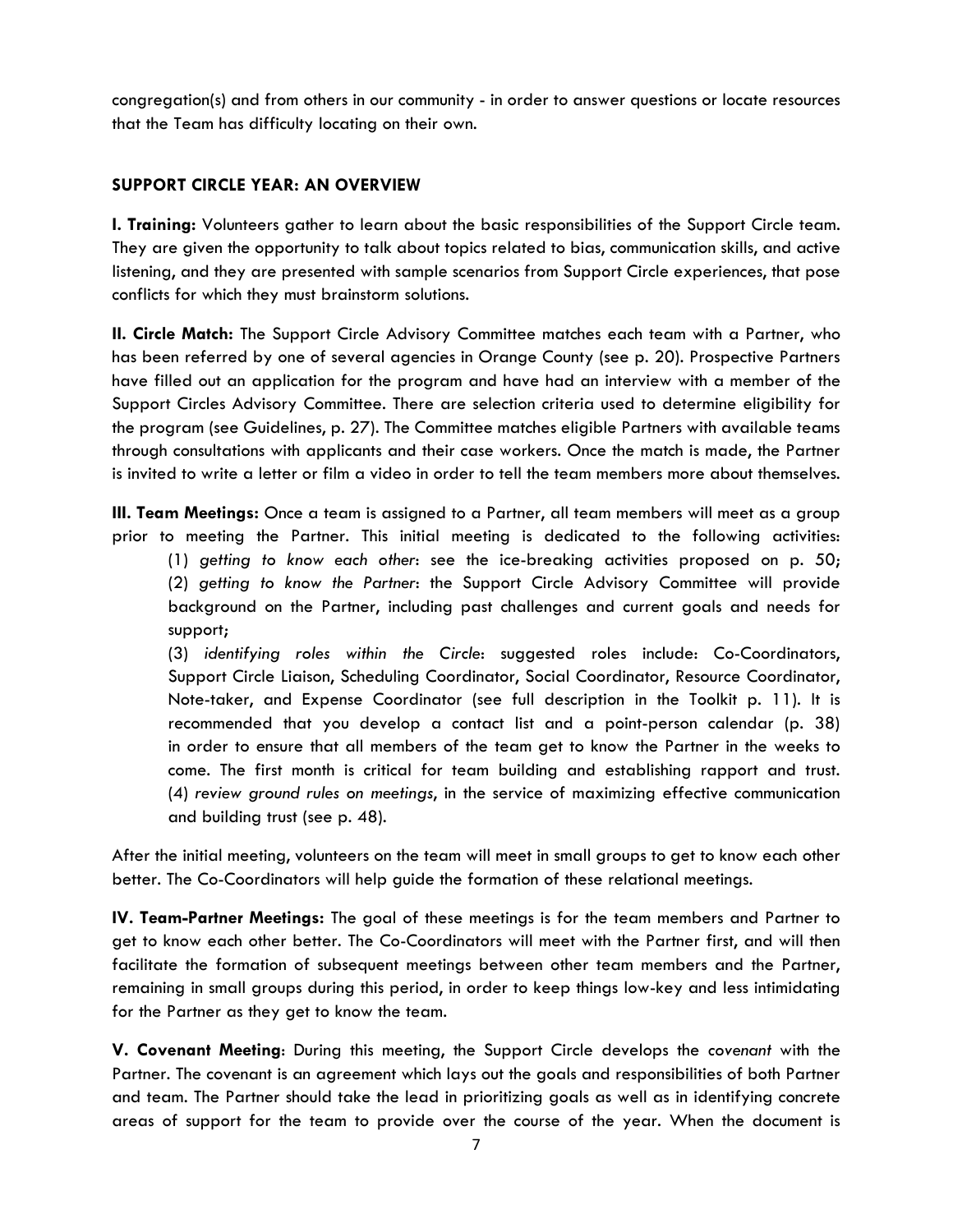congregation(s) and from others in our community - in order to answer questions or locate resources that the Team has difficulty locating on their own.

## **SUPPORT CIRCLE YEAR: AN OVERVIEW**

**I. Training:** Volunteers gather to learn about the basic responsibilities of the Support Circle team. They are given the opportunity to talk about topics related to bias, communication skills, and active listening, and they are presented with sample scenarios from Support Circle experiences, that pose conflicts for which they must brainstorm solutions.

**II. Circle Match:** The Support Circle Advisory Committee matches each team with a Partner, who has been referred by one of several agencies in Orange County (see p. 20). Prospective Partners have filled out an application for the program and have had an interview with a member of the Support Circles Advisory Committee. There are selection criteria used to determine eligibility for the program (see Guidelines, p. 27). The Committee matches eligible Partners with available teams through consultations with applicants and their case workers. Once the match is made, the Partner is invited to write a letter or film a video in order to tell the team members more about themselves.

**III. Team Meetings:** Once a team is assigned to a Partner, all team members will meet as a group prior to meeting the Partner. This initial meeting is dedicated to the following activities:

(1) *getting to know each other*: see the ice-breaking activities proposed on p. 50; (2) *getting to know the Partner*: the Support Circle Advisory Committee will provide background on the Partner, including past challenges and current goals and needs for support;

 (3) *identifying roles within the Circle*: suggested roles include: Co-Coordinators, Support Circle Liaison, Scheduling Coordinator, Social Coordinator, Resource Coordinator, Note-taker, and Expense Coordinator (see full description in the Toolkit p. 11). It is recommended that you develop a contact list and a point-person calendar (p. 38) in order to ensure that all members of the team get to know the Partner in the weeks to come. The first month is critical for team building and establishing rapport and trust. (4) *review ground rules on meetings*, in the service of maximizing effective communication and building trust (see p. 48).

After the initial meeting, volunteers on the team will meet in small groups to get to know each other better. The Co-Coordinators will help guide the formation of these relational meetings.

**IV. Team-Partner Meetings:** The goal of these meetings is for the team members and Partner to get to know each other better. The Co-Coordinators will meet with the Partner first, and will then facilitate the formation of subsequent meetings between other team members and the Partner, remaining in small groups during this period, in order to keep things low-key and less intimidating for the Partner as they get to know the team.

**V. Covenant Meeting**: During this meeting, the Support Circle develops the *covenant* with the Partner. The covenant is an agreement which lays out the goals and responsibilities of both Partner and team. The Partner should take the lead in prioritizing goals as well as in identifying concrete areas of support for the team to provide over the course of the year. When the document is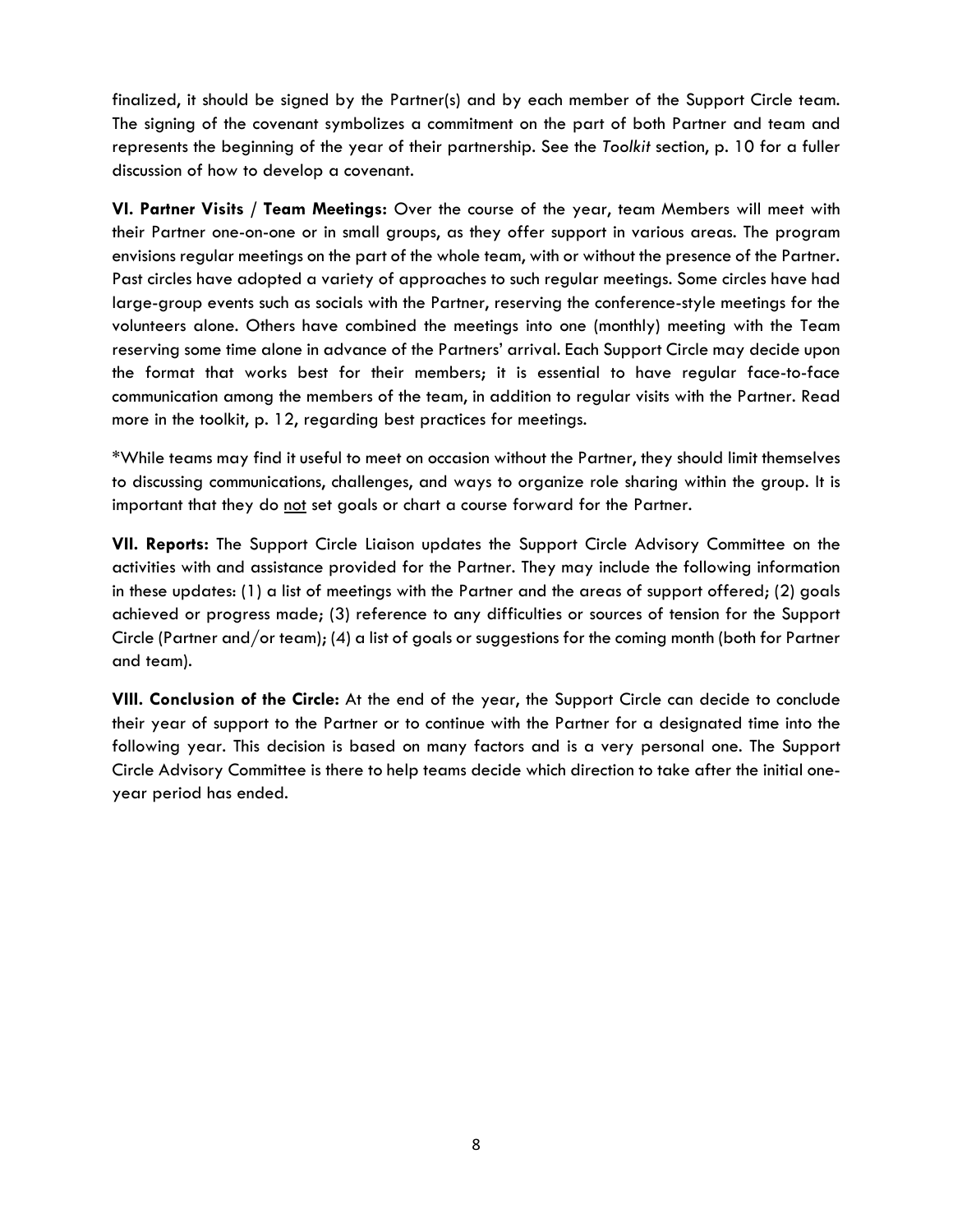finalized, it should be signed by the Partner(s) and by each member of the Support Circle team. The signing of the covenant symbolizes a commitment on the part of both Partner and team and represents the beginning of the year of their partnership. See the *Toolkit* section, p. 10 for a fuller discussion of how to develop a covenant.

**VI. Partner Visits / Team Meetings:** Over the course of the year, team Members will meet with their Partner one-on-one or in small groups, as they offer support in various areas. The program envisions regular meetings on the part of the whole team, with or without the presence of the Partner. Past circles have adopted a variety of approaches to such regular meetings. Some circles have had large-group events such as socials with the Partner, reserving the conference-style meetings for the volunteers alone. Others have combined the meetings into one (monthly) meeting with the Team reserving some time alone in advance of the Partners' arrival. Each Support Circle may decide upon the format that works best for their members; it is essential to have regular face-to-face communication among the members of the team, in addition to regular visits with the Partner. Read more in the toolkit, p. 12, regarding best practices for meetings.

\*While teams may find it useful to meet on occasion without the Partner, they should limit themselves to discussing communications, challenges, and ways to organize role sharing within the group. It is important that they do not set goals or chart a course forward for the Partner.

**VII. Reports:** The Support Circle Liaison updates the Support Circle Advisory Committee on the activities with and assistance provided for the Partner. They may include the following information in these updates: (1) a list of meetings with the Partner and the areas of support offered; (2) goals achieved or progress made; (3) reference to any difficulties or sources of tension for the Support Circle (Partner and/or team); (4) a list of goals or suggestions for the coming month (both for Partner and team).

**VIII. Conclusion of the Circle:** At the end of the year, the Support Circle can decide to conclude their year of support to the Partner or to continue with the Partner for a designated time into the following year. This decision is based on many factors and is a very personal one. The Support Circle Advisory Committee is there to help teams decide which direction to take after the initial oneyear period has ended.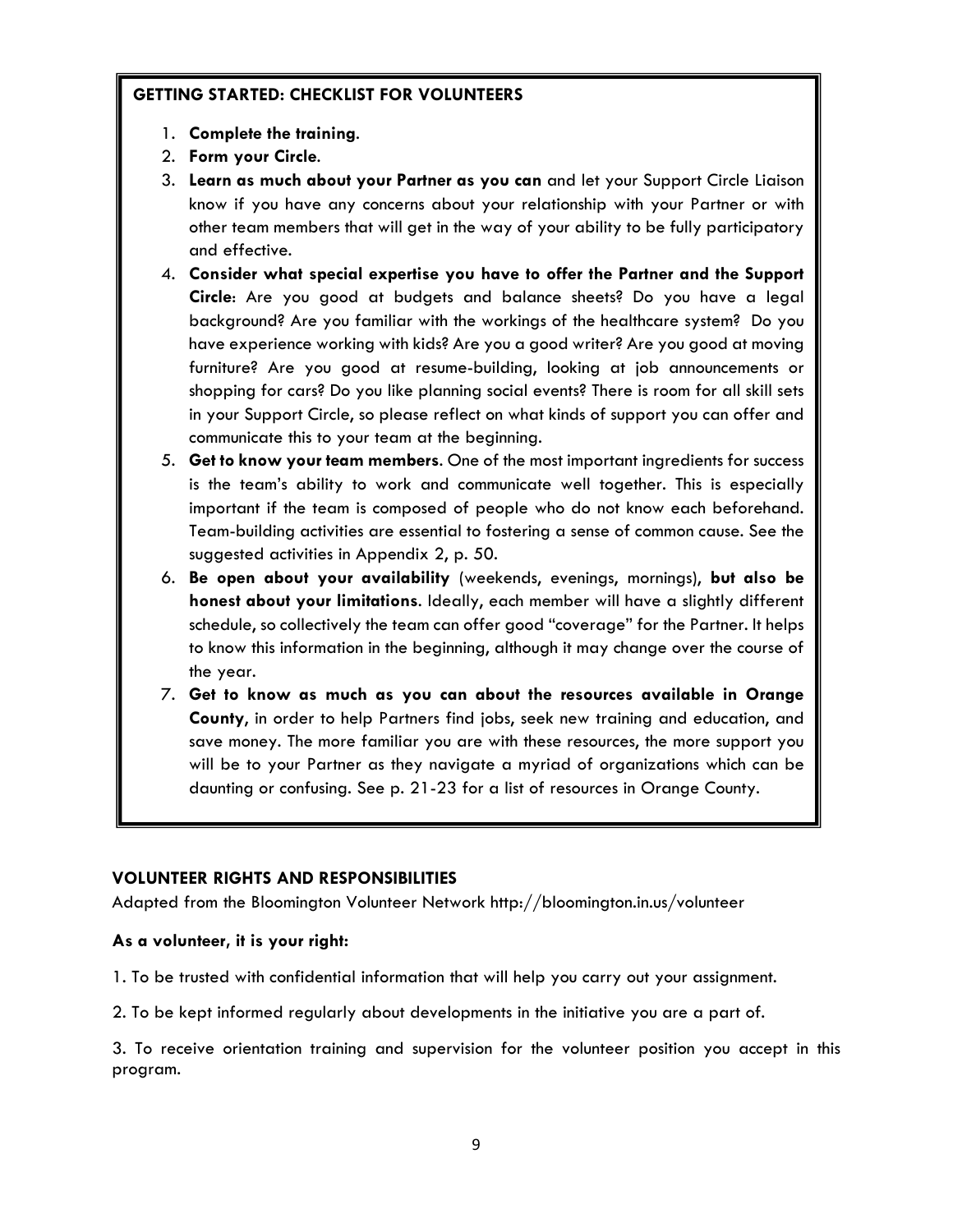## **GETTING STARTED: CHECKLIST FOR VOLUNTEERS**

- 1. **Complete the training**.
- 2. **Form your Circle**.
- 3. **Learn as much about your Partner as you can** and let your Support Circle Liaison know if you have any concerns about your relationship with your Partner or with other team members that will get in the way of your ability to be fully participatory and effective.
- 4. **Consider what special expertise you have to offer the Partner and the Support Circle**: Are you good at budgets and balance sheets? Do you have a legal background? Are you familiar with the workings of the healthcare system? Do you have experience working with kids? Are you a good writer? Are you good at moving furniture? Are you good at resume-building, looking at job announcements or shopping for cars? Do you like planning social events? There is room for all skill sets in your Support Circle, so please reflect on what kinds of support you can offer and communicate this to your team at the beginning.
- 5. **Get to know your team members**. One of the most important ingredients for success is the team's ability to work and communicate well together. This is especially important if the team is composed of people who do not know each beforehand. Team-building activities are essential to fostering a sense of common cause. See the suggested activities in Appendix 2, p. 50.
- 6. **Be open about your availability** (weekends, evenings, mornings), **but also be honest about your limitations**. Ideally, each member will have a slightly different schedule, so collectively the team can offer good "coverage" for the Partner. It helps to know this information in the beginning, although it may change over the course of the year.
- 7. **Get to know as much as you can about the resources available in Orange County**, in order to help Partners find jobs, seek new training and education, and save money. The more familiar you are with these resources, the more support you will be to your Partner as they navigate a myriad of organizations which can be daunting or confusing. See p. 21-23 for a list of resources in Orange County.

## **VOLUNTEER RIGHTS AND RESPONSIBILITIES**

Adapted from the Bloomington Volunteer Network http://bloomington.in.us/volunteer

## **As a volunteer, it is your right:**

- 1. To be trusted with confidential information that will help you carry out your assignment.
- 2. To be kept informed regularly about developments in the initiative you are a part of.

3. To receive orientation training and supervision for the volunteer position you accept in this program.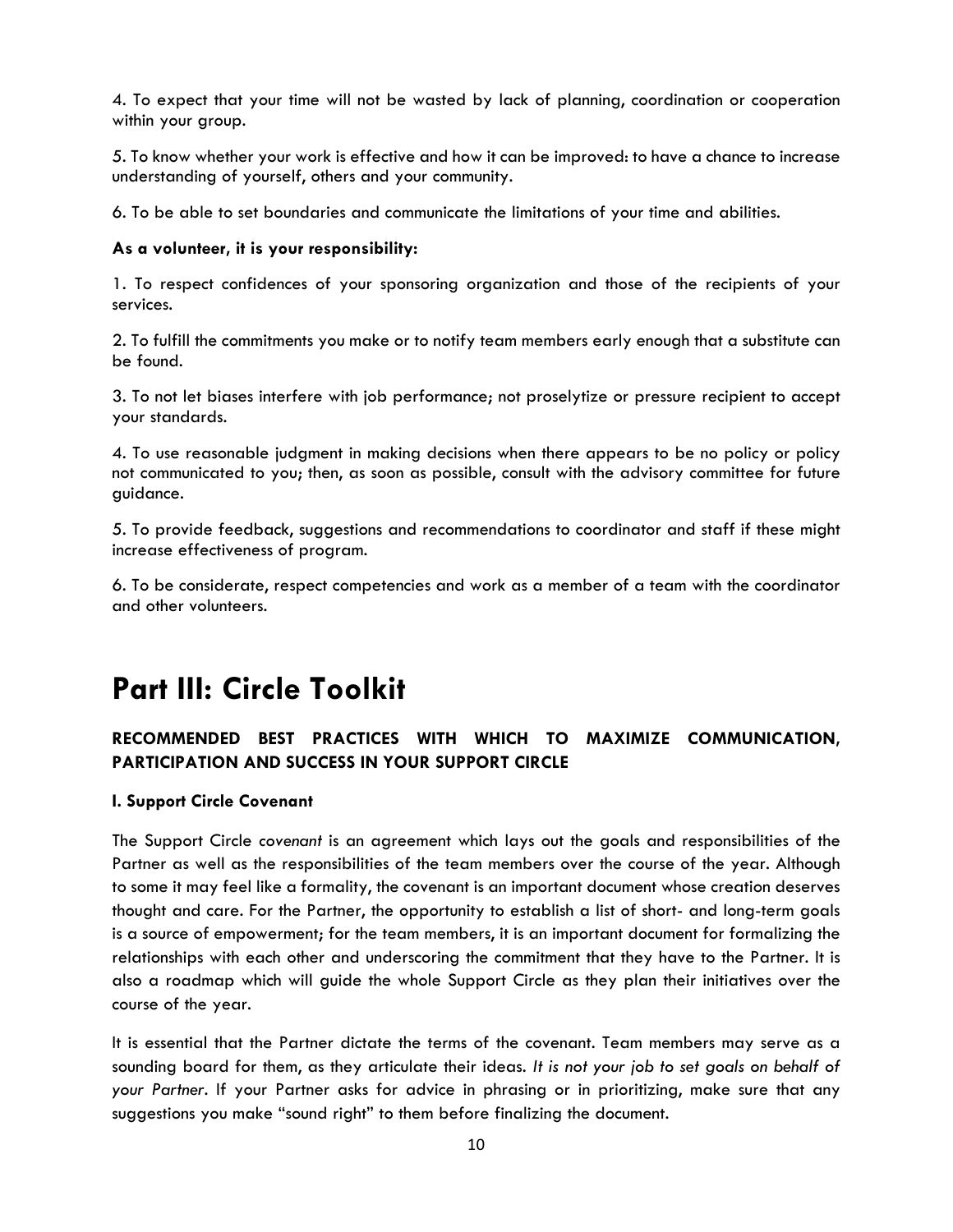4. To expect that your time will not be wasted by lack of planning, coordination or cooperation within your group.

5. To know whether your work is effective and how it can be improved: to have a chance to increase understanding of yourself, others and your community.

6. To be able to set boundaries and communicate the limitations of your time and abilities.

## **As a volunteer, it is your responsibility:**

1. To respect confidences of your sponsoring organization and those of the recipients of your services.

2. To fulfill the commitments you make or to notify team members early enough that a substitute can be found.

3. To not let biases interfere with job performance; not proselytize or pressure recipient to accept your standards.

4. To use reasonable judgment in making decisions when there appears to be no policy or policy not communicated to you; then, as soon as possible, consult with the advisory committee for future guidance.

5. To provide feedback, suggestions and recommendations to coordinator and staff if these might increase effectiveness of program.

6. To be considerate, respect competencies and work as a member of a team with the coordinator and other volunteers.

## **Part III: Circle Toolkit**

## **RECOMMENDED BEST PRACTICES WITH WHICH TO MAXIMIZE COMMUNICATION, PARTICIPATION AND SUCCESS IN YOUR SUPPORT CIRCLE**

## **I. Support Circle Covenant**

The Support Circle *covenant* is an agreement which lays out the goals and responsibilities of the Partner as well as the responsibilities of the team members over the course of the year. Although to some it may feel like a formality, the covenant is an important document whose creation deserves thought and care. For the Partner, the opportunity to establish a list of short- and long-term goals is a source of empowerment; for the team members, it is an important document for formalizing the relationships with each other and underscoring the commitment that they have to the Partner. It is also a roadmap which will guide the whole Support Circle as they plan their initiatives over the course of the year.

It is essential that the Partner dictate the terms of the covenant. Team members may serve as a sounding board for them, as they articulate their ideas. *It is not your job to set goals on behalf of your Partner*. If your Partner asks for advice in phrasing or in prioritizing, make sure that any suggestions you make "sound right" to them before finalizing the document.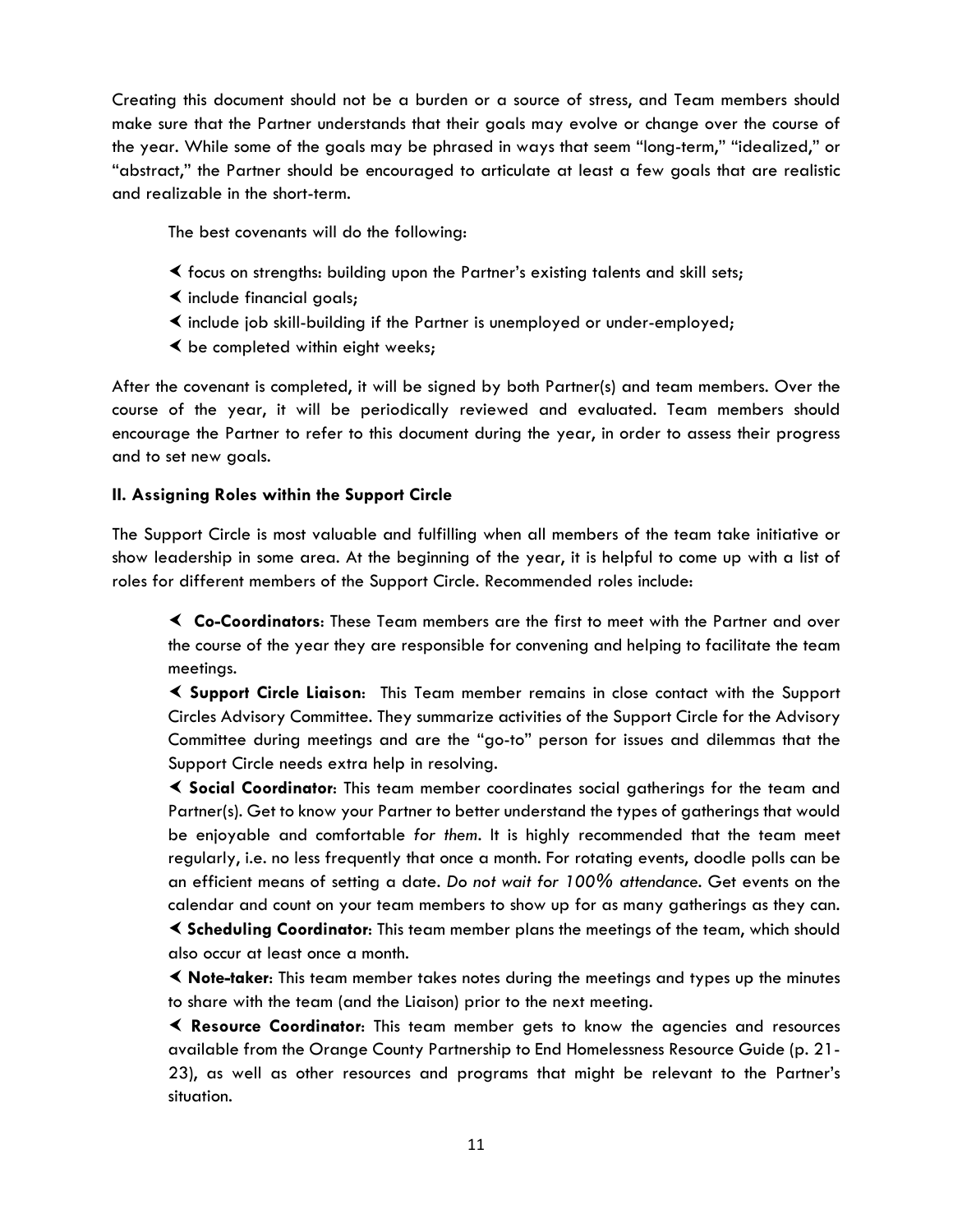Creating this document should not be a burden or a source of stress, and Team members should make sure that the Partner understands that their goals may evolve or change over the course of the year. While some of the goals may be phrased in ways that seem "long-term," "idealized," or "abstract," the Partner should be encouraged to articulate at least a few goals that are realistic and realizable in the short-term.

The best covenants will do the following:

- focus on strengths: building upon the Partner's existing talents and skill sets;
- $\triangleleft$  include financial goals;
- $\triangleleft$  include job skill-building if the Partner is unemployed or under-employed;
- $\triangle$  be completed within eight weeks;

After the covenant is completed, it will be signed by both Partner(s) and team members. Over the course of the year, it will be periodically reviewed and evaluated. Team members should encourage the Partner to refer to this document during the year, in order to assess their progress and to set new goals.

## **II. Assigning Roles within the Support Circle**

The Support Circle is most valuable and fulfilling when all members of the team take initiative or show leadership in some area. At the beginning of the year, it is helpful to come up with a list of roles for different members of the Support Circle. Recommended roles include:

 **Co-Coordinators**: These Team members are the first to meet with the Partner and over the course of the year they are responsible for convening and helping to facilitate the team meetings.

 **Support Circle Liaison**: This Team member remains in close contact with the Support Circles Advisory Committee. They summarize activities of the Support Circle for the Advisory Committee during meetings and are the "go-to" person for issues and dilemmas that the Support Circle needs extra help in resolving.

 **Social Coordinator**: This team member coordinates social gatherings for the team and Partner(s). Get to know your Partner to better understand the types of gatherings that would be enjoyable and comfortable *for them*. It is highly recommended that the team meet regularly, i.e. no less frequently that once a month. For rotating events, doodle polls can be an efficient means of setting a date. *Do not wait for 100% attendance*. Get events on the calendar and count on your team members to show up for as many gatherings as they can.

 **Scheduling Coordinator**: This team member plans the meetings of the team, which should also occur at least once a month.

 **Note-taker**: This team member takes notes during the meetings and types up the minutes to share with the team (and the Liaison) prior to the next meeting.

 **Resource Coordinator**: This team member gets to know the agencies and resources available from the Orange County Partnership to End Homelessness Resource Guide (p. 21- 23), as well as other resources and programs that might be relevant to the Partner's situation.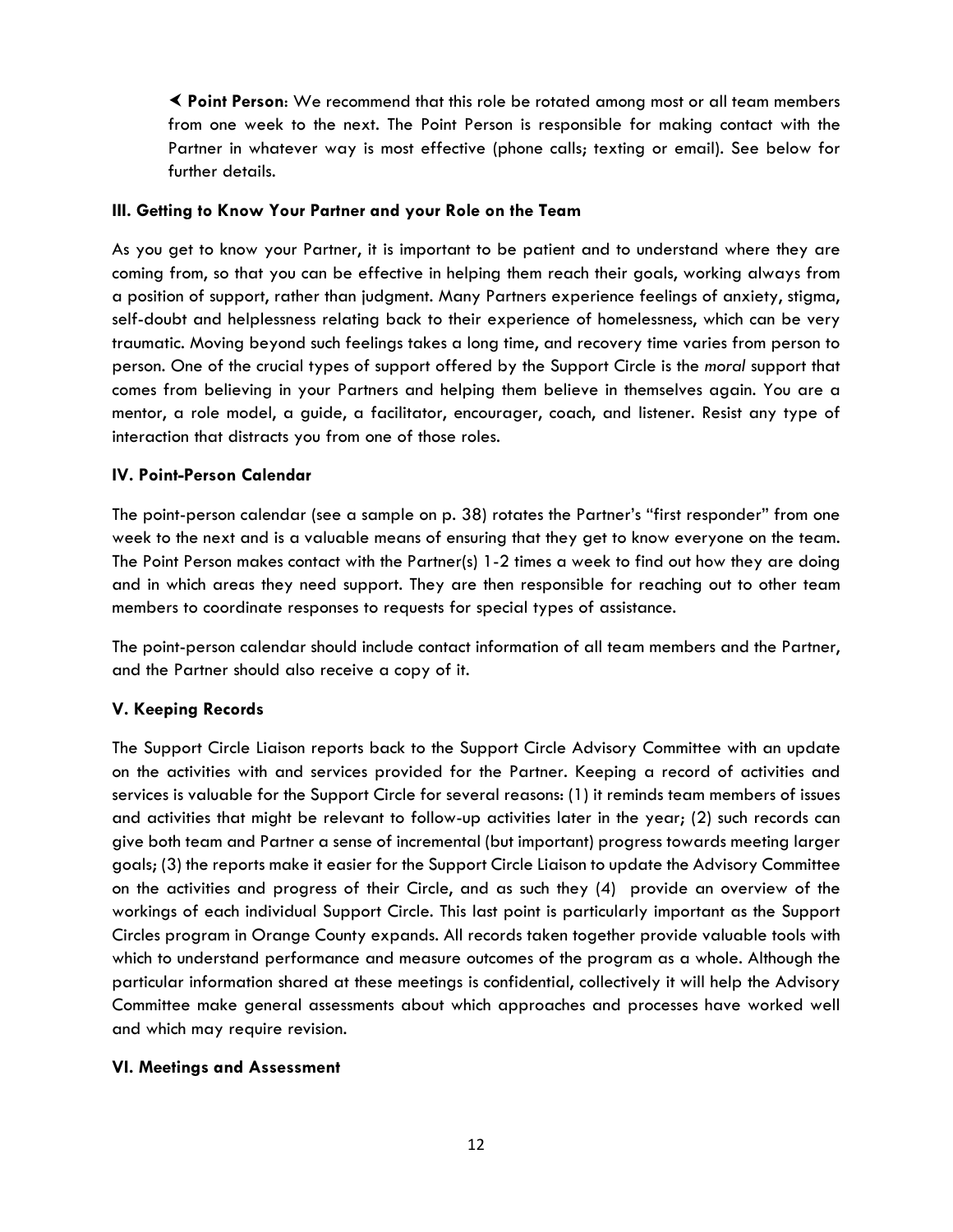**Point Person**: We recommend that this role be rotated among most or all team members from one week to the next. The Point Person is responsible for making contact with the Partner in whatever way is most effective (phone calls; texting or email). See below for further details.

## **III. Getting to Know Your Partner and your Role on the Team**

As you get to know your Partner, it is important to be patient and to understand where they are coming from, so that you can be effective in helping them reach their goals, working always from a position of support, rather than judgment. Many Partners experience feelings of anxiety, stigma, self-doubt and helplessness relating back to their experience of homelessness, which can be very traumatic. Moving beyond such feelings takes a long time, and recovery time varies from person to person. One of the crucial types of support offered by the Support Circle is the *moral* support that comes from believing in your Partners and helping them believe in themselves again. You are a mentor, a role model, a guide, a facilitator, encourager, coach, and listener. Resist any type of interaction that distracts you from one of those roles.

#### **IV. Point-Person Calendar**

The point-person calendar (see a sample on p. 38) rotates the Partner's "first responder" from one week to the next and is a valuable means of ensuring that they get to know everyone on the team. The Point Person makes contact with the Partner(s) 1-2 times a week to find out how they are doing and in which areas they need support. They are then responsible for reaching out to other team members to coordinate responses to requests for special types of assistance.

The point-person calendar should include contact information of all team members and the Partner, and the Partner should also receive a copy of it.

## **V. Keeping Records**

The Support Circle Liaison reports back to the Support Circle Advisory Committee with an update on the activities with and services provided for the Partner. Keeping a record of activities and services is valuable for the Support Circle for several reasons: (1) it reminds team members of issues and activities that might be relevant to follow-up activities later in the year; (2) such records can give both team and Partner a sense of incremental (but important) progress towards meeting larger goals; (3) the reports make it easier for the Support Circle Liaison to update the Advisory Committee on the activities and progress of their Circle, and as such they (4) provide an overview of the workings of each individual Support Circle. This last point is particularly important as the Support Circles program in Orange County expands. All records taken together provide valuable tools with which to understand performance and measure outcomes of the program as a whole. Although the particular information shared at these meetings is confidential, collectively it will help the Advisory Committee make general assessments about which approaches and processes have worked well and which may require revision.

## **VI. Meetings and Assessment**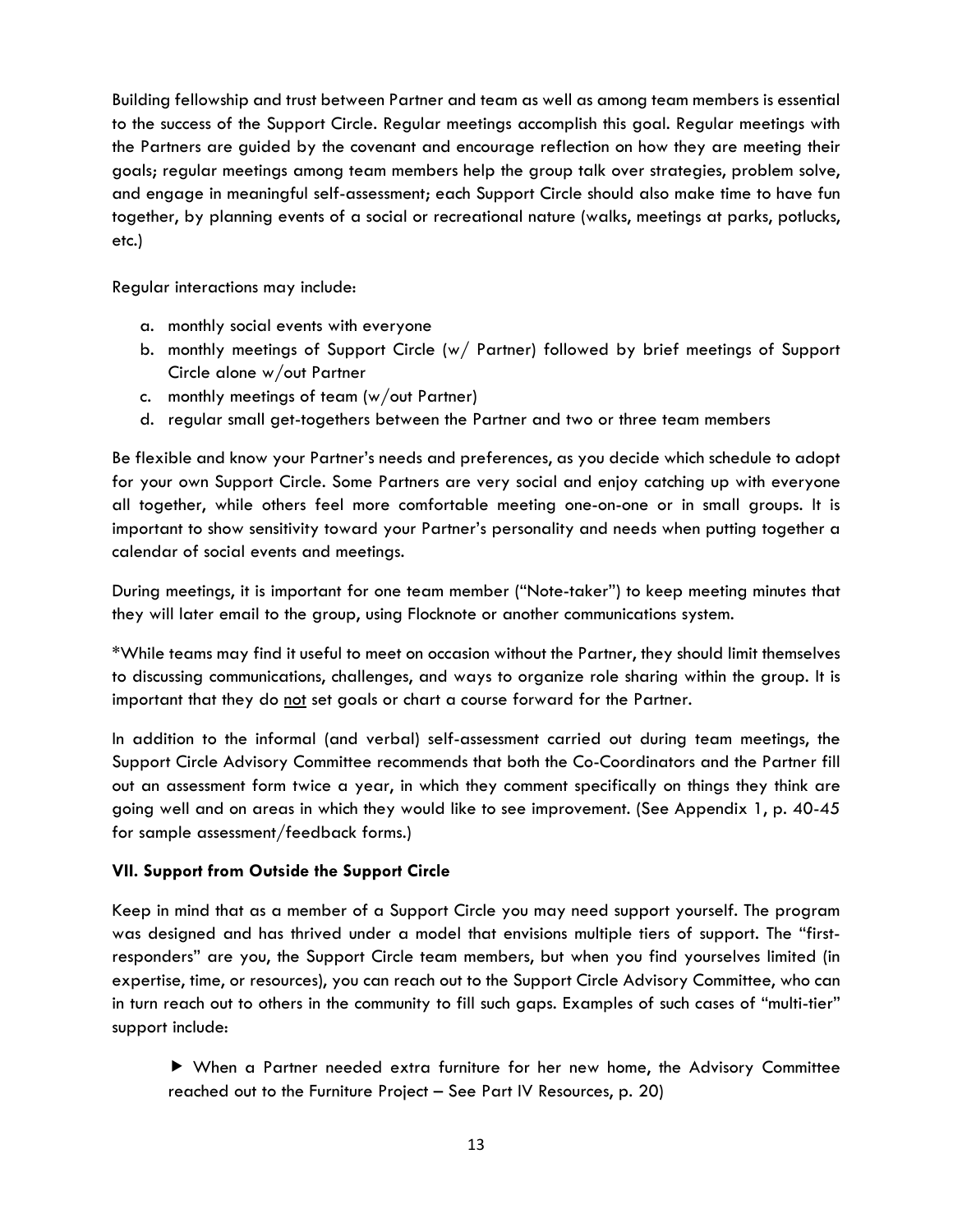Building fellowship and trust between Partner and team as well as among team members is essential to the success of the Support Circle. Regular meetings accomplish this goal. Regular meetings with the Partners are guided by the covenant and encourage reflection on how they are meeting their goals; regular meetings among team members help the group talk over strategies, problem solve, and engage in meaningful self-assessment; each Support Circle should also make time to have fun together, by planning events of a social or recreational nature (walks, meetings at parks, potlucks, etc.)

Regular interactions may include:

- a. monthly social events with everyone
- b. monthly meetings of Support Circle (w/ Partner) followed by brief meetings of Support Circle alone w/out Partner
- c. monthly meetings of team (w/out Partner)
- d. regular small get-togethers between the Partner and two or three team members

Be flexible and know your Partner's needs and preferences, as you decide which schedule to adopt for your own Support Circle. Some Partners are very social and enjoy catching up with everyone all together, while others feel more comfortable meeting one-on-one or in small groups. It is important to show sensitivity toward your Partner's personality and needs when putting together a calendar of social events and meetings.

During meetings, it is important for one team member ("Note-taker") to keep meeting minutes that they will later email to the group, using Flocknote or another communications system.

\*While teams may find it useful to meet on occasion without the Partner, they should limit themselves to discussing communications, challenges, and ways to organize role sharing within the group. It is important that they do not set goals or chart a course forward for the Partner.

In addition to the informal (and verbal) self-assessment carried out during team meetings, the Support Circle Advisory Committee recommends that both the Co-Coordinators and the Partner fill out an assessment form twice a year, in which they comment specifically on things they think are going well and on areas in which they would like to see improvement. (See Appendix 1, p. 40-45 for sample assessment/feedback forms.)

## **VII. Support from Outside the Support Circle**

Keep in mind that as a member of a Support Circle you may need support yourself. The program was designed and has thrived under a model that envisions multiple tiers of support. The "firstresponders" are you, the Support Circle team members, but when you find yourselves limited (in expertise, time, or resources), you can reach out to the Support Circle Advisory Committee, who can in turn reach out to others in the community to fill such gaps. Examples of such cases of "multi-tier" support include:

 When a Partner needed extra furniture for her new home, the Advisory Committee reached out to the Furniture Project – See Part IV Resources, p. 20)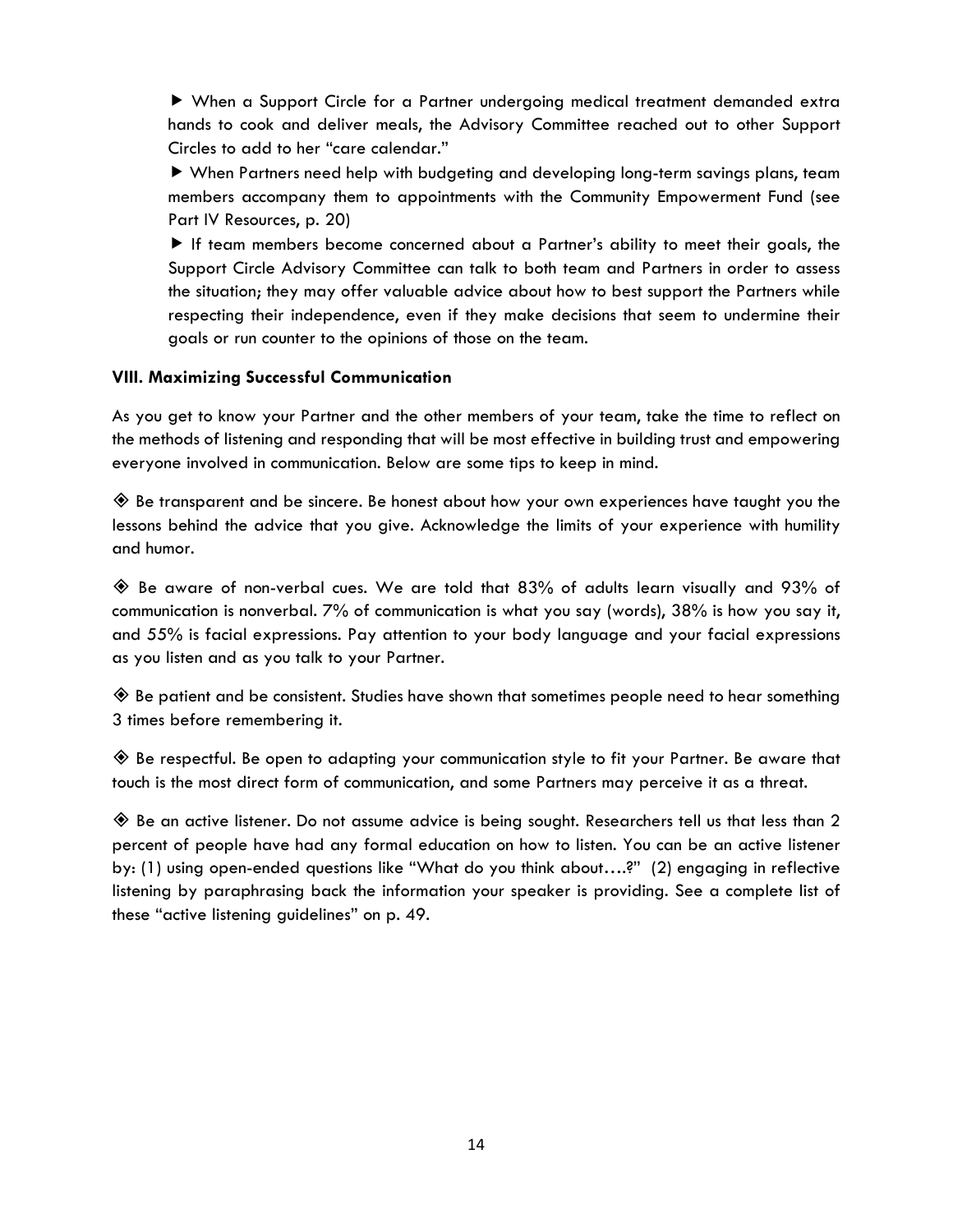When a Support Circle for a Partner undergoing medical treatment demanded extra hands to cook and deliver meals, the Advisory Committee reached out to other Support Circles to add to her "care calendar."

 When Partners need help with budgeting and developing long-term savings plans, team members accompany them to appointments with the Community Empowerment Fund (see Part IV Resources, p. 20)

 If team members become concerned about a Partner's ability to meet their goals, the Support Circle Advisory Committee can talk to both team and Partners in order to assess the situation; they may offer valuable advice about how to best support the Partners while respecting their independence, even if they make decisions that seem to undermine their goals or run counter to the opinions of those on the team.

## **VIII. Maximizing Successful Communication**

As you get to know your Partner and the other members of your team, take the time to reflect on the methods of listening and responding that will be most effective in building trust and empowering everyone involved in communication. Below are some tips to keep in mind.

 $\textcircled{*}$  Be transparent and be sincere. Be honest about how your own experiences have taught you the lessons behind the advice that you give. Acknowledge the limits of your experience with humility and humor.

 $\textcircled{*}$  Be aware of non-verbal cues. We are told that 83% of adults learn visually and 93% of communication is nonverbal. 7% of communication is what you say (words), 38% is how you say it, and 55% is facial expressions. Pay attention to your body language and your facial expressions as you listen and as you talk to your Partner.

 $\textcircled{*}$  Be patient and be consistent. Studies have shown that sometimes people need to hear something 3 times before remembering it.

 $\diamondsuit$  Be respectful. Be open to adapting your communication style to fit your Partner. Be aware that touch is the most direct form of communication, and some Partners may perceive it as a threat.

 Be an active listener. Do not assume advice is being sought. Researchers tell us that less than 2 percent of people have had any formal education on how to listen. You can be an active listener by: (1) using open-ended questions like "What do you think about….?" (2) engaging in reflective listening by paraphrasing back the information your speaker is providing. See a complete list of these "active listening guidelines" on p. 49.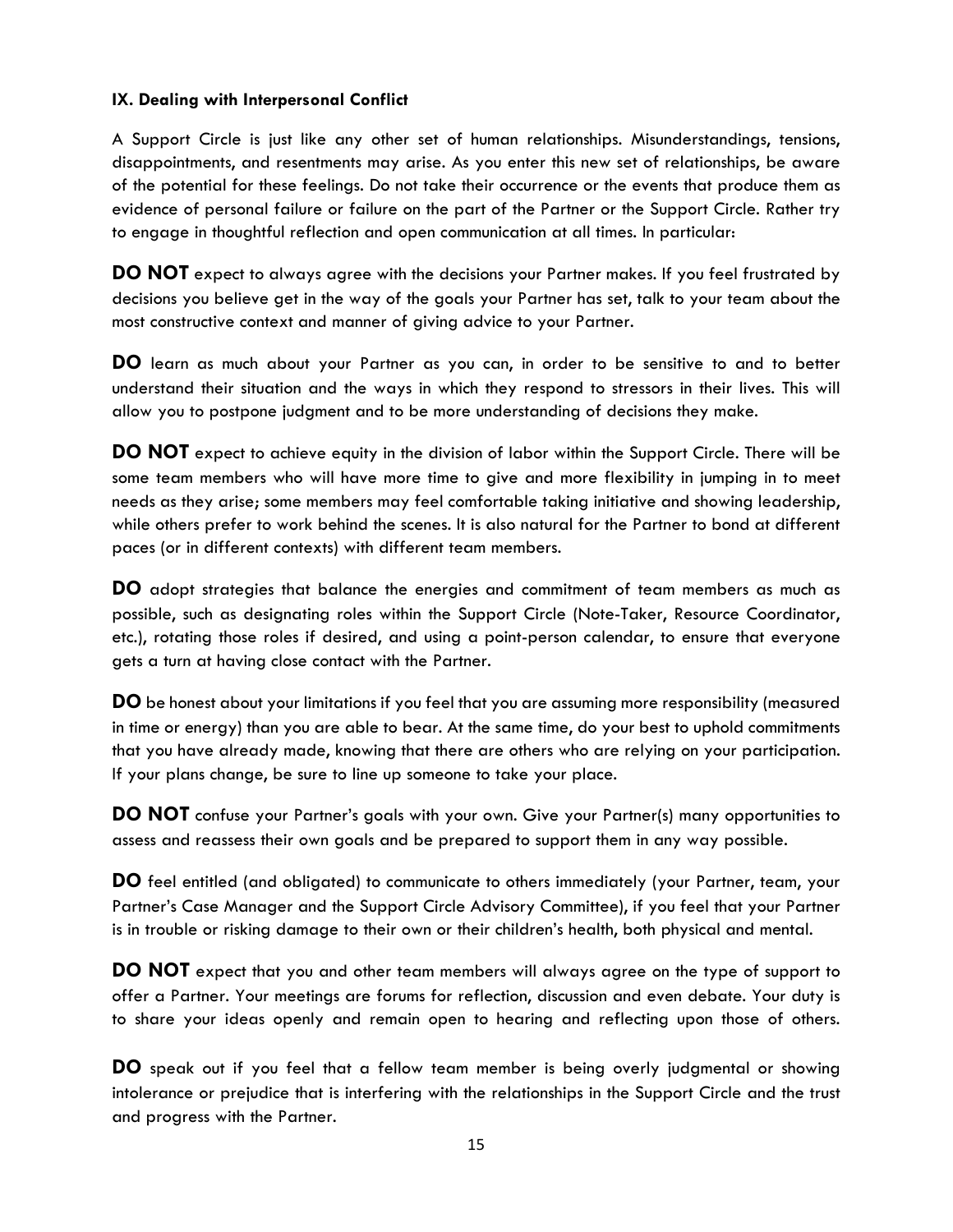## **IX. Dealing with Interpersonal Conflict**

A Support Circle is just like any other set of human relationships. Misunderstandings, tensions, disappointments, and resentments may arise. As you enter this new set of relationships, be aware of the potential for these feelings. Do not take their occurrence or the events that produce them as evidence of personal failure or failure on the part of the Partner or the Support Circle. Rather try to engage in thoughtful reflection and open communication at all times. In particular:

**DO NOT** expect to always agree with the decisions your Partner makes. If you feel frustrated by decisions you believe get in the way of the goals your Partner has set, talk to your team about the most constructive context and manner of giving advice to your Partner.

**DO** learn as much about your Partner as you can, in order to be sensitive to and to better understand their situation and the ways in which they respond to stressors in their lives. This will allow you to postpone judgment and to be more understanding of decisions they make.

**DO NOT** expect to achieve equity in the division of labor within the Support Circle. There will be some team members who will have more time to give and more flexibility in jumping in to meet needs as they arise; some members may feel comfortable taking initiative and showing leadership, while others prefer to work behind the scenes. It is also natural for the Partner to bond at different paces (or in different contexts) with different team members.

**DO** adopt strategies that balance the energies and commitment of team members as much as possible, such as designating roles within the Support Circle (Note-Taker, Resource Coordinator, etc.), rotating those roles if desired, and using a point-person calendar, to ensure that everyone gets a turn at having close contact with the Partner.

**DO** be honest about your limitations if you feel that you are assuming more responsibility (measured in time or energy) than you are able to bear. At the same time, do your best to uphold commitments that you have already made, knowing that there are others who are relying on your participation. If your plans change, be sure to line up someone to take your place.

**DO NOT** confuse your Partner's goals with your own. Give your Partner(s) many opportunities to assess and reassess their own goals and be prepared to support them in any way possible.

**DO** feel entitled (and obligated) to communicate to others immediately (your Partner, team, your Partner's Case Manager and the Support Circle Advisory Committee), if you feel that your Partner is in trouble or risking damage to their own or their children's health, both physical and mental.

**DO NOT** expect that you and other team members will always agree on the type of support to offer a Partner. Your meetings are forums for reflection, discussion and even debate. Your duty is to share your ideas openly and remain open to hearing and reflecting upon those of others.

**DO** speak out if you feel that a fellow team member is being overly judgmental or showing intolerance or prejudice that is interfering with the relationships in the Support Circle and the trust and progress with the Partner.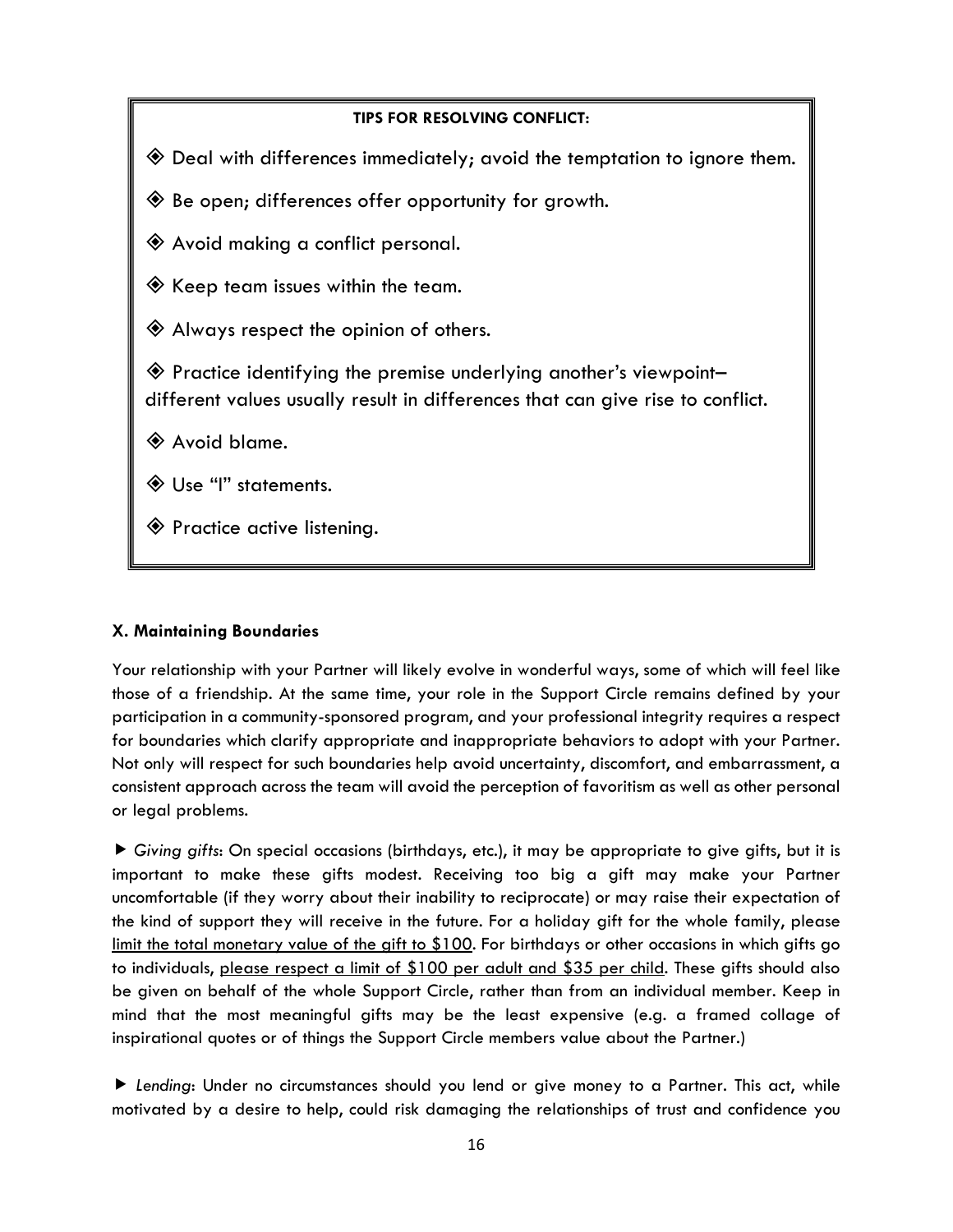# **TIPS FOR RESOLVING CONFLICT:** Deal with differences immediately; avoid the temptation to ignore them. Be open; differences offer opportunity for growth. Avoid making a conflict personal.  $\textcircled{\textbf{*}}$  Keep team issues within the team. Always respect the opinion of others.  $\textcolor{blue}{\bigotimes}$  Practice identifying the premise underlying another's viewpointdifferent values usually result in differences that can give rise to conflict. Avoid blame. Use "I" statements. Practice active listening.

## **X. Maintaining Boundaries**

Your relationship with your Partner will likely evolve in wonderful ways, some of which will feel like those of a friendship. At the same time, your role in the Support Circle remains defined by your participation in a community-sponsored program, and your professional integrity requires a respect for boundaries which clarify appropriate and inappropriate behaviors to adopt with your Partner. Not only will respect for such boundaries help avoid uncertainty, discomfort, and embarrassment, a consistent approach across the team will avoid the perception of favoritism as well as other personal or legal problems.

 *Giving gifts*: On special occasions (birthdays, etc.), it may be appropriate to give gifts, but it is important to make these gifts modest. Receiving too big a gift may make your Partner uncomfortable (if they worry about their inability to reciprocate) or may raise their expectation of the kind of support they will receive in the future. For a holiday gift for the whole family, please limit the total monetary value of the gift to \$100. For birthdays or other occasions in which gifts go to individuals, please respect a limit of \$100 per adult and \$35 per child. These gifts should also be given on behalf of the whole Support Circle, rather than from an individual member. Keep in mind that the most meaningful gifts may be the least expensive (e.g. a framed collage of inspirational quotes or of things the Support Circle members value about the Partner.)

 *Lending*: Under no circumstances should you lend or give money to a Partner. This act, while motivated by a desire to help, could risk damaging the relationships of trust and confidence you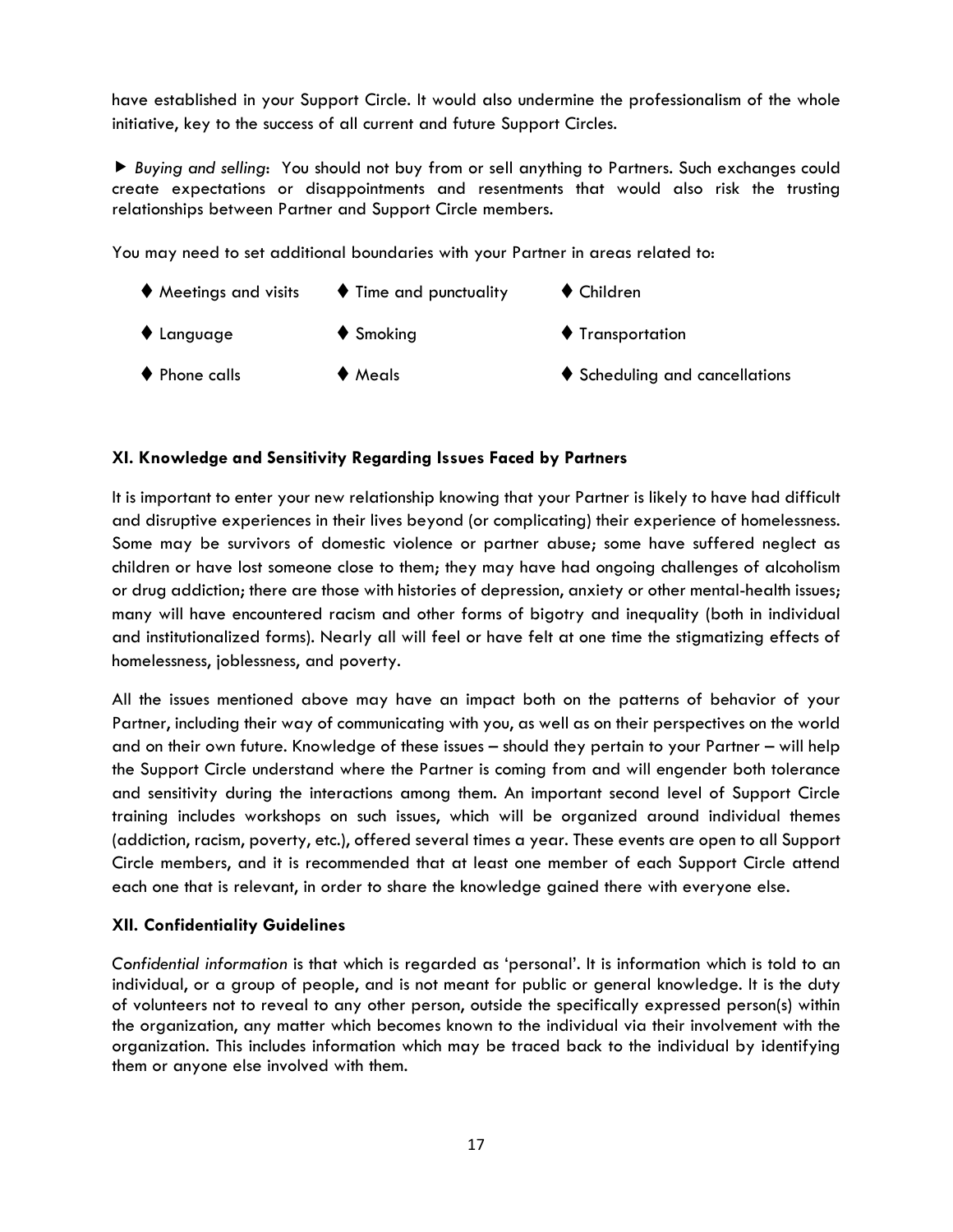have established in your Support Circle. It would also undermine the professionalism of the whole initiative, key to the success of all current and future Support Circles.

 *Buying and selling*: You should not buy from or sell anything to Partners. Such exchanges could create expectations or disappointments and resentments that would also risk the trusting relationships between Partner and Support Circle members.

You may need to set additional boundaries with your Partner in areas related to:

 $\blacklozenge$  Meetings and visits  $\blacklozenge$  Time and punctuality  $\blacklozenge$  Children ♦ Language ♦ Smoking ♦ Transportation  $\blacklozenge$  Phone calls  $\blacklozenge$   $\blacklozenge$  Meals  $\blacklozenge$  Scheduling and cancellations

## **XI. Knowledge and Sensitivity Regarding Issues Faced by Partners**

It is important to enter your new relationship knowing that your Partner is likely to have had difficult and disruptive experiences in their lives beyond (or complicating) their experience of homelessness. Some may be survivors of domestic violence or partner abuse; some have suffered neglect as children or have lost someone close to them; they may have had ongoing challenges of alcoholism or drug addiction; there are those with histories of depression, anxiety or other mental-health issues; many will have encountered racism and other forms of bigotry and inequality (both in individual and institutionalized forms). Nearly all will feel or have felt at one time the stigmatizing effects of homelessness, joblessness, and poverty.

All the issues mentioned above may have an impact both on the patterns of behavior of your Partner, including their way of communicating with you, as well as on their perspectives on the world and on their own future. Knowledge of these issues – should they pertain to your Partner – will help the Support Circle understand where the Partner is coming from and will engender both tolerance and sensitivity during the interactions among them. An important second level of Support Circle training includes workshops on such issues, which will be organized around individual themes (addiction, racism, poverty, etc.), offered several times a year. These events are open to all Support Circle members, and it is recommended that at least one member of each Support Circle attend each one that is relevant, in order to share the knowledge gained there with everyone else.

## **XII. Confidentiality Guidelines**

*Confidential information* is that which is regarded as 'personal'. It is information which is told to an individual, or a group of people, and is not meant for public or general knowledge. It is the duty of volunteers not to reveal to any other person, outside the specifically expressed person(s) within the organization, any matter which becomes known to the individual via their involvement with the organization. This includes information which may be traced back to the individual by identifying them or anyone else involved with them.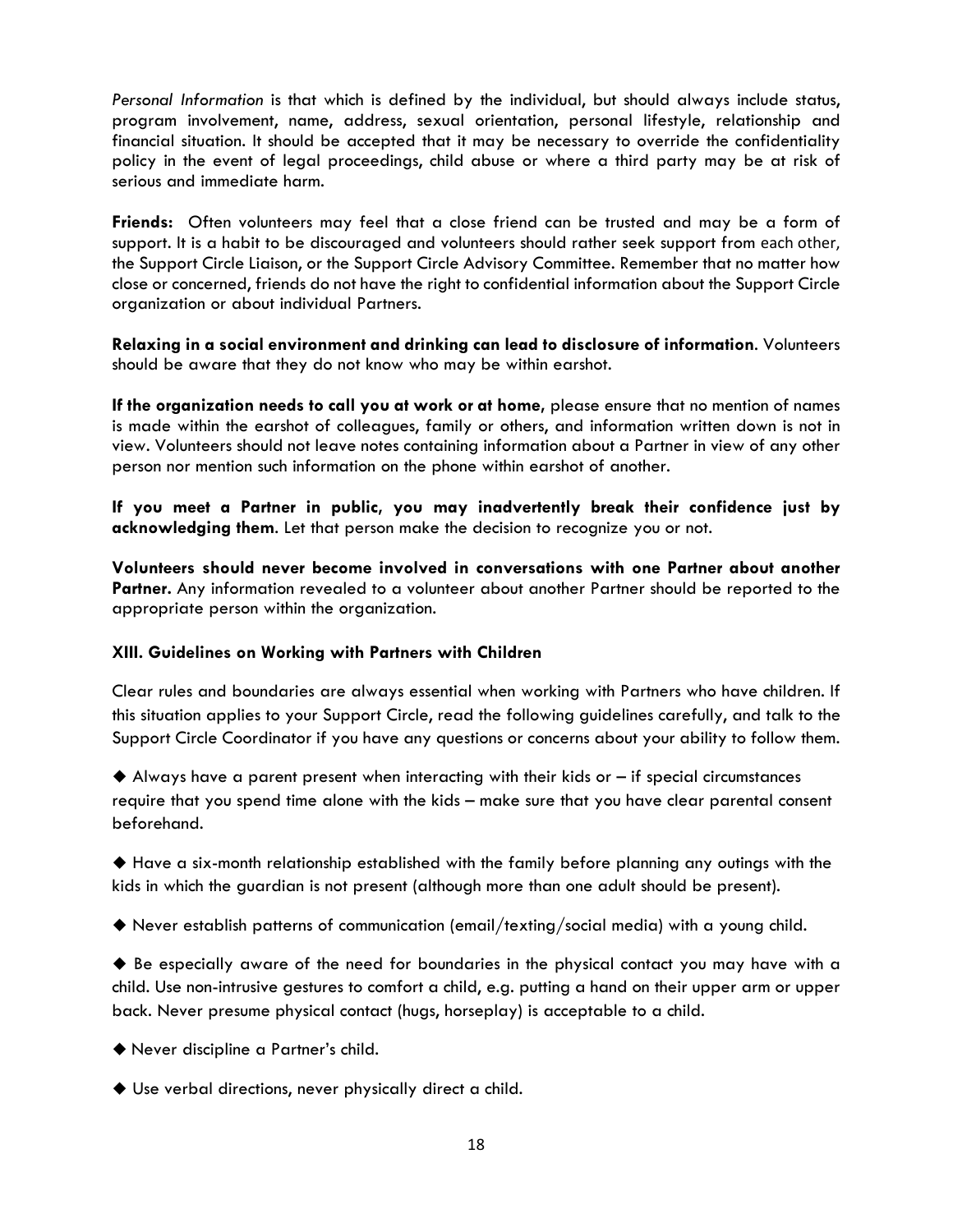*Personal Information* is that which is defined by the individual, but should always include status, program involvement, name, address, sexual orientation, personal lifestyle, relationship and financial situation. It should be accepted that it may be necessary to override the confidentiality policy in the event of legal proceedings, child abuse or where a third party may be at risk of serious and immediate harm.

**Friends:** Often volunteers may feel that a close friend can be trusted and may be a form of support. It is a habit to be discouraged and volunteers should rather seek support from each other, the Support Circle Liaison, or the Support Circle Advisory Committee. Remember that no matter how close or concerned, friends do not have the right to confidential information about the Support Circle organization or about individual Partners.

**Relaxing in a social environment and drinking can lead to disclosure of information**. Volunteers should be aware that they do not know who may be within earshot.

**If the organization needs to call you at work or at home,** please ensure that no mention of names is made within the earshot of colleagues, family or others, and information written down is not in view. Volunteers should not leave notes containing information about a Partner in view of any other person nor mention such information on the phone within earshot of another.

**If you meet a Partner in public, you may inadvertently break their confidence just by acknowledging them**. Let that person make the decision to recognize you or not.

**Volunteers should never become involved in conversations with one Partner about another Partner.** Any information revealed to a volunteer about another Partner should be reported to the appropriate person within the organization.

## **XIII. Guidelines on Working with Partners with Children**

Clear rules and boundaries are always essential when working with Partners who have children. If this situation applies to your Support Circle, read the following guidelines carefully, and talk to the Support Circle Coordinator if you have any questions or concerns about your ability to follow them.

 $\blacklozenge$  Always have a parent present when interacting with their kids or  $-$  if special circumstances require that you spend time alone with the kids – make sure that you have clear parental consent beforehand.

 Have a six-month relationship established with the family before planning any outings with the kids in which the guardian is not present (although more than one adult should be present).

Never establish patterns of communication (email/texting/social media) with a young child.

 $\blacklozenge$  Be especially aware of the need for boundaries in the physical contact you may have with a child. Use non-intrusive gestures to comfort a child, e.g. putting a hand on their upper arm or upper back. Never presume physical contact (hugs, horseplay) is acceptable to a child.

Never discipline a Partner's child.

Use verbal directions, never physically direct a child.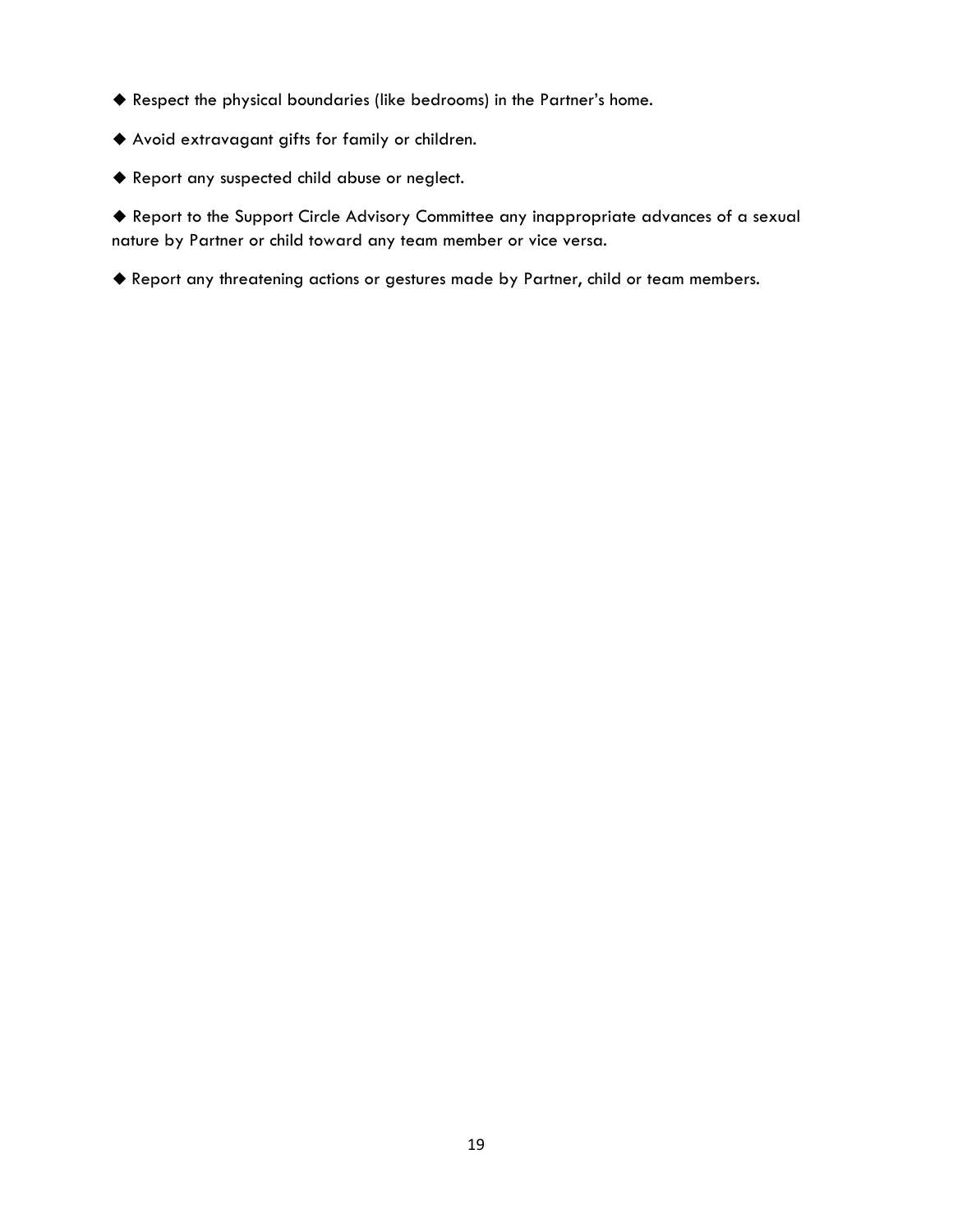- Respect the physical boundaries (like bedrooms) in the Partner's home.
- Avoid extravagant gifts for family or children.
- Report any suspected child abuse or neglect.

 Report to the Support Circle Advisory Committee any inappropriate advances of a sexual nature by Partner or child toward any team member or vice versa.

Report any threatening actions or gestures made by Partner, child or team members.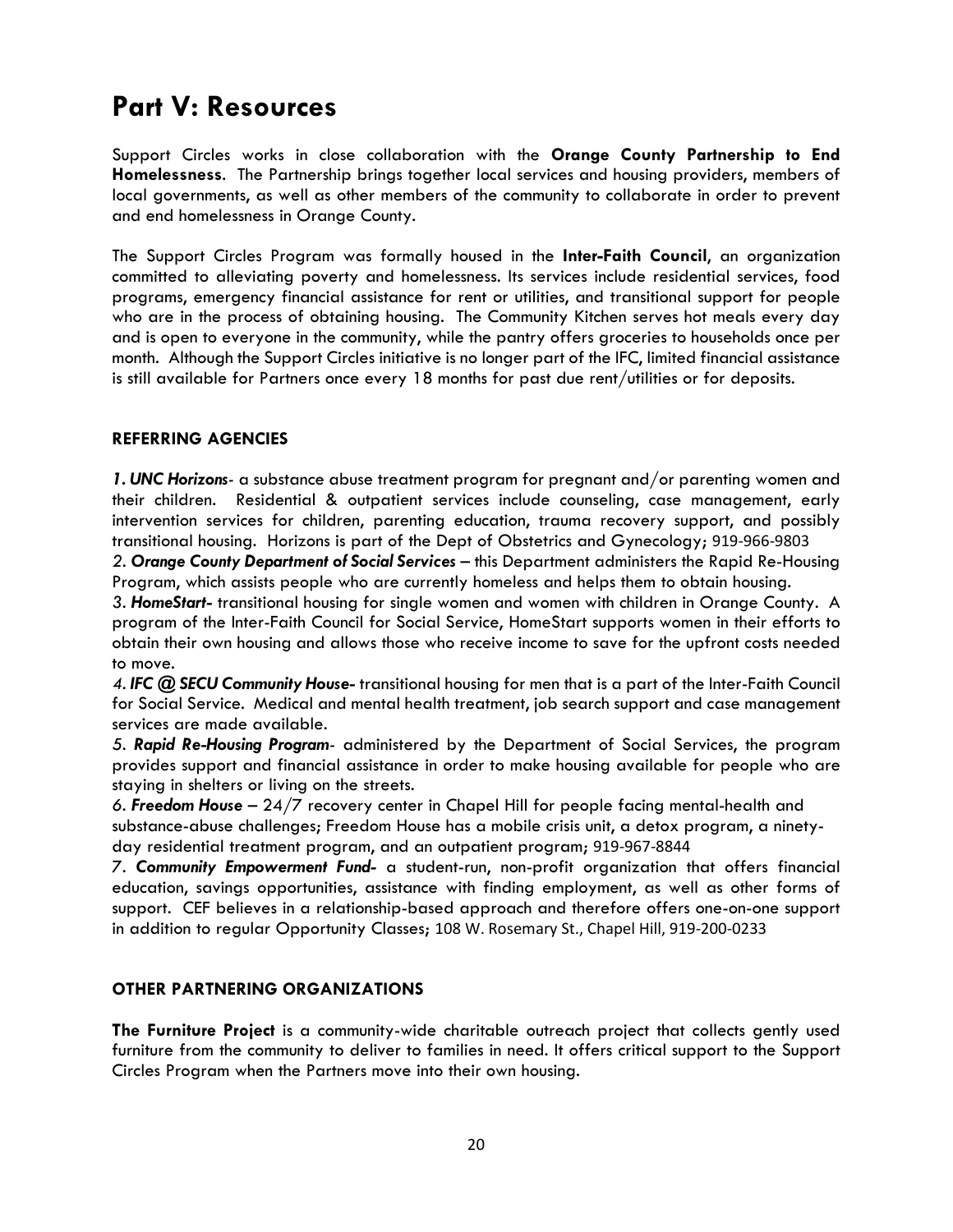## **Part V: Resources**

Support Circles works in close collaboration with the **Orange County Partnership to End Homelessness**. The Partnership brings together local services and housing providers, members of local governments, as well as other members of the community to collaborate in order to prevent and end homelessness in Orange County.

The Support Circles Program was formally housed in the **Inter-Faith Council**, an organization committed to alleviating poverty and homelessness. Its services include residential services, food programs, emergency financial assistance for rent or utilities, and transitional support for people who are in the process of obtaining housing. The Community Kitchen serves hot meals every day and is open to everyone in the community, while the pantry offers groceries to households once per month. Although the Support Circles initiative is no longer part of the IFC, limited financial assistance is still available for Partners once every 18 months for past due rent/utilities or for deposits.

## **REFERRING AGENCIES**

*1. UNC Horizons-* a substance abuse treatment program for pregnant and/or parenting women and their children. Residential & outpatient services include counseling, case management, early intervention services for children, parenting education, trauma recovery support, and possibly transitional housing. Horizons is part of the Dept of Obstetrics and Gynecology; 919-966-9803

*2. Orange County Department of Social Services –* this Department administers the Rapid Re-Housing Program, which assists people who are currently homeless and helps them to obtain housing.

*3. HomeStart-* transitional housing for single women and women with children in Orange County. A program of the Inter-Faith Council for Social Service, HomeStart supports women in their efforts to obtain their own housing and allows those who receive income to save for the upfront costs needed to move.

*4. IFC @ SECU Community House-* transitional housing for men that is a part of the Inter-Faith Council for Social Service. Medical and mental health treatment, job search support and case management services are made available.

*5. Rapid Re-Housing Program-* administered by the Department of Social Services, the program provides support and financial assistance in order to make housing available for people who are staying in shelters or living on the streets.

*6. Freedom House –* 24/7 recovery center in Chapel Hill for people facing mental-health and substance-abuse challenges; Freedom House has a mobile crisis unit, a detox program, a ninetyday residential treatment program, and an outpatient program; 919-967-8844

*7. Community Empowerment Fund-* a student-run, non-profit organization that offers financial education, savings opportunities, assistance with finding employment, as well as other forms of support. CEF believes in a relationship-based approach and therefore offers one-on-one support in addition to regular Opportunity Classes; 108 W. Rosemary St., Chapel Hill, 919-200-0233

## **OTHER PARTNERING ORGANIZATIONS**

**The Furniture Project** is a community-wide charitable outreach project that collects gently used furniture from the community to deliver to families in need. It offers critical support to the Support Circles Program when the Partners move into their own housing.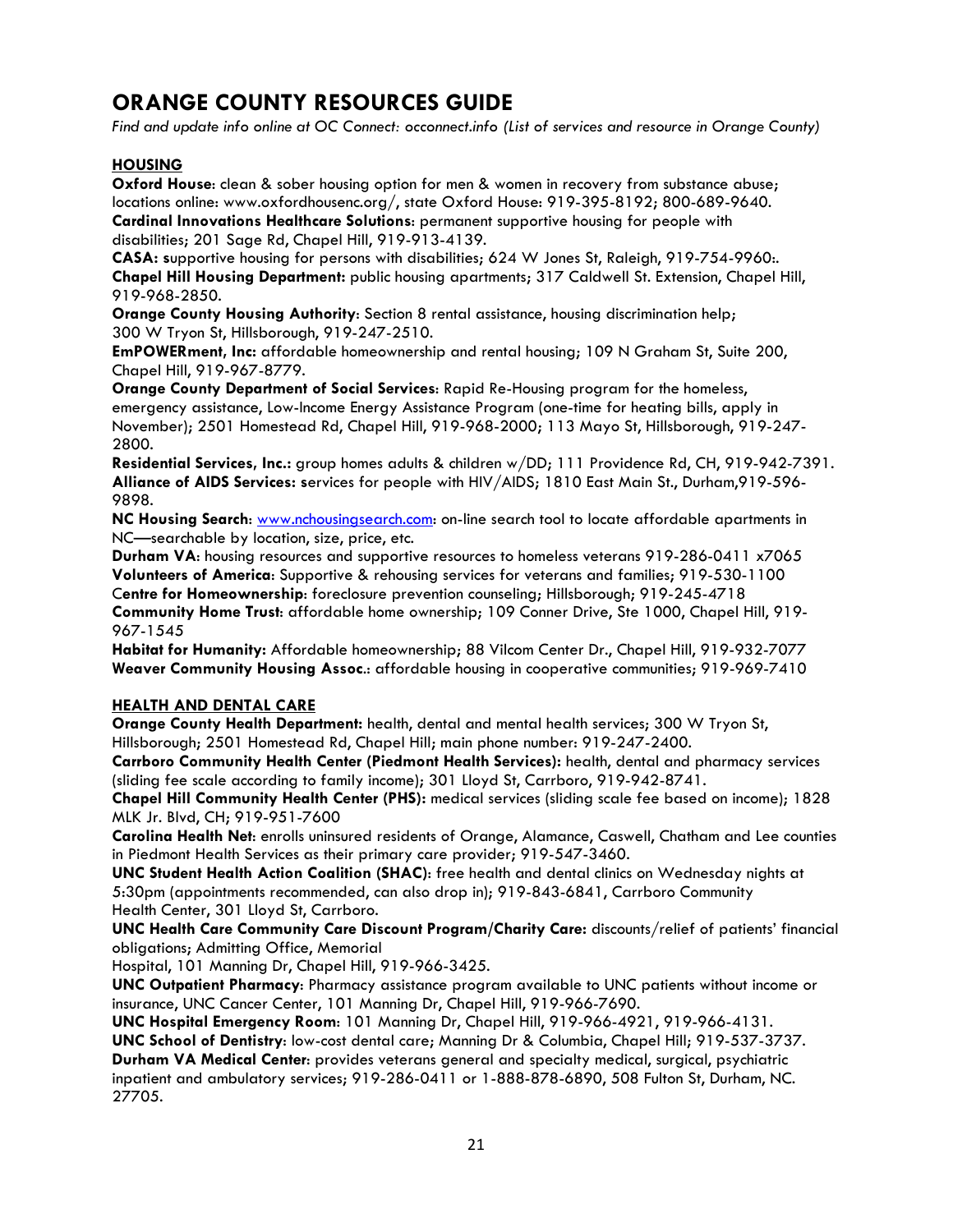## **ORANGE COUNTY RESOURCES GUIDE**

*Find and update info online at OC Connect: occonnect.info (List of services and resource in Orange County)*

## **HOUSING**

**Oxford House**: clean & sober housing option for men & women in recovery from substance abuse; locations online: www.oxfordhousenc.org/, state Oxford House: 919-395-8192; 800-689-9640. **Cardinal Innovations Healthcare Solutions**: permanent supportive housing for people with disabilities; 201 Sage Rd, Chapel Hill, 919-913-4139.

**CASA: s**upportive housing for persons with disabilities; 624 W Jones St, Raleigh, 919-754-9960:. **Chapel Hill Housing Department:** public housing apartments; 317 Caldwell St. Extension, Chapel Hill, 919-968-2850.

**Orange County Housing Authority:** Section 8 rental assistance, housing discrimination help; 300 W Tryon St, Hillsborough, 919-247-2510.

**EmPOWERment, Inc:** affordable homeownership and rental housing; 109 N Graham St, Suite 200, Chapel Hill, 919-967-8779.

**Orange County Department of Social Services**: Rapid Re-Housing program for the homeless, emergency assistance, Low-Income Energy Assistance Program (one-time for heating bills, apply in November); 2501 Homestead Rd, Chapel Hill, 919-968-2000; 113 Mayo St, Hillsborough, 919-247- 2800.

**Residential Services, Inc.:** group homes adults & children w/DD; 111 Providence Rd, CH, 919-942-7391. **Alliance of AIDS Services: s**ervices for people with HIV/AIDS; 1810 East Main St., Durham,919-596- 9898.

**NC Housing Search**: [www.nchousingsearch.com:](http://www.nchousingsearch.com/) on-line search tool to locate affordable apartments in NC—searchable by location, size, price, etc.

**Durham VA**: housing resources and supportive resources to homeless veterans 919-286-0411 x7065 **Volunteers of America**: Supportive & rehousing services for veterans and families; 919-530-1100 C**entre for Homeownership**: foreclosure prevention counseling; Hillsborough; 919-245-4718

**Community Home Trust**: affordable home ownership; 109 Conner Drive, Ste 1000, Chapel Hill, 919- 967-1545

**Habitat for Humanity:** Affordable homeownership; 88 Vilcom Center Dr., Chapel Hill, 919-932-7077 **Weaver Community Housing Assoc**.: affordable housing in cooperative communities; 919-969-7410

## **HEALTH AND DENTAL CARE**

**Orange County Health Department:** health, dental and mental health services; 300 W Tryon St, Hillsborough; 2501 Homestead Rd, Chapel Hill; main phone number: 919-247-2400.

**Carrboro Community Health Center (Piedmont Health Services):** health, dental and pharmacy services (sliding fee scale according to family income); 301 Lloyd St, Carrboro, 919-942-8741.

**Chapel Hill Community Health Center (PHS):** medical services (sliding scale fee based on income); 1828 MLK Jr. Blvd, CH; 919-951-7600

**Carolina Health Net**: enrolls uninsured residents of Orange, Alamance, Caswell, Chatham and Lee counties in Piedmont Health Services as their primary care provider; 919-547-3460.

**UNC Student Health Action Coalition (SHAC)**: free health and dental clinics on Wednesday nights at 5:30pm (appointments recommended, can also drop in); 919-843-6841, Carrboro Community Health Center, 301 Lloyd St, Carrboro.

**UNC Health Care Community Care Discount Program/Charity Care:** discounts/relief of patients' financial obligations; Admitting Office, Memorial

Hospital, 101 Manning Dr, Chapel Hill, 919-966-3425.

**UNC Outpatient Pharmacy**: Pharmacy assistance program available to UNC patients without income or insurance, UNC Cancer Center, 101 Manning Dr, Chapel Hill, 919-966-7690.

**UNC Hospital Emergency Room**: 101 Manning Dr, Chapel Hill, 919-966-4921, 919-966-4131.

**UNC School of Dentistry**: low-cost dental care; Manning Dr & Columbia, Chapel Hill; 919-537-3737.

**Durham VA Medical Center**: provides veterans general and specialty medical, surgical, psychiatric inpatient and ambulatory services; 919-286-0411 or 1-888-878-6890, 508 Fulton St, Durham, NC. 27705.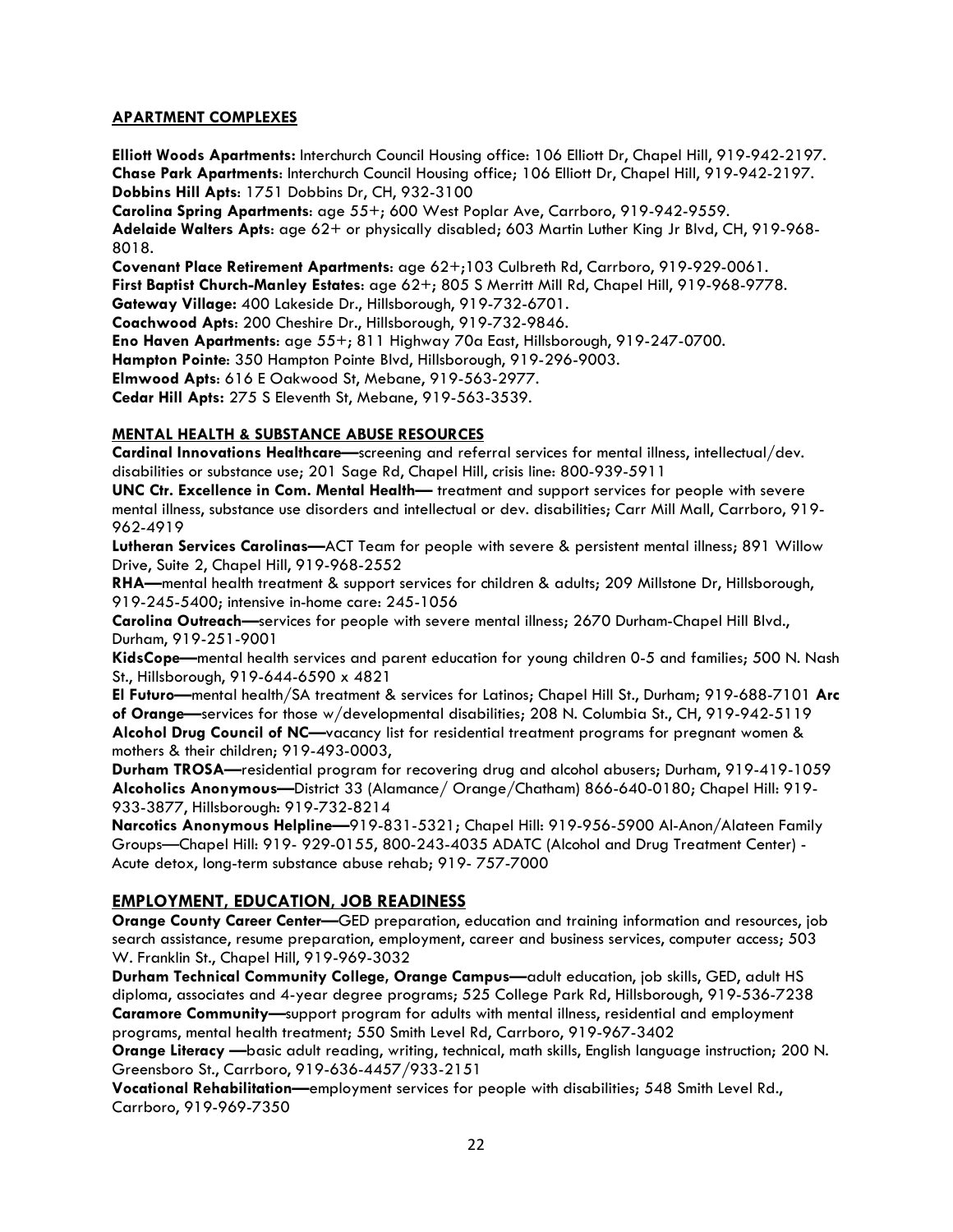## **APARTMENT COMPLEXES**

**Elliott Woods Apartments:** Interchurch Council Housing office: 106 Elliott Dr, Chapel Hill, 919-942-2197. **Chase Park Apartments**: Interchurch Council Housing office; 106 Elliott Dr, Chapel Hill, 919-942-2197. **Dobbins Hill Apts**: 1751 Dobbins Dr, CH, 932-3100

**Carolina Spring Apartments**: age 55+; 600 West Poplar Ave, Carrboro, 919-942-9559.

**Adelaide Walters Apts**: age 62+ or physically disabled; 603 Martin Luther King Jr Blvd, CH, 919-968- 8018.

**Covenant Place Retirement Apartments**: age 62+;103 Culbreth Rd, Carrboro, 919-929-0061. **First Baptist Church-Manley Estates**: age 62+; 805 S Merritt Mill Rd, Chapel Hill, 919-968-9778.

**Gateway Village:** 400 Lakeside Dr., Hillsborough, 919-732-6701.

**Coachwood Apts**: 200 Cheshire Dr., Hillsborough, 919-732-9846.

**Eno Haven Apartments**: age 55+; 811 Highway 70a East, Hillsborough, 919-247-0700.

**Hampton Pointe**: 350 Hampton Pointe Blvd, Hillsborough, 919-296-9003.

**Elmwood Apts**: 616 E Oakwood St, Mebane, 919-563-2977.

**Cedar Hill Apts:** 275 S Eleventh St, Mebane, 919-563-3539.

## **MENTAL HEALTH & SUBSTANCE ABUSE RESOURCES**

**Cardinal Innovations Healthcare—**screening and referral services for mental illness, intellectual/dev. disabilities or substance use; 201 Sage Rd, Chapel Hill, crisis line: 800-939-5911

**UNC Ctr. Excellence in Com. Mental Health—** treatment and support services for people with severe mental illness, substance use disorders and intellectual or dev. disabilities; Carr Mill Mall, Carrboro, 919- 962-4919

**Lutheran Services Carolinas—**ACT Team for people with severe & persistent mental illness; 891 Willow Drive, Suite 2, Chapel Hill, 919-968-2552

**RHA—**mental health treatment & support services for children & adults; 209 Millstone Dr, Hillsborough, 919-245-5400; intensive in-home care: 245-1056

**Carolina Outreach—**services for people with severe mental illness; 2670 Durham-Chapel Hill Blvd., Durham, 919-251-9001

**KidsCope—**mental health services and parent education for young children 0-5 and families; 500 N. Nash St., Hillsborough, 919-644-6590 x 4821

**El Futuro—**mental health/SA treatment & services for Latinos; Chapel Hill St., Durham; 919-688-7101 **Arc of Orange—**services for those w/developmental disabilities; 208 N. Columbia St., CH, 919-942-5119 **Alcohol Drug Council of NC—**vacancy list for residential treatment programs for pregnant women & mothers & their children; 919-493-0003,

**Durham TROSA—**residential program for recovering drug and alcohol abusers; Durham, 919-419-1059 **Alcoholics Anonymous—**District 33 (Alamance/ Orange/Chatham) 866-640-0180; Chapel Hill: 919- 933-3877, Hillsborough: 919-732-8214

**Narcotics Anonymous Helpline—**919-831-5321; Chapel Hill: 919-956-5900 Al-Anon/Alateen Family Groups—Chapel Hill: 919- 929-0155, 800-243-4035 ADATC (Alcohol and Drug Treatment Center) - Acute detox, long-term substance abuse rehab; 919- 757-7000

## **EMPLOYMENT, EDUCATION, JOB READINESS**

**Orange County Career Center—**GED preparation, education and training information and resources, job search assistance, resume preparation, employment, career and business services, computer access; 503 W. Franklin St., Chapel Hill, 919-969-3032

**Durham Technical Community College, Orange Campus—**adult education, job skills, GED, adult HS diploma, associates and 4-year degree programs; 525 College Park Rd, Hillsborough, 919-536-7238 **Caramore Community—**support program for adults with mental illness, residential and employment programs, mental health treatment; 550 Smith Level Rd, Carrboro, 919-967-3402

**Orange Literacy —**basic adult reading, writing, technical, math skills, English language instruction; 200 N. Greensboro St., Carrboro, 919-636-4457/933-2151

**Vocational Rehabilitation—**employment services for people with disabilities; 548 Smith Level Rd., Carrboro, 919-969-7350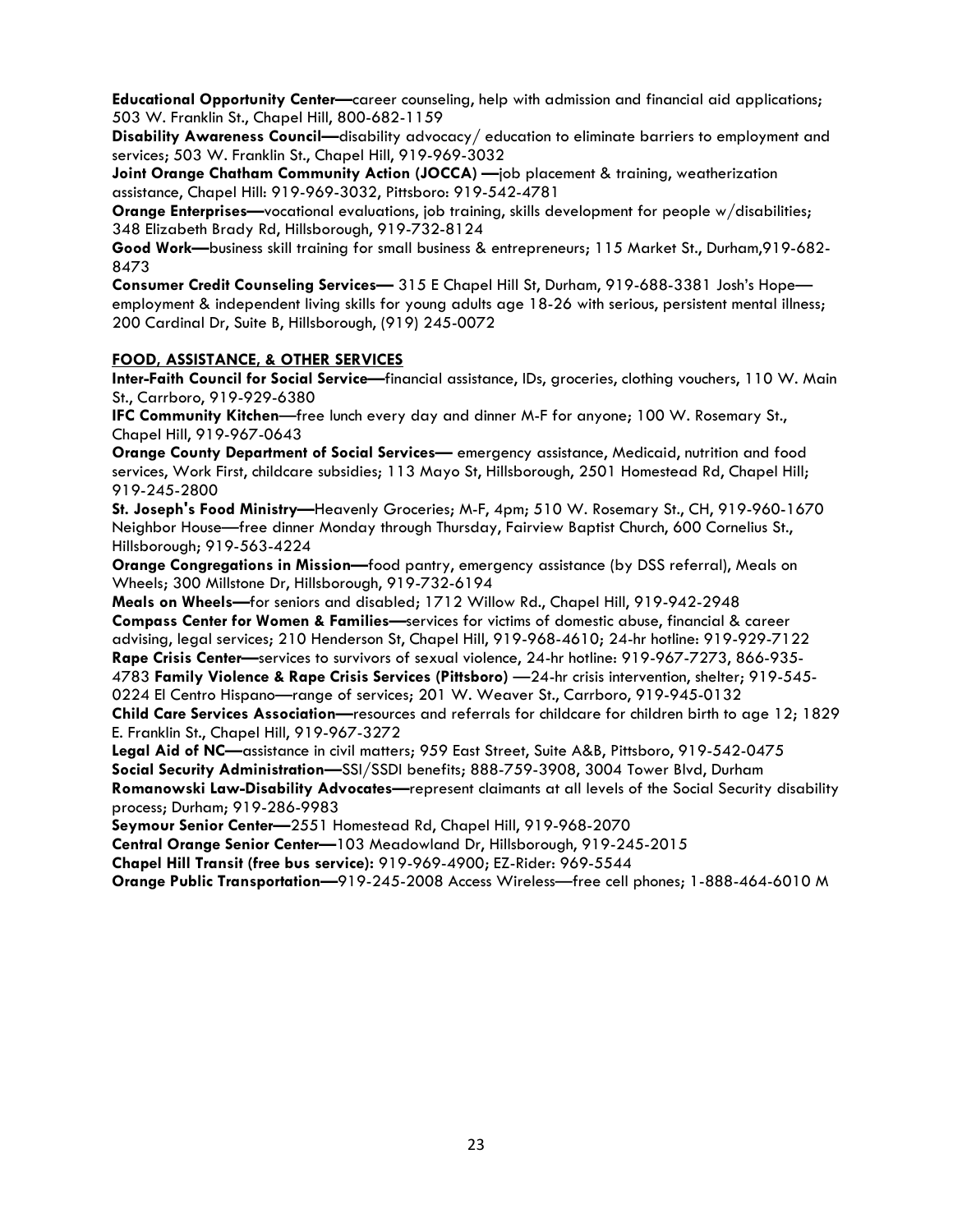**Educational Opportunity Center—**career counseling, help with admission and financial aid applications; 503 W. Franklin St., Chapel Hill, 800-682-1159

**Disability Awareness Council—**disability advocacy/ education to eliminate barriers to employment and services; 503 W. Franklin St., Chapel Hill, 919-969-3032

**Joint Orange Chatham Community Action (JOCCA)** —job placement & training, weatherization assistance, Chapel Hill: 919-969-3032, Pittsboro: 919-542-4781

**Orange Enterprises—**vocational evaluations, job training, skills development for people w/disabilities; 348 Elizabeth Brady Rd, Hillsborough, 919-732-8124

**Good Work—**business skill training for small business & entrepreneurs; 115 Market St., Durham,919-682- 8473

**Consumer Credit Counseling Services—** 315 E Chapel Hill St, Durham, 919-688-3381 Josh's Hope employment & independent living skills for young adults age 18-26 with serious, persistent mental illness; 200 Cardinal Dr, Suite B, Hillsborough, (919) 245-0072

#### **FOOD, ASSISTANCE, & OTHER SERVICES**

**Inter-Faith Council for Social Service—**financial assistance, IDs, groceries, clothing vouchers, 110 W. Main St., Carrboro, 919-929-6380

**IFC Community Kitchen**—free lunch every day and dinner M-F for anyone; 100 W. Rosemary St., Chapel Hill, 919-967-0643

**Orange County Department of Social Services—** emergency assistance, Medicaid, nutrition and food services, Work First, childcare subsidies; 113 Mayo St, Hillsborough, 2501 Homestead Rd, Chapel Hill; 919-245-2800

**St. Joseph's Food Ministry—**Heavenly Groceries; M-F, 4pm; 510 W. Rosemary St., CH, 919-960-1670 Neighbor House—free dinner Monday through Thursday, Fairview Baptist Church, 600 Cornelius St., Hillsborough; 919-563-4224

**Orange Congregations in Mission—**food pantry, emergency assistance (by DSS referral), Meals on Wheels; 300 Millstone Dr, Hillsborough, 919-732-6194

**Meals on Wheels—**for seniors and disabled; 1712 Willow Rd., Chapel Hill, 919-942-2948 **Compass Center for Women & Families—**services for victims of domestic abuse, financial & career advising, legal services; 210 Henderson St, Chapel Hill, 919-968-4610; 24-hr hotline: 919-929-7122 **Rape Crisis Center—**services to survivors of sexual violence, 24-hr hotline: 919-967-7273, 866-935- 4783 **Family Violence & Rape Crisis Services (Pittsboro)** —24-hr crisis intervention, shelter; 919-545- 0224 El Centro Hispano—range of services; 201 W. Weaver St., Carrboro, 919-945-0132 **Child Care Services Association—**resources and referrals for childcare for children birth to age 12; 1829 E. Franklin St., Chapel Hill, 919-967-3272

**Legal Aid of NC—**assistance in civil matters; 959 East Street, Suite A&B, Pittsboro, 919-542-0475 **Social Security Administration—**SSI/SSDI benefits; 888-759-3908, 3004 Tower Blvd, Durham **Romanowski Law-Disability Advocates—**represent claimants at all levels of the Social Security disability process; Durham; 919-286-9983

**Seymour Senior Center—**2551 Homestead Rd, Chapel Hill, 919-968-2070

**Central Orange Senior Center—**103 Meadowland Dr, Hillsborough, 919-245-2015

**Chapel Hill Transit (free bus service):** 919-969-4900; EZ-Rider: 969-5544

**Orange Public Transportation—**919-245-2008 Access Wireless—free cell phones; 1-888-464-6010 M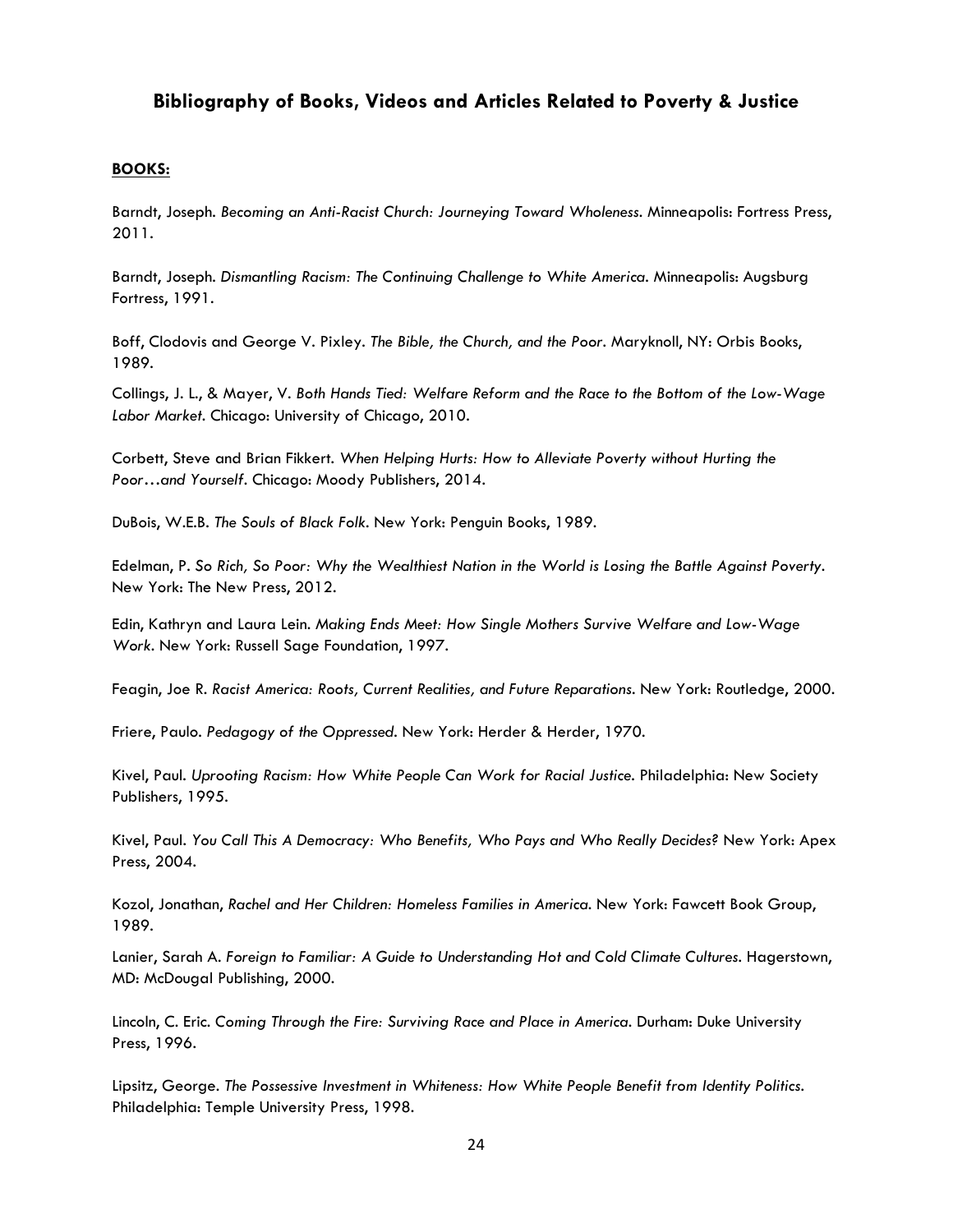## **Bibliography of Books, Videos and Articles Related to Poverty & Justice**

#### **BOOKS:**

Barndt, Joseph. *Becoming an Anti-Racist Church: Journeying Toward Wholeness.* Minneapolis: Fortress Press, 2011.

Barndt, Joseph. *Dismantling Racism: The Continuing Challenge to White America.* Minneapolis: Augsburg Fortress, 1991.

Boff, Clodovis and George V. Pixley. *The Bible, the Church, and the Poor.* Maryknoll, NY: Orbis Books, 1989.

Collings, J. L., & Mayer, V. *Both Hands Tied: Welfare Reform and the Race to the Bottom of the Low-Wage Labor Market.* Chicago: University of Chicago, 2010.

Corbett, Steve and Brian Fikkert. *When Helping Hurts: How to Alleviate Poverty without Hurting the Poor…and Yourself*. Chicago: [Moody](http://www.alibris.com/search/books/author/John-Perkins) Publishers, 2014.

DuBois, W.E.B. *The Souls of Black Folk.* New York: Penguin Books, 1989.

Edelman, P. *So Rich, So Poor: Why the Wealthiest Nation in the World is Losing the Battle Against Poverty.* New York: The New Press, 2012.

Edin, Kathryn and Laura Lein. *Making Ends Meet: How Single Mothers Survive Welfare and Low-Wage Work.* New York: Russell Sage Foundation, 1997.

Feagin, Joe R*. Racist America: Roots, Current Realities, and Future Reparations.* New York: Routledge, 2000.

Friere, Paulo. *Pedagogy of the Oppressed.* New York: Herder & Herder, 1970.

Kivel, Paul. *Uprooting Racism: How White People Can Work for Racial Justice.* Philadelphia: New Society Publishers, 1995.

Kivel, Paul. *You Call This A Democracy: Who Benefits, Who Pays and Who Really Decides?* New York: Apex Press, 2004.

Kozol, Jonathan, *Rachel and Her Children: Homeless Families in America.* New York: Fawcett Book Group, 1989.

Lanier, Sarah A. Foreign to Familiar: A Guide to Understanding Hot and Cold Climate Cultures. Hagerstown, MD: McDougal Publishing, 2000.

Lincoln, C. Eric. *Coming Through the Fire: Surviving Race and Place in America.* Durham: Duke University Press, 1996.

Lipsitz, George. *The Possessive Investment in Whiteness: How White People Benefit from Identity Politics.* Philadelphia: Temple University Press, 1998.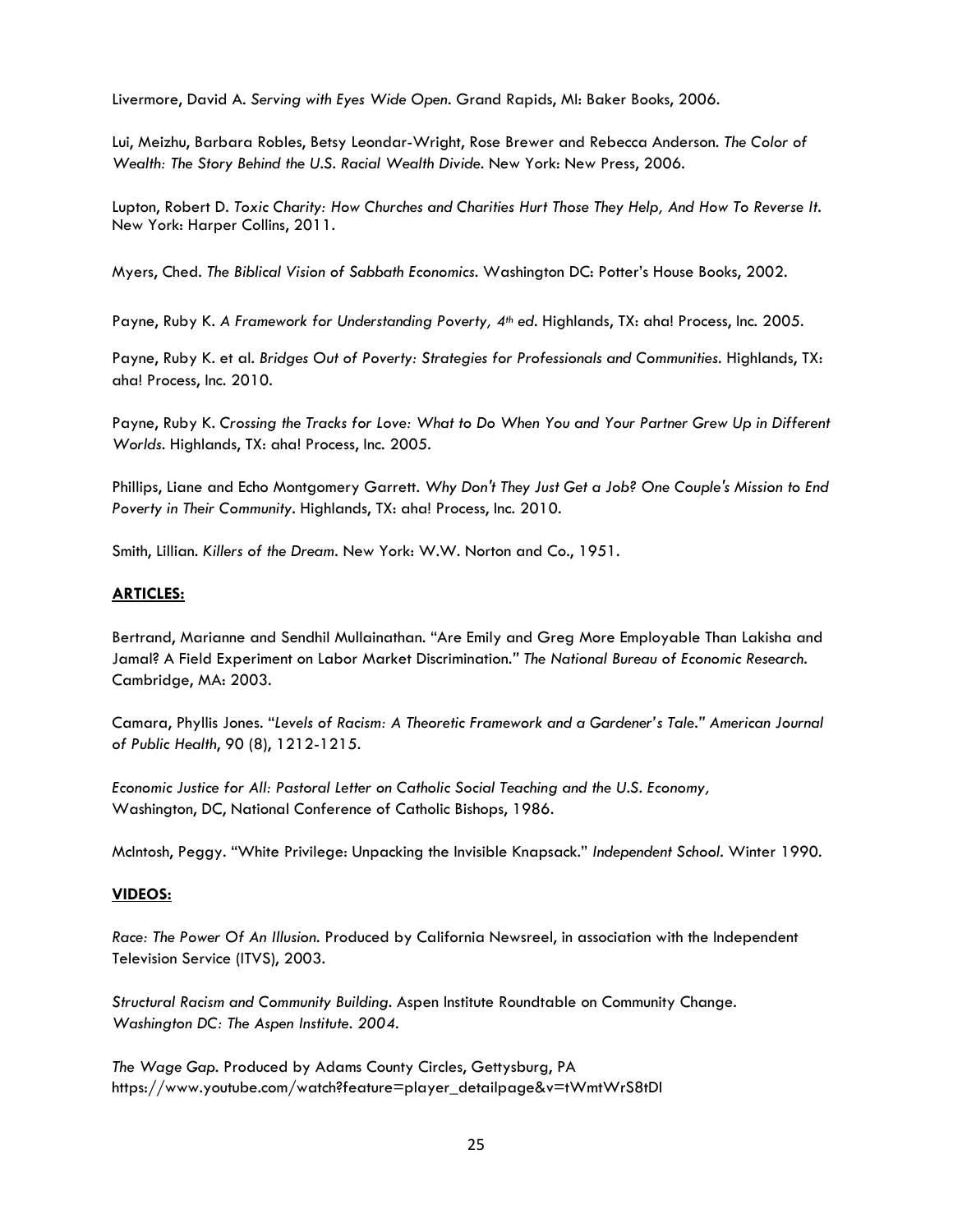Livermore, David A. *Serving with Eyes Wide Open*. Grand Rapids, MI: Baker Books, 2006.

Lui, Meizhu, Barbara Robles, Betsy Leondar-Wright, Rose Brewer and Rebecca Anderson. *The Color of Wealth: The Story Behind the U.S. Racial Wealth Divide.* New York: New Press, 2006.

Lupton, Robert D. *Toxic Charity: How Churches and Charities Hurt Those They Help, And How To Reverse It.* New York: Harper Collins, 2011.

Myers, Ched. *The Biblical Vision of Sabbath Economics.* Washington DC: Potter's House Books, 2002.

Payne, Ruby K. *A Framework for Understanding Poverty, 4th ed.* Highlands, TX: aha! Process, Inc. 2005.

Payne, Ruby K. et al. *Bridges Out of Poverty: Strategies for Professionals and Communities.* Highlands, TX: aha! Process, Inc. 2010.

Payne, Ruby K. *Crossing the Tracks for Love: What to Do When You and Your Partner Grew Up in Different Worlds.* Highlands, TX: aha! Process, Inc. 2005.

Phillips, Liane and Echo Montgomery Garrett. *Why Don't They Just Get a Job? One Couple's Mission to End Poverty in Their Community*. Highlands, TX: aha! Process, Inc. 2010.

Smith, Lillian. *Killers of the Dream.* New York: W.W. Norton and Co., 1951.

## **ARTICLES:**

Bertrand, Marianne and Sendhil Mullainathan. ["Are Emily and Greg More Employable Than Lakisha and](http://d3h47xle2cecj9.cloudfront.net/wp-content/uploads/2013/08/emilygreg.pdf)  Jamal? [A Field Experiment on Labor Market Discrimination.](http://d3h47xle2cecj9.cloudfront.net/wp-content/uploads/2013/08/emilygreg.pdf)*" The National Bureau of Economic Research.*  Cambridge, MA: 2003.

Camara, Phyllis Jones. "*Levels of Racism: A Theoretic Framework and a Gardener's Tale." American Journal of Public Health*, 90 (8), 1212-1215.

*Economic Justice for All: Pastoral Letter on Catholic Social Teaching and the U.S. Economy,* Washington, DC, National Conference of Catholic Bishops, 1986.

McIntosh, Peggy. "White Privilege: Unpacking the Invisible Knapsack." *Independent School*. Winter 1990.

## **VIDEOS:**

*Race: The Power Of An Illusion.* Produced by California Newsreel, in association with the Independent Television Service (ITVS), 2003.

*Structural Racism and Community Building.* Aspen Institute Roundtable on Community Change. *Washington DC: The Aspen Institute. 2004.*

*The Wage Gap.* Produced by Adams County Circles, Gettysburg, PA https://www.youtube.com/watch?feature=player\_detailpage&v=tWmtWrS8tDI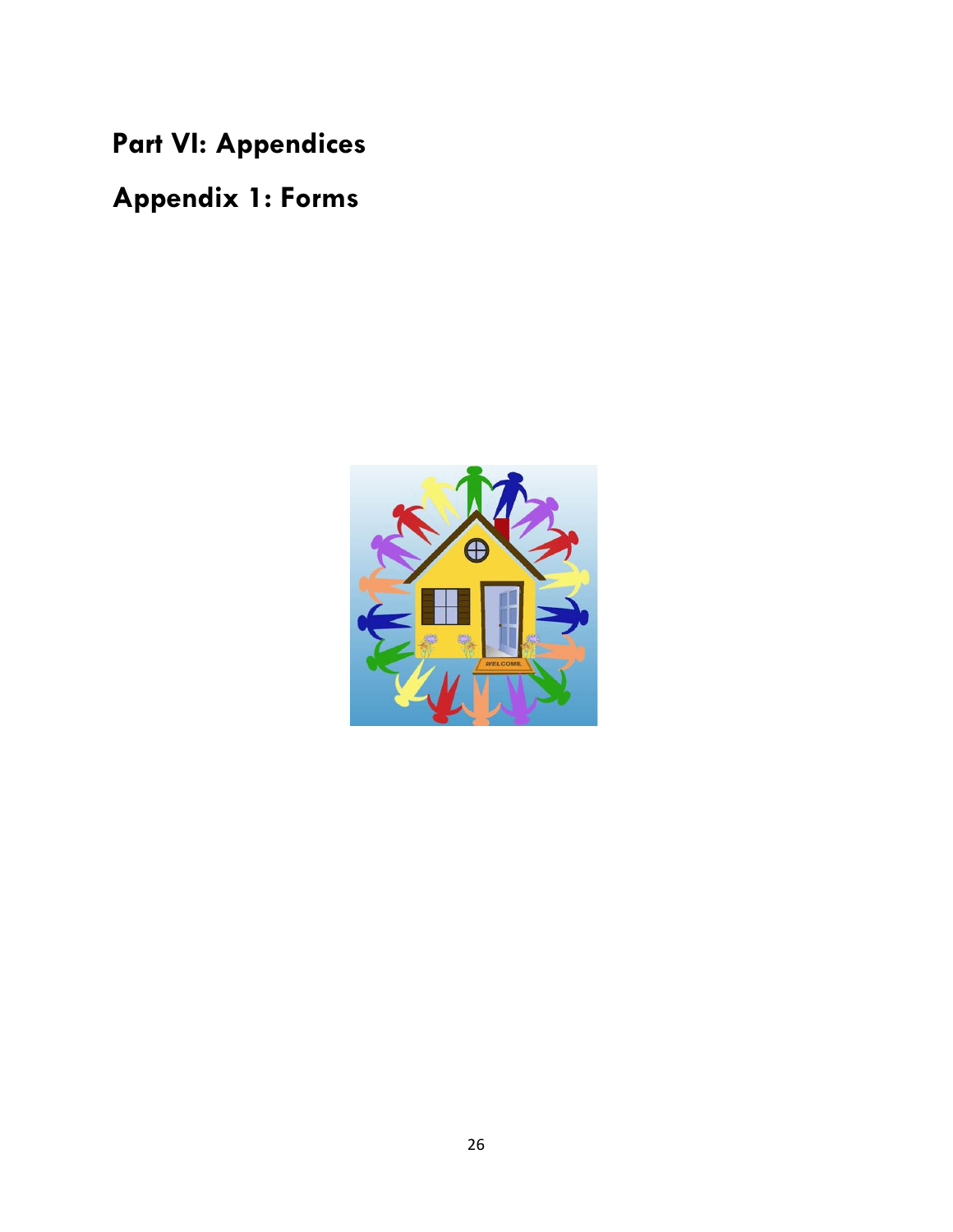**Part VI: Appendices**

**Appendix 1: Forms**

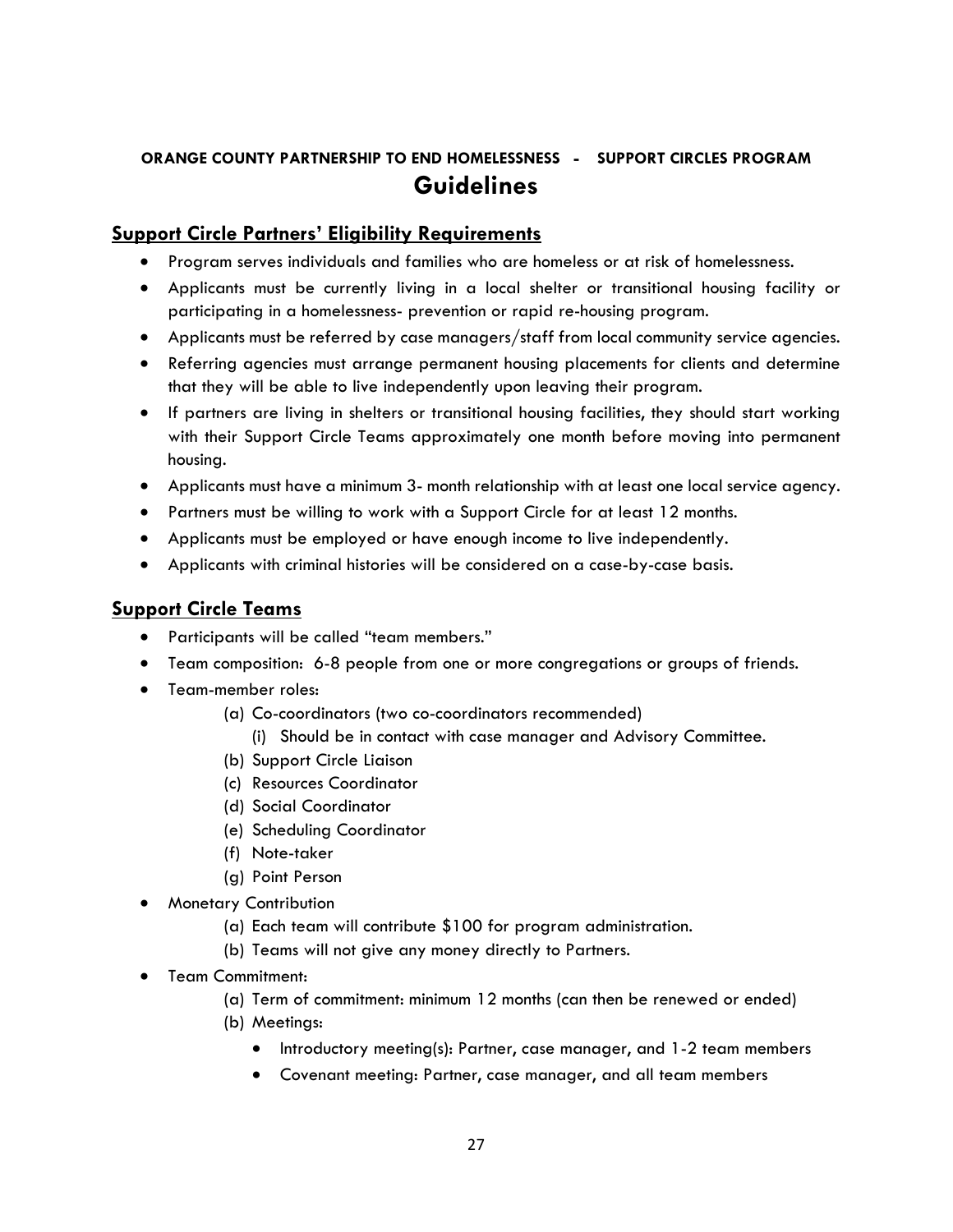## **ORANGE COUNTY PARTNERSHIP TO END HOMELESSNESS - SUPPORT CIRCLES PROGRAM Guidelines**

## **Support Circle Partners' Eligibility Requirements**

- Program serves individuals and families who are homeless or at risk of homelessness.
- Applicants must be currently living in a local shelter or transitional housing facility or participating in a homelessness- prevention or rapid re-housing program.
- Applicants must be referred by case managers/staff from local community service agencies.
- Referring agencies must arrange permanent housing placements for clients and determine that they will be able to live independently upon leaving their program.
- If partners are living in shelters or transitional housing facilities, they should start working with their Support Circle Teams approximately one month before moving into permanent housing.
- Applicants must have a minimum 3- month relationship with at least one local service agency.
- Partners must be willing to work with a Support Circle for at least 12 months.
- Applicants must be employed or have enough income to live independently.
- Applicants with criminal histories will be considered on a case-by-case basis.

## **Support Circle Teams**

- Participants will be called "team members."
- Team composition: 6-8 people from one or more congregations or groups of friends.
- Team-member roles:
	- (a) Co-coordinators (two co-coordinators recommended)
		- (i) Should be in contact with case manager and Advisory Committee.
	- (b) Support Circle Liaison
	- (c) Resources Coordinator
	- (d) Social Coordinator
	- (e) Scheduling Coordinator
	- (f) Note-taker
	- (g) Point Person
- Monetary Contribution
	- (a) Each team will contribute \$100 for program administration.
	- (b) Teams will not give any money directly to Partners.
- Team Commitment:
	- (a) Term of commitment: minimum 12 months (can then be renewed or ended)
	- (b) Meetings:
		- Introductory meeting(s): Partner, case manager, and 1-2 team members
		- Covenant meeting: Partner, case manager, and all team members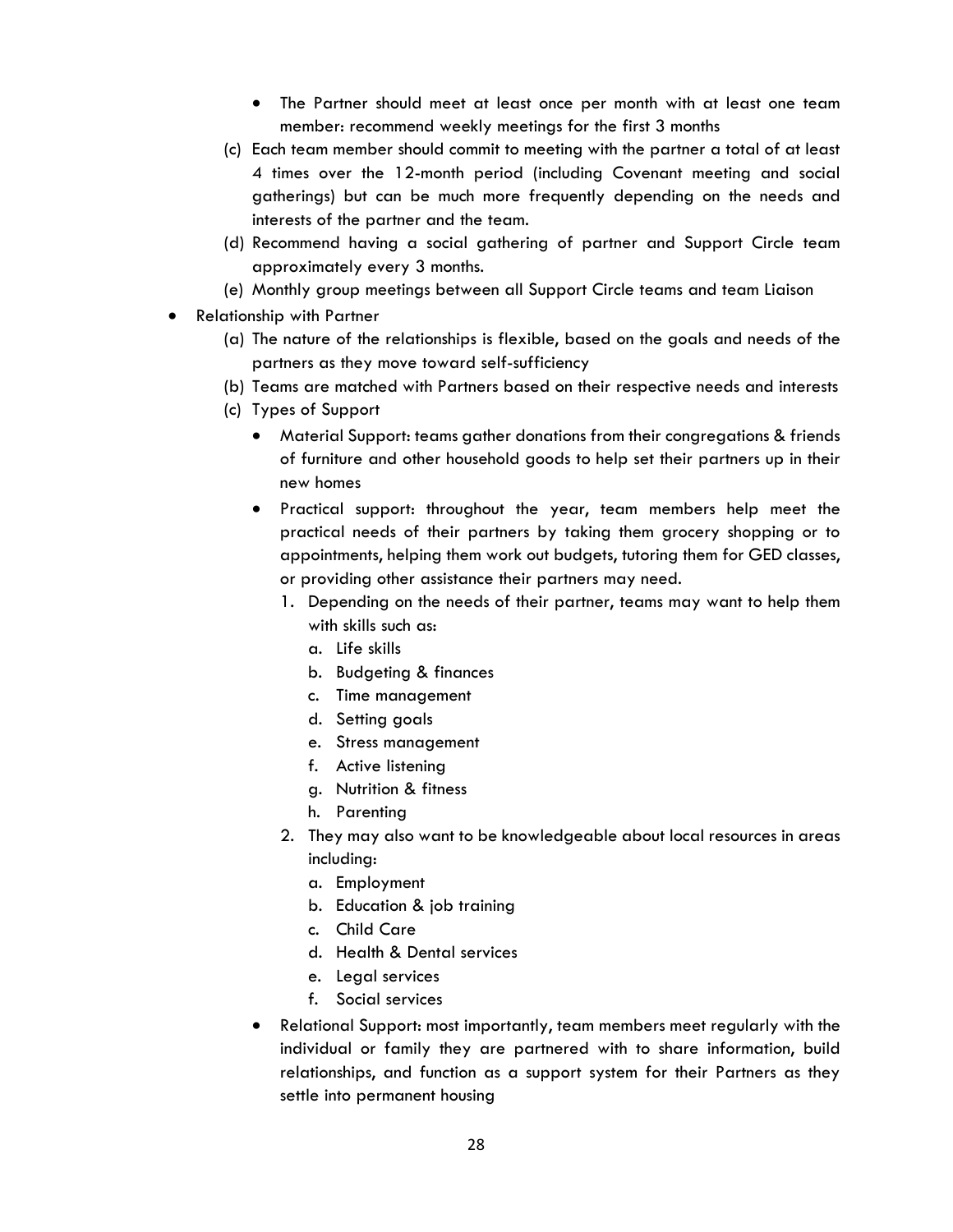- The Partner should meet at least once per month with at least one team member: recommend weekly meetings for the first 3 months
- (c) Each team member should commit to meeting with the partner a total of at least 4 times over the 12-month period (including Covenant meeting and social gatherings) but can be much more frequently depending on the needs and interests of the partner and the team.
- (d) Recommend having a social gathering of partner and Support Circle team approximately every 3 months.
- (e) Monthly group meetings between all Support Circle teams and team Liaison
- Relationship with Partner
	- (a) The nature of the relationships is flexible, based on the goals and needs of the partners as they move toward self-sufficiency
	- (b) Teams are matched with Partners based on their respective needs and interests
	- (c) Types of Support
		- Material Support: teams gather donations from their congregations & friends of furniture and other household goods to help set their partners up in their new homes
		- Practical support: throughout the year, team members help meet the practical needs of their partners by taking them grocery shopping or to appointments, helping them work out budgets, tutoring them for GED classes, or providing other assistance their partners may need.
			- 1. Depending on the needs of their partner, teams may want to help them with skills such as:
				- a. Life skills
				- b. Budgeting & finances
				- c. Time management
				- d. Setting goals
				- e. Stress management
				- f. Active listening
				- g. Nutrition & fitness
				- h. Parenting
			- 2. They may also want to be knowledgeable about local resources in areas including:
				- a. Employment
				- b. Education & job training
				- c. Child Care
				- d. Health & Dental services
				- e. Legal services
				- f. Social services
		- Relational Support: most importantly, team members meet regularly with the individual or family they are partnered with to share information, build relationships, and function as a support system for their Partners as they settle into permanent housing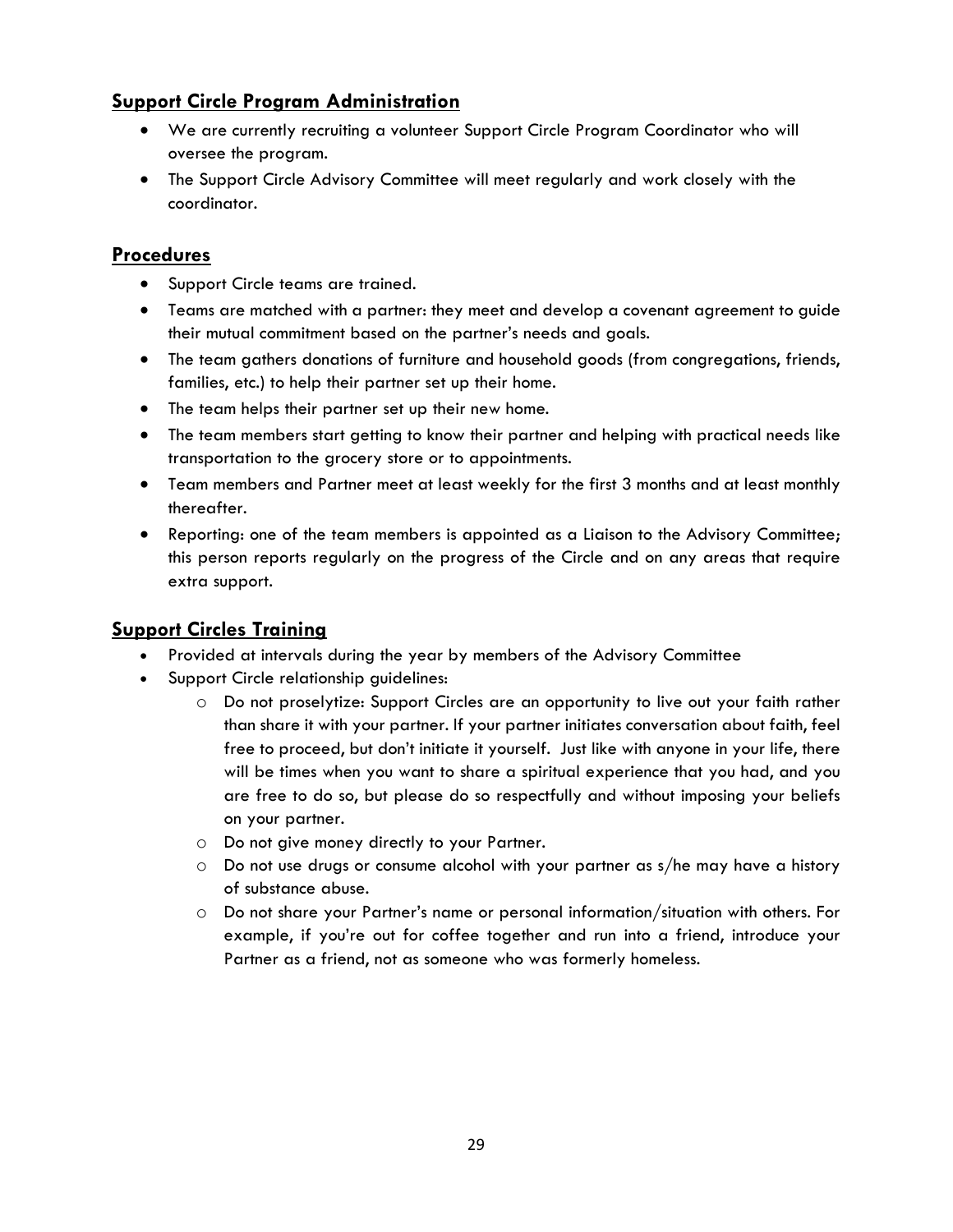## **Support Circle Program Administration**

- We are currently recruiting a volunteer Support Circle Program Coordinator who will oversee the program.
- The Support Circle Advisory Committee will meet regularly and work closely with the coordinator.

## **Procedures**

- Support Circle teams are trained.
- Teams are matched with a partner: they meet and develop a covenant agreement to guide their mutual commitment based on the partner's needs and goals.
- The team gathers donations of furniture and household goods (from congregations, friends, families, etc.) to help their partner set up their home.
- The team helps their partner set up their new home.
- The team members start getting to know their partner and helping with practical needs like transportation to the grocery store or to appointments.
- Team members and Partner meet at least weekly for the first 3 months and at least monthly thereafter.
- Reporting: one of the team members is appointed as a Liaison to the Advisory Committee; this person reports regularly on the progress of the Circle and on any areas that require extra support.

## **Support Circles Training**

- Provided at intervals during the year by members of the Advisory Committee
- Support Circle relationship guidelines:
	- o Do not proselytize: Support Circles are an opportunity to live out your faith rather than share it with your partner. If your partner initiates conversation about faith, feel free to proceed, but don't initiate it yourself. Just like with anyone in your life, there will be times when you want to share a spiritual experience that you had, and you are free to do so, but please do so respectfully and without imposing your beliefs on your partner.
	- o Do not give money directly to your Partner.
	- o Do not use drugs or consume alcohol with your partner as s/he may have a history of substance abuse.
	- o Do not share your Partner's name or personal information/situation with others. For example, if you're out for coffee together and run into a friend, introduce your Partner as a friend, not as someone who was formerly homeless.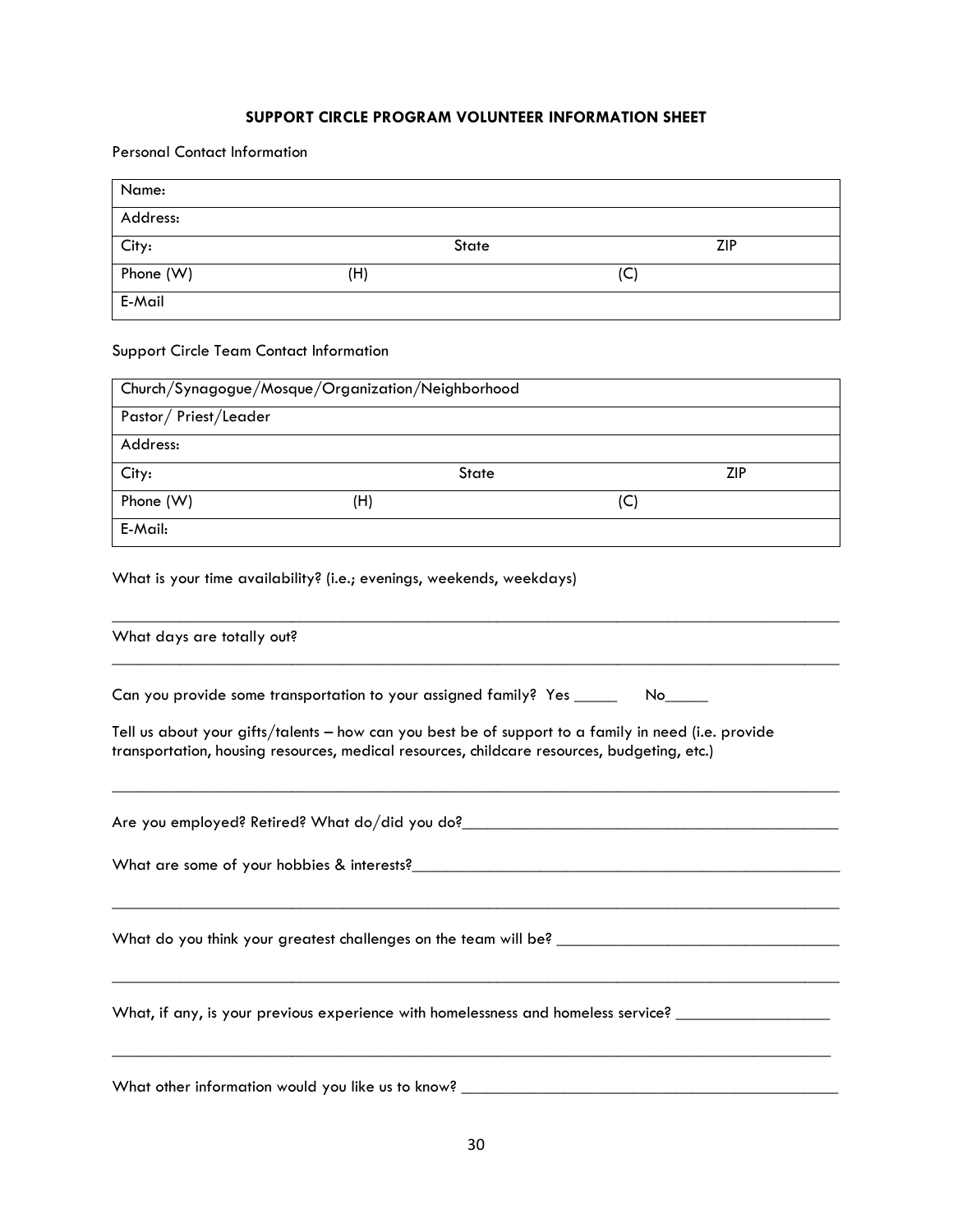#### **SUPPORT CIRCLE PROGRAM VOLUNTEER INFORMATION SHEET**

Personal Contact Information

| Name:     |     |       |     |            |
|-----------|-----|-------|-----|------------|
| Address:  |     |       |     |            |
| City:     |     | State |     | <b>ZIP</b> |
| Phone (W) | (H) |       | (C) |            |
| E-Mail    |     |       |     |            |

#### Support Circle Team Contact Information

| Church/Synagogue/Mosque/Organization/Neighborhood |     |              |     |     |  |  |
|---------------------------------------------------|-----|--------------|-----|-----|--|--|
| Pastor/Priest/Leader                              |     |              |     |     |  |  |
| Address:                                          |     |              |     |     |  |  |
| City:                                             |     | <b>State</b> |     | ZIP |  |  |
| Phone (W)                                         | (H) |              | (C) |     |  |  |
| E-Mail:                                           |     |              |     |     |  |  |

What is your time availability? (i.e.; evenings, weekends, weekdays)

\_\_\_\_\_\_\_\_\_\_\_\_\_\_\_\_\_\_\_\_\_\_\_\_\_\_\_\_\_\_\_\_\_\_\_\_\_\_\_\_\_\_\_\_\_\_\_\_\_\_\_\_\_\_\_\_\_\_\_\_\_\_\_\_\_\_\_\_\_\_\_\_\_\_\_\_\_\_\_\_\_\_\_\_\_ What days are totally out? \_\_\_\_\_\_\_\_\_\_\_\_\_\_\_\_\_\_\_\_\_\_\_\_\_\_\_\_\_\_\_\_\_\_\_\_\_\_\_\_\_\_\_\_\_\_\_\_\_\_\_\_\_\_\_\_\_\_\_\_\_\_\_\_\_\_\_\_\_\_\_\_\_\_\_\_\_\_\_\_\_\_\_\_\_ Can you provide some transportation to your assigned family? Yes \_\_\_\_\_\_\_ No\_\_\_\_\_ Tell us about your gifts/talents – how can you best be of support to a family in need (i.e. provide transportation, housing resources, medical resources, childcare resources, budgeting, etc.) \_\_\_\_\_\_\_\_\_\_\_\_\_\_\_\_\_\_\_\_\_\_\_\_\_\_\_\_\_\_\_\_\_\_\_\_\_\_\_\_\_\_\_\_\_\_\_\_\_\_\_\_\_\_\_\_\_\_\_\_\_\_\_\_\_\_\_\_\_\_\_\_\_\_\_\_\_\_\_\_\_\_\_\_\_ Are you employed? Retired? What do/did you do?\_\_\_\_\_\_\_\_\_\_\_\_\_\_\_\_\_\_\_\_\_\_\_\_\_\_\_\_\_\_\_\_\_\_ What are some of your hobbies & interests?\_\_\_\_\_\_\_\_\_\_\_\_\_\_\_\_\_\_\_\_\_\_\_\_\_\_\_\_\_\_\_\_\_\_\_\_\_\_\_\_\_\_\_\_\_\_\_\_\_\_ \_\_\_\_\_\_\_\_\_\_\_\_\_\_\_\_\_\_\_\_\_\_\_\_\_\_\_\_\_\_\_\_\_\_\_\_\_\_\_\_\_\_\_\_\_\_\_\_\_\_\_\_\_\_\_\_\_\_\_\_\_\_\_\_\_\_\_\_\_\_\_\_\_\_\_\_\_\_\_\_\_\_\_\_\_ What do you think your greatest challenges on the team will be? \_\_\_\_\_\_\_\_\_\_\_\_\_\_\_\_\_\_\_\_\_\_\_\_\_\_\_\_\_\_\_\_\_ \_\_\_\_\_\_\_\_\_\_\_\_\_\_\_\_\_\_\_\_\_\_\_\_\_\_\_\_\_\_\_\_\_\_\_\_\_\_\_\_\_\_\_\_\_\_\_\_\_\_\_\_\_\_\_\_\_\_\_\_\_\_\_\_\_\_\_\_\_\_\_\_\_\_\_\_\_\_\_\_\_\_\_\_\_ What, if any, is your previous experience with homelessness and homeless service? \_\_\_\_\_\_\_\_\_\_\_\_\_\_\_\_\_\_\_\_\_\_\_\_\_\_\_\_ \_\_\_\_\_\_\_\_\_\_\_\_\_\_\_\_\_\_\_\_\_\_\_\_\_\_\_\_\_\_\_\_\_\_\_\_\_\_\_\_\_\_\_\_\_\_\_\_\_\_\_\_\_\_\_\_\_\_\_\_\_\_\_\_\_\_\_\_\_\_\_\_\_\_\_\_\_\_\_\_\_\_\_\_ What other information would you like us to know? \_\_\_\_\_\_\_\_\_\_\_\_\_\_\_\_\_\_\_\_\_\_\_\_\_\_\_\_\_\_\_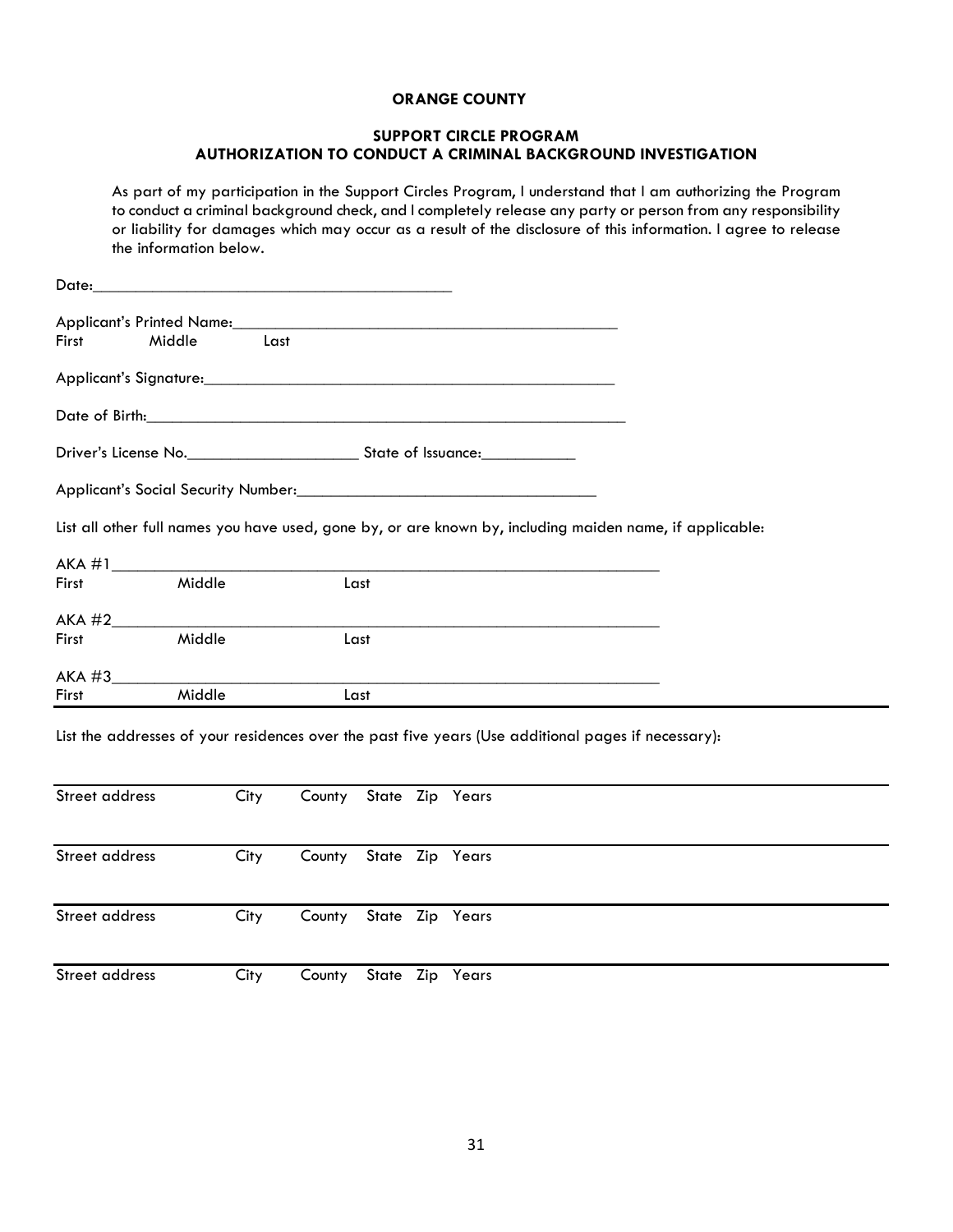#### **ORANGE COUNTY**

#### **SUPPORT CIRCLE PROGRAM AUTHORIZATION TO CONDUCT A CRIMINAL BACKGROUND INVESTIGATION**

As part of my participation in the Support Circles Program, I understand that I am authorizing the Program to conduct a criminal background check, and I completely release any party or person from any responsibility or liability for damages which may occur as a result of the disclosure of this information. I agree to release the information below.

|              | Applicant's Printed Name:                                                                                |  |
|--------------|----------------------------------------------------------------------------------------------------------|--|
| First Middle | Last                                                                                                     |  |
|              |                                                                                                          |  |
|              |                                                                                                          |  |
|              |                                                                                                          |  |
|              |                                                                                                          |  |
|              |                                                                                                          |  |
|              | List all other full names you have used, gone by, or are known by, including maiden name, if applicable: |  |
|              |                                                                                                          |  |
| First Middle | Last                                                                                                     |  |
|              |                                                                                                          |  |
| First Middle | Last                                                                                                     |  |
|              |                                                                                                          |  |

List the addresses of your residences over the past five years (Use additional pages if necessary):

| Street address | City | County State Zip Years |  |  |  |
|----------------|------|------------------------|--|--|--|
| Street address | City | County State Zip Years |  |  |  |
| Street address | City | County State Zip Years |  |  |  |
| Street address | City | County State Zip Years |  |  |  |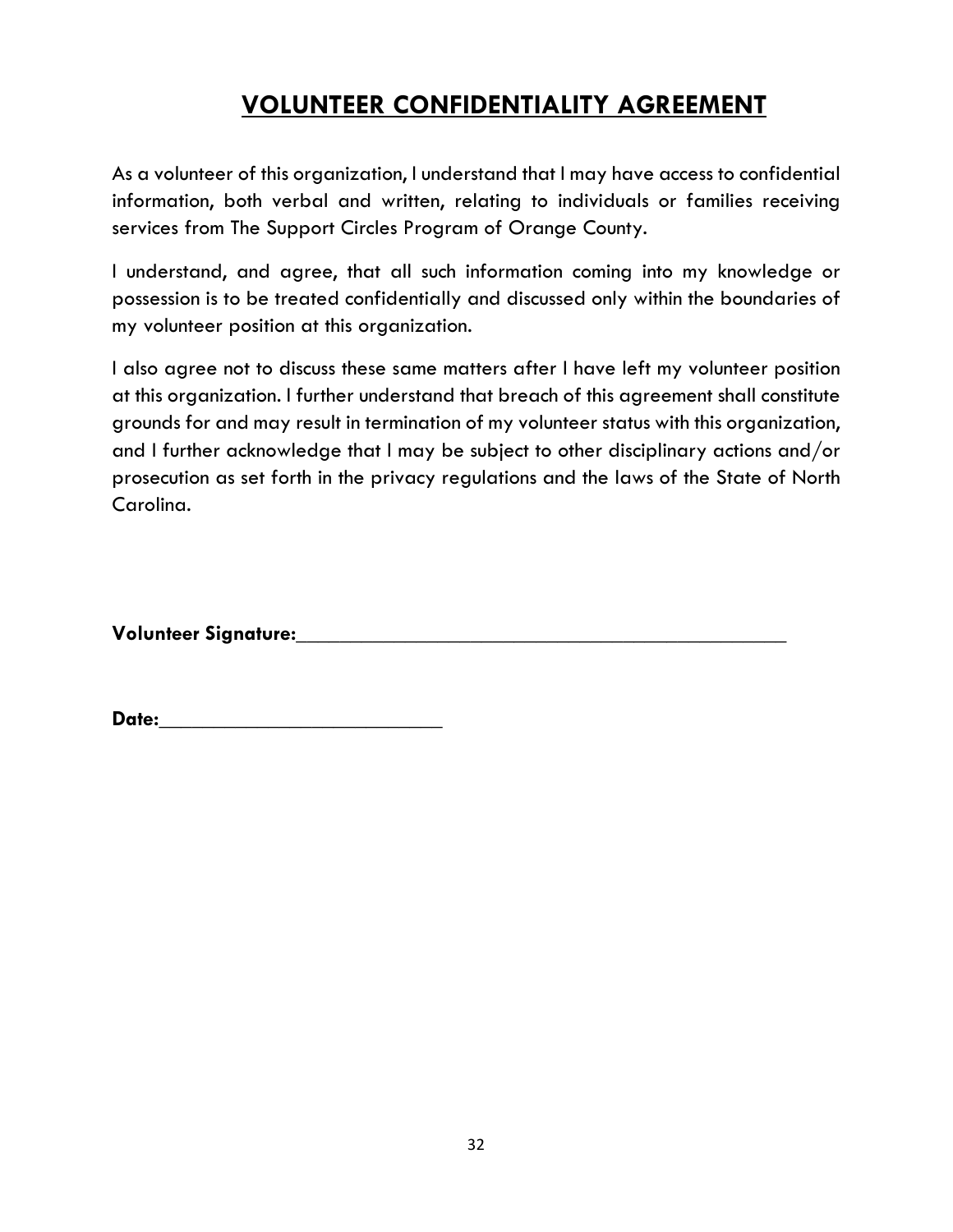## **VOLUNTEER CONFIDENTIALITY AGREEMENT**

As a volunteer of this organization, I understand that I may have access to confidential information, both verbal and written, relating to individuals or families receiving services from The Support Circles Program of Orange County.

I understand, and agree, that all such information coming into my knowledge or possession is to be treated confidentially and discussed only within the boundaries of my volunteer position at this organization.

I also agree not to discuss these same matters after I have left my volunteer position at this organization. I further understand that breach of this agreement shall constitute grounds for and may result in termination of my volunteer status with this organization, and I further acknowledge that I may be subject to other disciplinary actions and/or prosecution as set forth in the privacy regulations and the laws of the State of North Carolina.

**Volunteer Signature:\_\_\_\_\_\_\_\_\_\_\_\_\_\_\_\_\_\_\_\_\_\_\_\_\_\_\_\_\_\_\_\_\_\_\_\_\_\_\_\_\_\_\_\_\_**

| Date: |  |  |  |
|-------|--|--|--|
|       |  |  |  |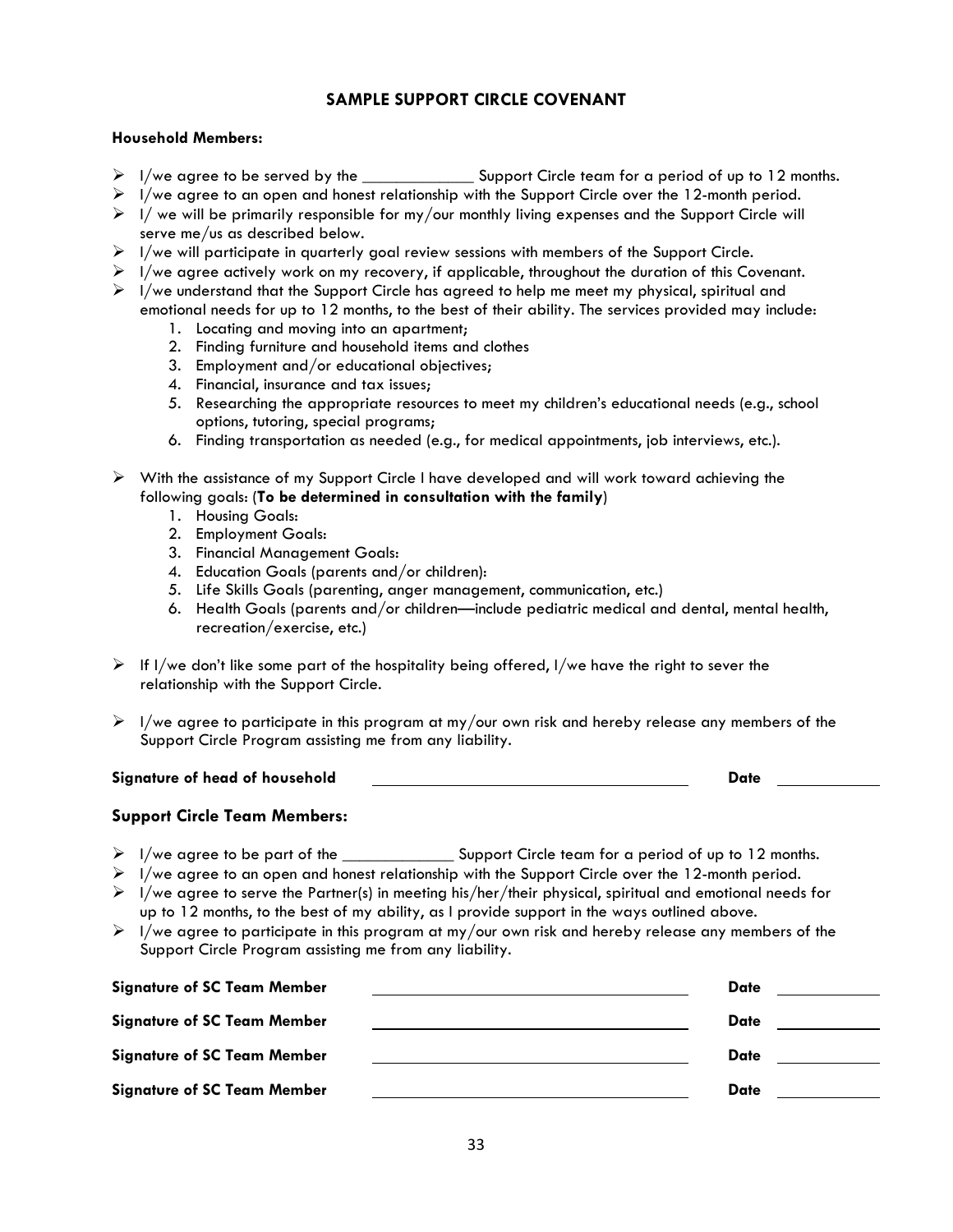## **SAMPLE SUPPORT CIRCLE COVENANT**

#### **Household Members:**

- $\triangleright$  I/we agree to be served by the  $\cdot$  Support Circle team for a period of up to 12 months.
- $\triangleright$  I/we agree to an open and honest relationship with the Support Circle over the 12-month period.
- $\triangleright$  I/ we will be primarily responsible for my/our monthly living expenses and the Support Circle will serve me/us as described below.
- $\triangleright$  I/we will participate in quarterly goal review sessions with members of the Support Circle.
- $\triangleright$  I/we agree actively work on my recovery, if applicable, throughout the duration of this Covenant.
- $\triangleright$  I/we understand that the Support Circle has agreed to help me meet my physical, spiritual and emotional needs for up to 12 months, to the best of their ability. The services provided may include:
	- 1. Locating and moving into an apartment;
	- 2. Finding furniture and household items and clothes
	- 3. Employment and/or educational objectives;
	- 4. Financial, insurance and tax issues;
	- 5. Researching the appropriate resources to meet my children's educational needs (e.g., school options, tutoring, special programs;
	- 6. Finding transportation as needed (e.g., for medical appointments, job interviews, etc.).
- $\triangleright$  With the assistance of my Support Circle I have developed and will work toward achieving the following goals: (**To be determined in consultation with the family**)
	- 1. Housing Goals:
	- 2. Employment Goals:
	- 3. Financial Management Goals:
	- 4. Education Goals (parents and/or children):
	- 5. Life Skills Goals (parenting, anger management, communication, etc.)
	- 6. Health Goals (parents and/or children—include pediatric medical and dental, mental health, recreation/exercise, etc.)
- $\triangleright$  If I/we don't like some part of the hospitality being offered, I/we have the right to sever the relationship with the Support Circle.
- $\triangleright$  I/we agree to participate in this program at my/our own risk and hereby release any members of the Support Circle Program assisting me from any liability.

#### **Signature of head of household** <u>Community Community Contract Date</u>

## **Support Circle Team Members:**

- > I/we agree to be part of the \_\_\_\_\_\_\_\_\_\_\_\_\_\_\_\_ Support Circle team for a period of up to 12 months.
- $\triangleright$  I/we agree to an open and honest relationship with the Support Circle over the 12-month period.
- $\triangleright$  I/we agree to serve the Partner(s) in meeting his/her/their physical, spiritual and emotional needs for up to 12 months, to the best of my ability, as I provide support in the ways outlined above.
- $\triangleright$  I/we agree to participate in this program at my/our own risk and hereby release any members of the Support Circle Program assisting me from any liability.

| <b>Signature of SC Team Member</b> | <b>Date</b> |  |
|------------------------------------|-------------|--|
| <b>Signature of SC Team Member</b> | Date        |  |
| <b>Signature of SC Team Member</b> | Date        |  |
| <b>Signature of SC Team Member</b> | Date        |  |
|                                    |             |  |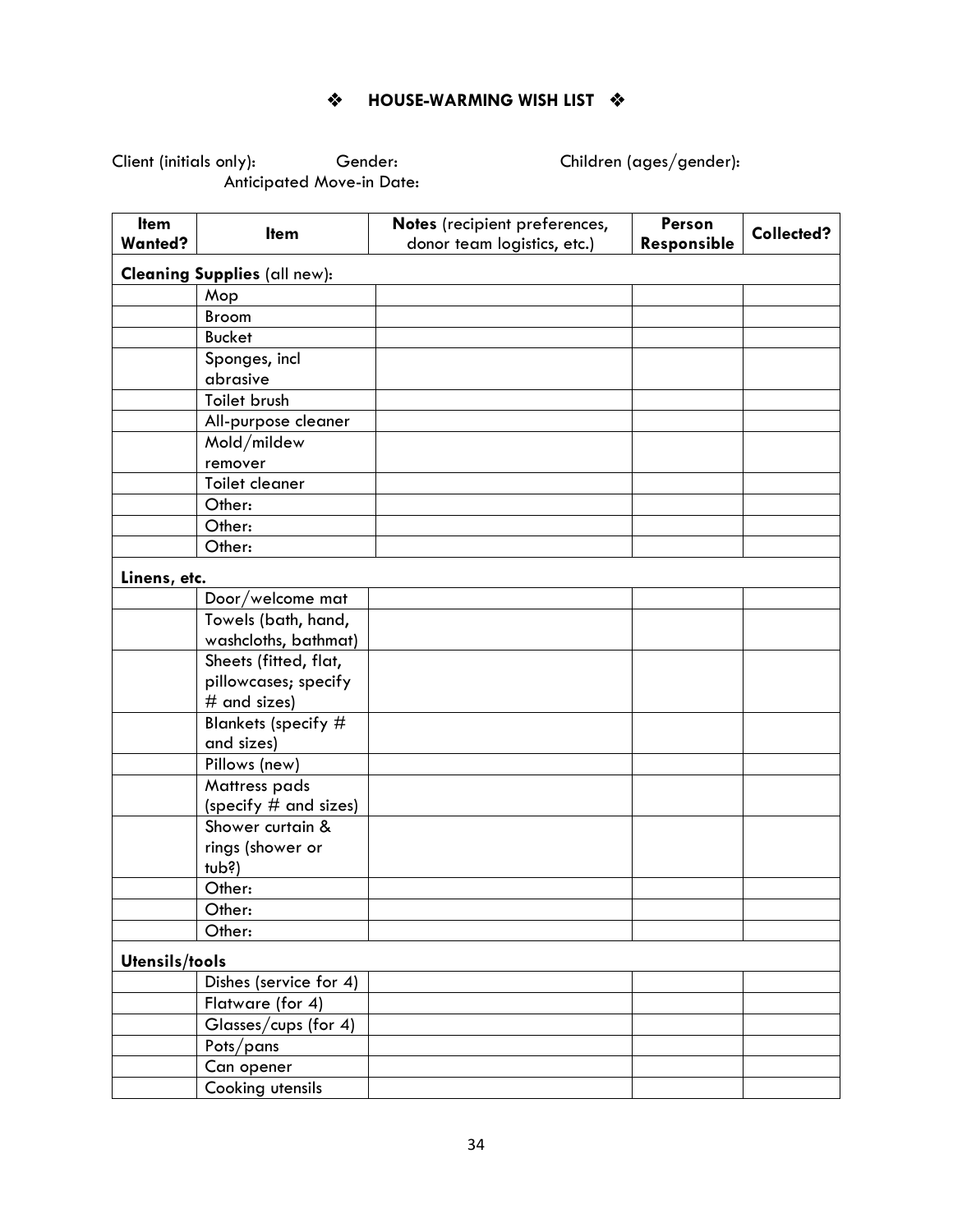$\div$  **HOUSE-WARMING WISH LIST**  $\div$ 

Client (initials only): Gender: Children (ages/gender): Anticipated Move-in Date:

| Item           |                                     | Notes (recipient preferences, | Person      |            |
|----------------|-------------------------------------|-------------------------------|-------------|------------|
| <b>Wanted?</b> | <b>Item</b>                         | donor team logistics, etc.)   | Responsible | Collected? |
|                |                                     |                               |             |            |
|                | <b>Cleaning Supplies (all new):</b> |                               |             |            |
|                | Mop                                 |                               |             |            |
|                | <b>Broom</b>                        |                               |             |            |
|                | <b>Bucket</b>                       |                               |             |            |
|                | Sponges, incl                       |                               |             |            |
|                | abrasive                            |                               |             |            |
|                | Toilet brush                        |                               |             |            |
|                | All-purpose cleaner                 |                               |             |            |
|                | Mold/mildew                         |                               |             |            |
|                | remover                             |                               |             |            |
|                | Toilet cleaner                      |                               |             |            |
|                | Other:                              |                               |             |            |
|                | Other:                              |                               |             |            |
|                | Other:                              |                               |             |            |
| Linens, etc.   |                                     |                               |             |            |
|                | Door/welcome mat                    |                               |             |            |
|                | Towels (bath, hand,                 |                               |             |            |
|                | washcloths, bathmat)                |                               |             |            |
|                | Sheets (fitted, flat,               |                               |             |            |
|                | pillowcases; specify                |                               |             |            |
|                | $#$ and sizes)                      |                               |             |            |
|                | Blankets (specify #                 |                               |             |            |
|                | and sizes)                          |                               |             |            |
|                | Pillows (new)                       |                               |             |            |
|                | Mattress pads                       |                               |             |            |
|                | (specify $#$ and sizes)             |                               |             |            |
|                | Shower curtain &                    |                               |             |            |
|                | rings (shower or                    |                               |             |            |
|                | tub?                                |                               |             |            |
|                | Other:                              |                               |             |            |
|                | Other:                              |                               |             |            |
|                | Other:                              |                               |             |            |
| Utensils/tools |                                     |                               |             |            |
|                | Dishes (service for 4)              |                               |             |            |
|                | Flatware (for 4)                    |                               |             |            |
|                | Glasses/cups (for 4)                |                               |             |            |
|                | Pots/pans                           |                               |             |            |
|                | Can opener                          |                               |             |            |
|                | Cooking utensils                    |                               |             |            |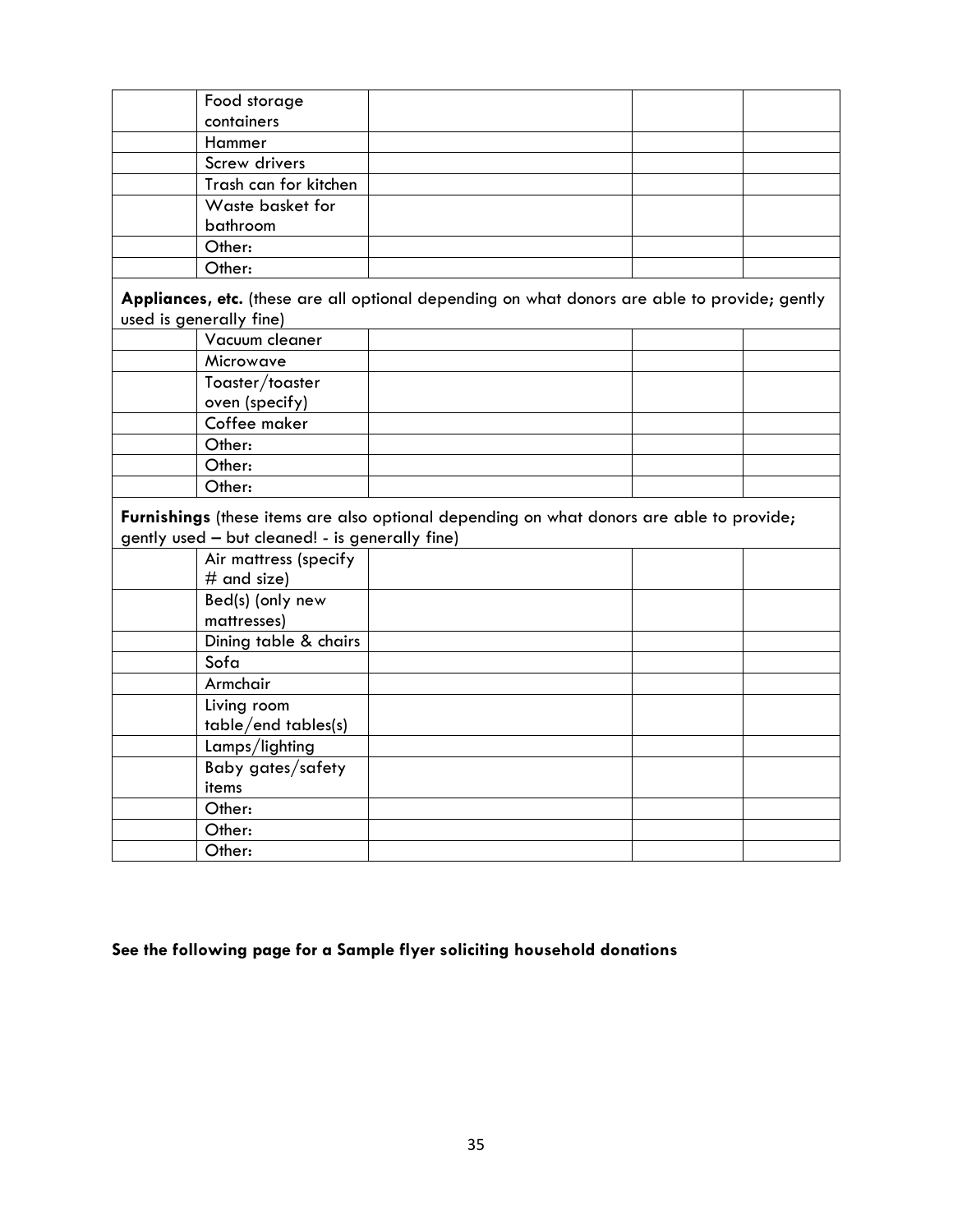| Food storage                                    |                                                                                               |  |
|-------------------------------------------------|-----------------------------------------------------------------------------------------------|--|
| containers                                      |                                                                                               |  |
| Hammer                                          |                                                                                               |  |
| Screw drivers                                   |                                                                                               |  |
| Trash can for kitchen                           |                                                                                               |  |
| Waste basket for                                |                                                                                               |  |
| bathroom                                        |                                                                                               |  |
| Other:                                          |                                                                                               |  |
| Other:                                          |                                                                                               |  |
| used is generally fine)                         | Appliances, etc. (these are all optional depending on what donors are able to provide; gently |  |
| Vacuum cleaner                                  |                                                                                               |  |
| Microwave                                       |                                                                                               |  |
| Toaster/toaster                                 |                                                                                               |  |
| oven (specify)                                  |                                                                                               |  |
| Coffee maker                                    |                                                                                               |  |
| Other:                                          |                                                                                               |  |
| Other:                                          |                                                                                               |  |
| Other:                                          |                                                                                               |  |
| gently used - but cleaned! - is generally fine) | Furnishings (these items are also optional depending on what donors are able to provide;      |  |
| Air mattress (specify                           |                                                                                               |  |
| $#$ and size)                                   |                                                                                               |  |
| Bed(s) (only new                                |                                                                                               |  |
| mattresses)                                     |                                                                                               |  |
| Dining table & chairs                           |                                                                                               |  |
| Sofa                                            |                                                                                               |  |
| Armchair                                        |                                                                                               |  |
| Living room                                     |                                                                                               |  |
| table/end tables(s)                             |                                                                                               |  |
| Lamps/lighting                                  |                                                                                               |  |
| Baby gates/safety                               |                                                                                               |  |
| items                                           |                                                                                               |  |
| Other:                                          |                                                                                               |  |
| Other:                                          |                                                                                               |  |
| Other:                                          |                                                                                               |  |

## **See the following page for a Sample flyer soliciting household donations**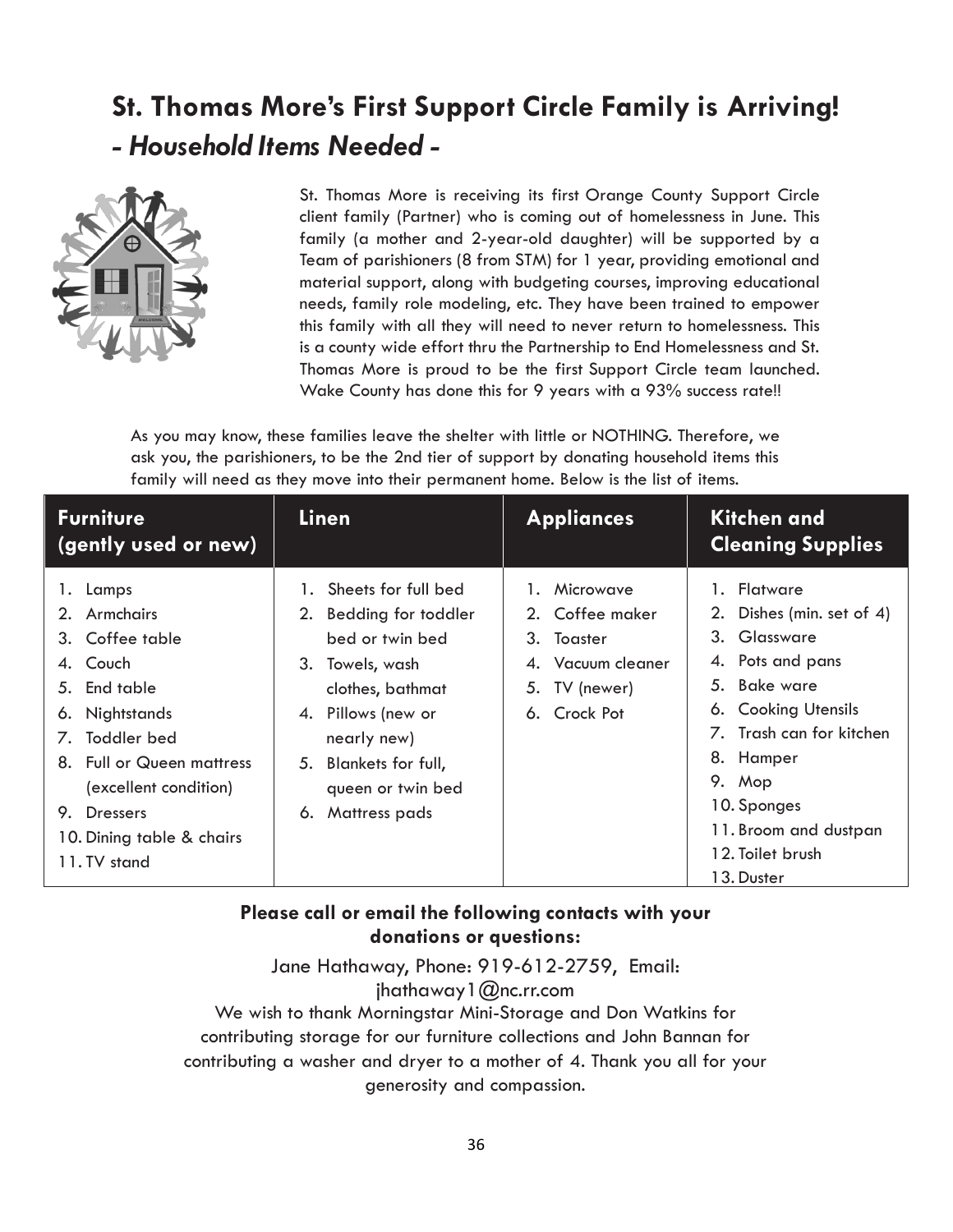# **St. Thomas More's First Support Circle Family is Arriving!** *- Household Items Needed -*



St. Thomas More is receiving its first Orange County Support Circle client family (Partner) who is coming out of homelessness in June. This family (a mother and 2-year-old daughter) will be supported by a Team of parishioners (8 from STM) for 1 year, providing emotional and material support, along with budgeting courses, improving educational needs, family role modeling, etc. They have been trained to empower this family with all they will need to never return to homelessness. This is a county wide effort thru the Partnership to End Homelessness and St. Thomas More is proud to be the first Support Circle team launched. Wake County has done this for 9 years with a 93% success rate!!

As you may know, these families leave the shelter with little or NOTHING. Therefore, we ask you, the parishioners, to be the 2nd tier of support by donating household items this family will need as they move into their permanent home. Below is the list of items.

| <b>Furniture</b><br>(gently used or new)                                                                                                                                                                                         | Linen                                                                                                                                                                                                                   | <b>Appliances</b>                                                                                | Kitchen and<br><b>Cleaning Supplies</b>                                                                                                                                                                                                                          |
|----------------------------------------------------------------------------------------------------------------------------------------------------------------------------------------------------------------------------------|-------------------------------------------------------------------------------------------------------------------------------------------------------------------------------------------------------------------------|--------------------------------------------------------------------------------------------------|------------------------------------------------------------------------------------------------------------------------------------------------------------------------------------------------------------------------------------------------------------------|
| 1. Lamps<br>2. Armchairs<br>3. Coffee table<br>4. Couch<br>5. End table<br>6. Nightstands<br>7. Toddler bed<br>8. Full or Queen mattress<br>(excellent condition)<br>Dressers<br>9.<br>10. Dining table & chairs<br>11. TV stand | 1. Sheets for full bed<br>2. Bedding for toddler<br>bed or twin bed<br>Towels, wash<br>3.<br>clothes, bathmat<br>4. Pillows (new or<br>nearly new)<br>Blankets for full,<br>5.<br>queen or twin bed<br>6. Mattress pads | 1. Microwave<br>2. Coffee maker<br>3. Toaster<br>Vacuum cleaner<br>5. TV (newer)<br>6. Crock Pot | 1. Flatware<br>2. Dishes (min. set of 4)<br>Glassware<br>3.<br>4. Pots and pans<br>Bake ware<br>5.<br><b>Cooking Utensils</b><br>6.<br>7. Trash can for kitchen<br>8. Hamper<br>9. Mop<br>10. Sponges<br>11. Broom and dustpan<br>12. Toilet brush<br>13. Duster |

## **Please call or email the following contacts with your donations or questions:**

Jane Hathawa[y, Phone: 919-612-2759, Email:](mailto:jhathaway1@nc.rr.com) [jhathaway1@nc.rr.com](mailto:jhathaway1@nc.rr.com) We wish to thank Morningstar Mini-Storage and Don Watkins for contributing storage for our furniture collections and John Bannan for contributing a washer and dryer to a mother of 4. Thank you all for your generosity and compassion.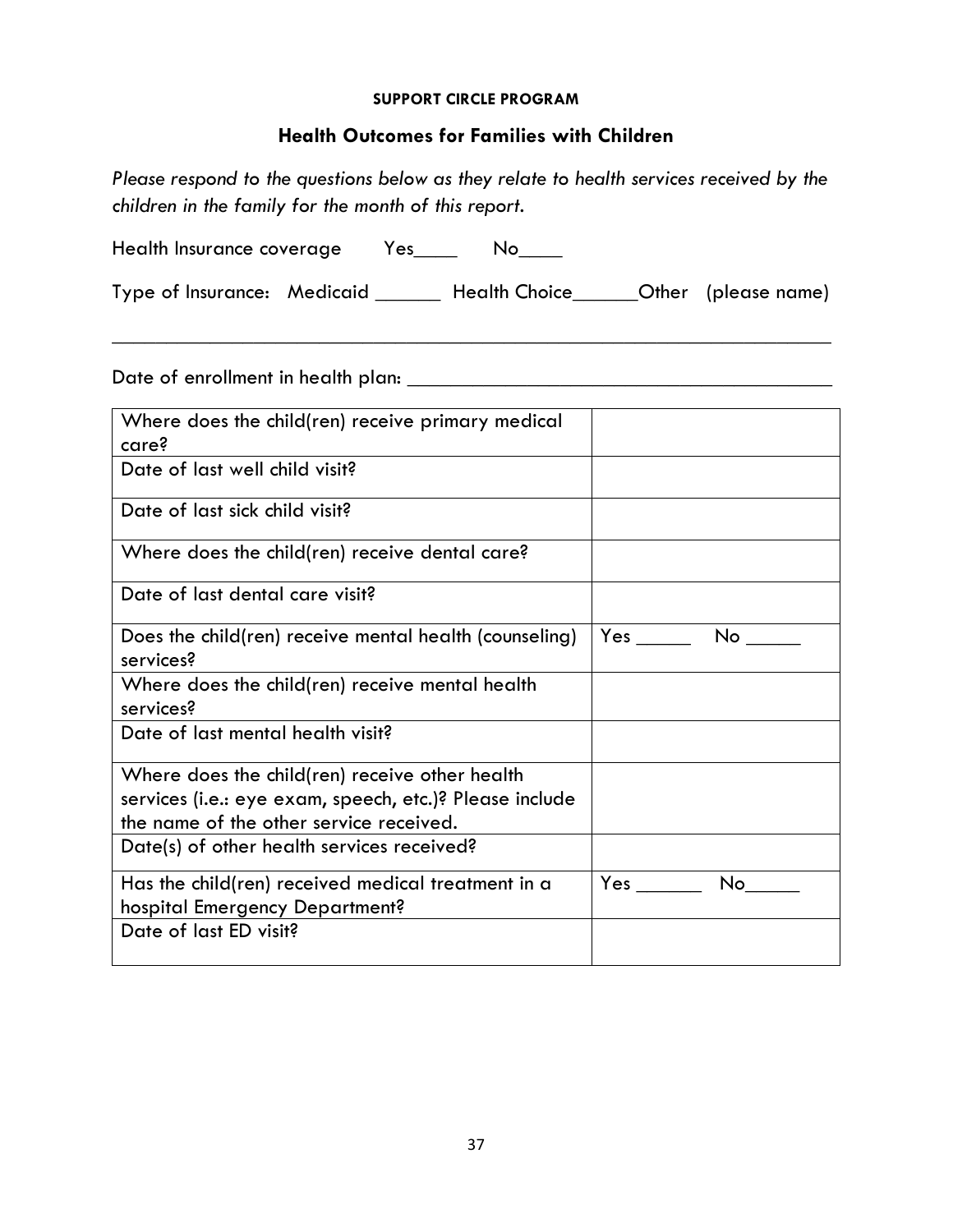#### **SUPPORT CIRCLE PROGRAM**

## **Health Outcomes for Families with Children**

*Please respond to the questions below as they relate to health services received by the children in the family for the month of this report.*

Health Insurance coverage Yes\_\_\_\_ No\_\_\_\_

Type of Insurance: Medicaid \_\_\_\_\_\_ Health Choice\_\_\_\_\_\_Other (please name)

\_\_\_\_\_\_\_\_\_\_\_\_\_\_\_\_\_\_\_\_\_\_\_\_\_\_\_\_\_\_\_\_\_\_\_\_\_\_\_\_\_\_\_\_\_\_\_\_\_\_\_\_\_\_\_\_\_\_\_\_\_\_\_\_\_\_

Date of enrollment in health plan: \_\_\_\_\_\_\_\_\_\_\_\_\_\_\_\_\_\_\_\_\_\_\_\_\_\_\_\_\_\_\_\_\_\_\_\_\_\_\_

| Where does the child(ren) receive primary medical<br>care?                                                                                           |      |
|------------------------------------------------------------------------------------------------------------------------------------------------------|------|
| Date of last well child visit?                                                                                                                       |      |
| Date of last sick child visit?                                                                                                                       |      |
| Where does the child(ren) receive dental care?                                                                                                       |      |
| Date of last dental care visit?                                                                                                                      |      |
| Does the child(ren) receive mental health (counseling)<br>services?                                                                                  | No   |
| Where does the child(ren) receive mental health<br>services?                                                                                         |      |
| Date of last mental health visit?                                                                                                                    |      |
| Where does the child(ren) receive other health<br>services (i.e.: eye exam, speech, etc.)? Please include<br>the name of the other service received. |      |
| Date(s) of other health services received?                                                                                                           |      |
| Has the child(ren) received medical treatment in a<br>hospital Emergency Department?                                                                 | No l |
| Date of last ED visit?                                                                                                                               |      |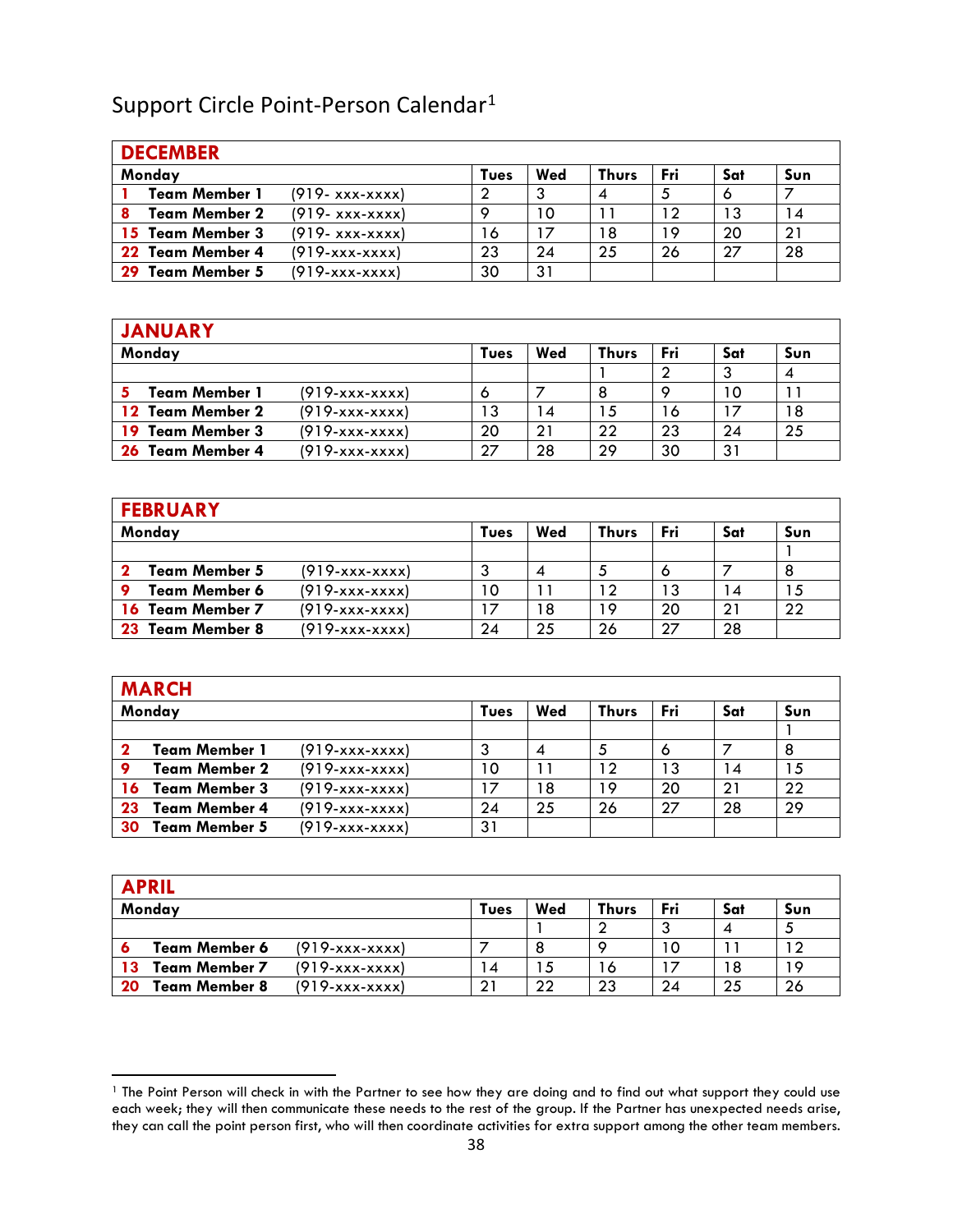## Support Circle Point-Person Calendar<sup>[1](#page-37-0)</sup>

|    | <b>DECEMBER</b>      |                     |      |     |              |     |     |     |
|----|----------------------|---------------------|------|-----|--------------|-----|-----|-----|
|    | Monday               |                     | Tues | Wed | <b>Thurs</b> | Fri | Sat | Sun |
|    | <b>Team Member 1</b> | $(919 - xxx - xxx)$ | 2    |     | 4            |     |     |     |
|    | <b>Team Member 2</b> | $(919 - xxx - xxx)$ | O    | 10  |              | 12  | 13  | 14  |
|    | 15 Team Member 3     | $(919 - XXX-XXX)$   | 16   | 17  | ۱8           | 19  | 20  | 21  |
|    | 22 Team Member 4     | $(919-xxxxxxxx)$    | 23   | 24  | 25           | 26  | 27  | 28  |
| 29 | Team Member 5        | (919-xxx-xxxx)      | 30   | 31  |              |     |     |     |

## **JANUARY Monday Tues Wed Thurs Fri Sat Sun**  $1 \t| 2 \t| 3 \t| 4$ **5 Team Member 1** (919-xxx-xxxx) 6 7 8 9 10 11<br> **12 Team Member 2** (919-xxx-xxxx) 13 14 15 16 17 18 **12 Team Member 2** (919-xxx-xxxx) 13 14 15 16 17 18<br>**19 Team Member 3** (919-xxx-xxxx) 20 21 22 23 24 25 **19 Team Member 3** (919-xxx-xxxx) 20 21 22 23 24<br>**26 Team Member 4** (919-xxx-xxxx) 27 28 29 30 31 **26 Team Member 4** (919-xxx-xxxx) 27 28 29 30

| <b>FEBRUARY</b>      |                  |      |     |              |     |     |     |
|----------------------|------------------|------|-----|--------------|-----|-----|-----|
| Monday               |                  | Tues | Wed | <b>Thurs</b> | Fri | Sat | Sun |
|                      |                  |      |     |              |     |     |     |
| <b>Team Member 5</b> | (919-xxx-xxxx)   | 3    |     |              |     |     | 8   |
| <b>Team Member 6</b> | $(919-xxxxxxxx)$ | 10   |     | 12           | 13  | 14  | 15  |
| 16 Team Member 7     | (919-xxx-xxxx)   |      | 18  | 19           | 20  | 21  | 22  |
| 23 Team Member 8     | (919-xxx-xxxx)   | 24   | 25  | 26           | 27  | 28  |     |

|    | <b>MARCH</b>         |                  |      |     |              |     |     |     |
|----|----------------------|------------------|------|-----|--------------|-----|-----|-----|
|    | Monday               |                  | Tues | Wed | <b>Thurs</b> | Fri | Sat | Sun |
|    |                      |                  |      |     |              |     |     |     |
|    | <b>Team Member 1</b> | $(919-xxxxxxxx)$ | 3    |     |              |     |     | 8   |
|    | <b>Team Member 2</b> | $(919-xxxxxxxx)$ | 10   | 11  | 12           | 13  | 14  | 15  |
| 16 | <b>Team Member 3</b> | $(919-xxxxxxxx)$ |      | 18  | 19           | 20  | 21  | 22  |
| 23 | <b>Team Member 4</b> | $(919-xxxxxxxx)$ | 24   | 25  | 26           | 27  | 28  | 29  |
| 30 | <b>Team Member 5</b> | (919-xxx-xxxx)   | 31   |     |              |     |     |     |

|    | <b>APRIL</b>         |                  |      |     |              |     |     |     |
|----|----------------------|------------------|------|-----|--------------|-----|-----|-----|
|    | Monday               |                  | Tues | Wed | <b>Thurs</b> | Fri | Sat | Sun |
|    |                      |                  |      |     |              |     |     |     |
|    | <b>Team Member 6</b> | $(919-xxxx-xxx)$ |      |     | o            | 10  |     | 12  |
| 13 | <b>Team Member 7</b> | $(919-xxxxxxxx)$ | 14   | 15  | 16           |     | 18  | 19  |
| 20 | <b>Team Member 8</b> | $(919-xxxx-xxx)$ | 21   | 22  | 23           | 24  | 25  | 26  |

<span id="page-37-0"></span><sup>1</sup> The Point Person will check in with the Partner to see how they are doing and to find out what support they could use each week; they will then communicate these needs to the rest of the group. If the Partner has unexpected needs arise, they can call the point person first, who will then coordinate activities for extra support among the other team members.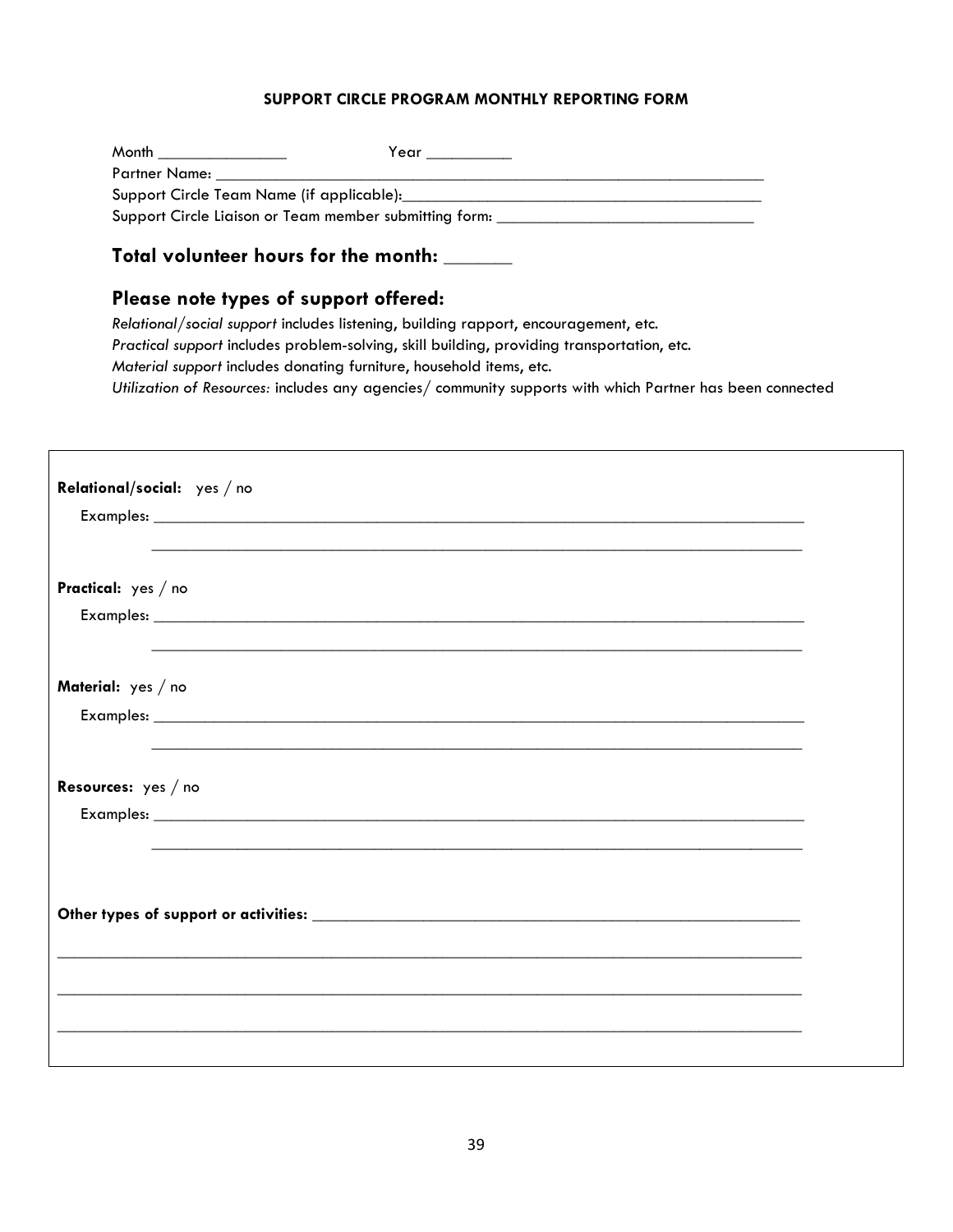## **SUPPORT CIRCLE PROGRAM MONTHLY REPORTING FORM**

| Month <b>Month</b> the contract of the contract of the contract of the contract of the contract of the contract of the contract of the contract of the contract of the contract of the contract of the contract of the contract of | Year |
|------------------------------------------------------------------------------------------------------------------------------------------------------------------------------------------------------------------------------------|------|
| Partner Name:                                                                                                                                                                                                                      |      |
|                                                                                                                                                                                                                                    |      |
| Support Circle Liaison or Team member submitting form:                                                                                                                                                                             |      |

## **Total volunteer hours for the month:** \_\_\_\_\_\_\_\_

## **Please note types of support offered:**

*Relational/social support* includes listening, building rapport, encouragement, etc. *Practical support* includes problem-solving, skill building, providing transportation, etc. *Material support* includes donating furniture, household items, etc. *Utilization of Resources:* includes any agencies/ community supports with which Partner has been connected

|                       | Relational/social: yes / no                                                                                           |  |
|-----------------------|-----------------------------------------------------------------------------------------------------------------------|--|
|                       |                                                                                                                       |  |
|                       |                                                                                                                       |  |
| Practical: yes / no   |                                                                                                                       |  |
|                       |                                                                                                                       |  |
|                       |                                                                                                                       |  |
| Material: yes / no    |                                                                                                                       |  |
|                       |                                                                                                                       |  |
|                       |                                                                                                                       |  |
| Resources: $yes / no$ |                                                                                                                       |  |
|                       |                                                                                                                       |  |
|                       |                                                                                                                       |  |
|                       |                                                                                                                       |  |
|                       |                                                                                                                       |  |
|                       |                                                                                                                       |  |
|                       | <u> 1989 - Johann Harry Harry Harry Harry Harry Harry Harry Harry Harry Harry Harry Harry Harry Harry Harry Harry</u> |  |
|                       | ,我们也不能在这里的人,我们也不能在这里的人,我们也不能在这里的人,我们也不能在这里的人,我们也不能在这里的人,我们也不能在这里的人,我们也不能在这里的人,我们也                                     |  |
|                       |                                                                                                                       |  |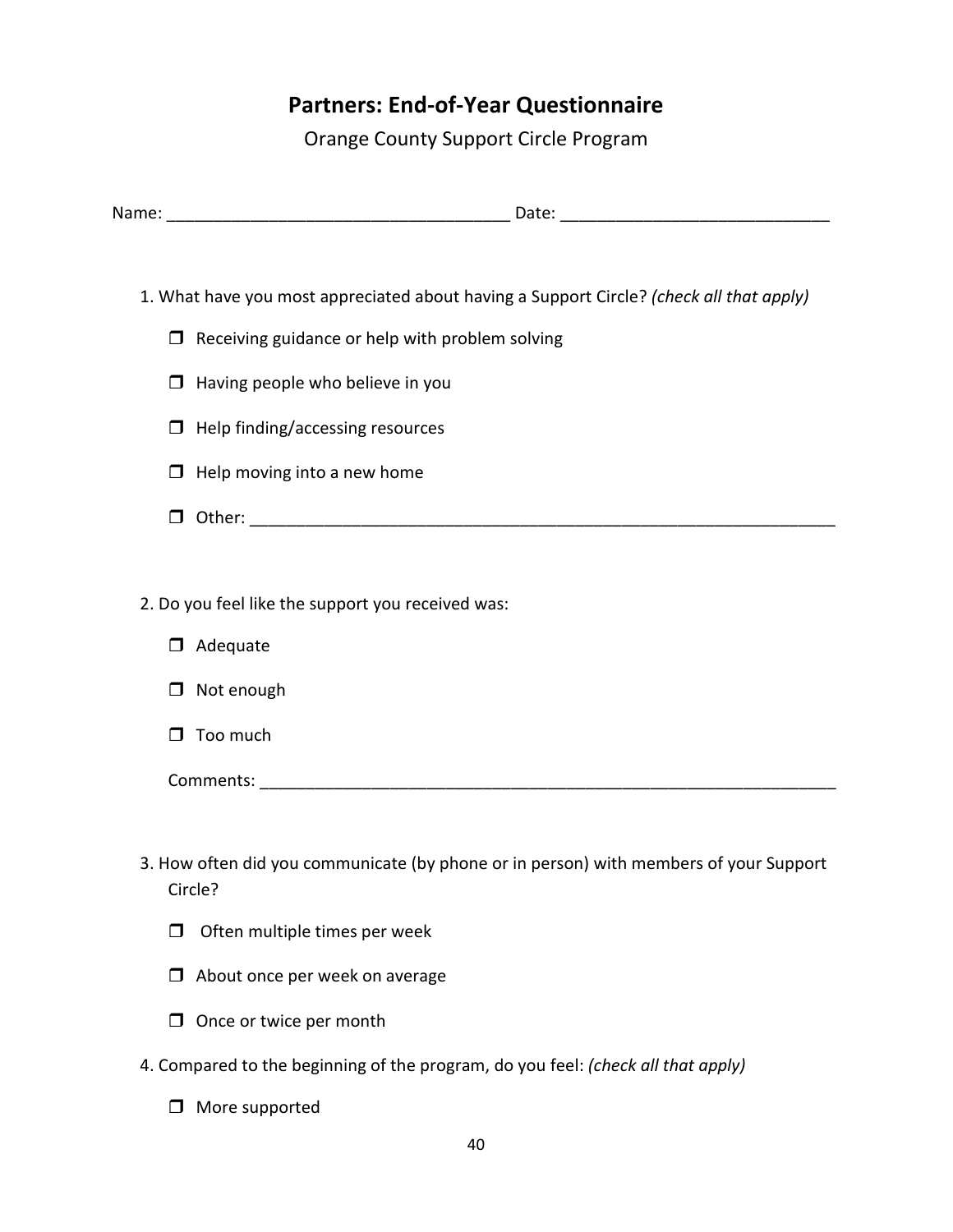## **Partners: End-of-Year Questionnaire**

Orange County Support Circle Program

| Name: | Jate: |
|-------|-------|
|       |       |

- 1. What have you most appreciated about having a Support Circle? *(check all that apply)*
	- $\Box$  Receiving guidance or help with problem solving
	- $\Box$  Having people who believe in you
	- $\Box$  Help finding/accessing resources
	- $\Box$  Help moving into a new home
	- Other: \_\_\_\_\_\_\_\_\_\_\_\_\_\_\_\_\_\_\_\_\_\_\_\_\_\_\_\_\_\_\_\_\_\_\_\_\_\_\_\_\_\_\_\_\_\_\_\_\_\_\_\_\_\_\_\_\_\_\_\_\_\_\_
- 2. Do you feel like the support you received was:
	- D Adequate
	- □ Not enough
	- $\Box$  Too much

Comments: \_\_\_\_\_\_\_\_\_\_\_\_\_\_\_\_\_\_\_\_\_\_\_\_\_\_\_\_\_\_\_\_\_\_\_\_\_\_\_\_\_\_\_\_\_\_\_\_\_\_\_\_\_\_\_\_\_\_\_\_\_\_

- 3. How often did you communicate (by phone or in person) with members of your Support Circle?
	- $\Box$  Often multiple times per week
	- $\Box$  About once per week on average
	- $\Box$  Once or twice per month
- 4. Compared to the beginning of the program, do you feel: *(check all that apply)*
	- □ More supported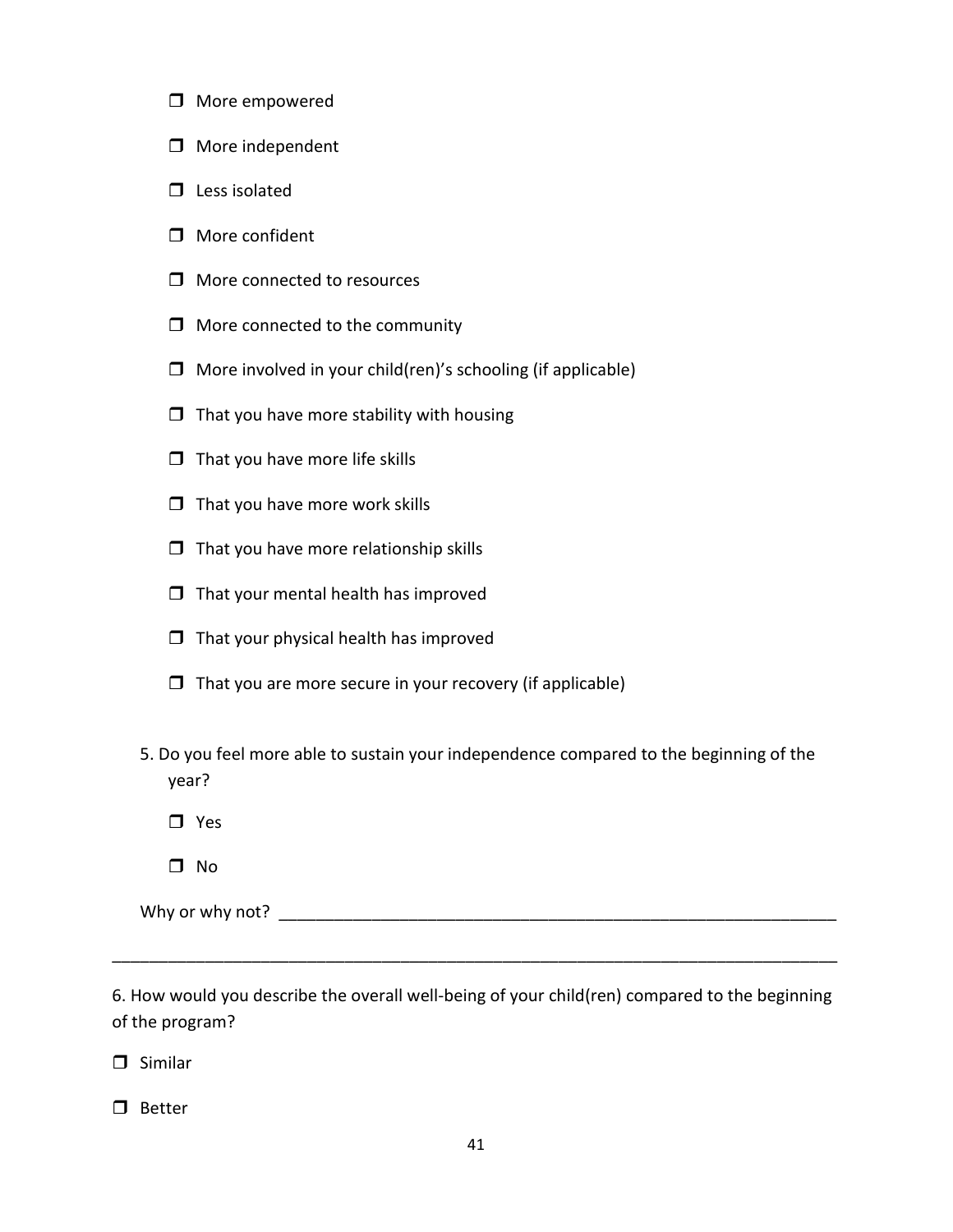- □ More empowered
- $\Box$  More independent
- $\Box$  Less isolated
- $\Box$  More confident
- □ More connected to resources
- $\Box$  More connected to the community
- $\Box$  More involved in your child(ren)'s schooling (if applicable)
- $\Box$  That you have more stability with housing
- $\Box$  That you have more life skills
- $\Box$  That you have more work skills
- $\Box$  That you have more relationship skills
- $\Box$  That your mental health has improved
- $\Box$  That your physical health has improved
- $\Box$  That you are more secure in your recovery (if applicable)
- 5. Do you feel more able to sustain your independence compared to the beginning of the year?
	- **D** Yes
	- $\square$  No

Why or why not? \_\_\_\_\_\_\_\_\_\_\_\_\_\_\_\_\_\_\_\_\_\_\_\_\_\_\_\_\_\_\_\_\_\_\_\_\_\_\_\_\_\_\_\_\_\_\_\_\_\_\_\_\_\_\_\_\_\_\_\_

6. How would you describe the overall well-being of your child(ren) compared to the beginning of the program?

\_\_\_\_\_\_\_\_\_\_\_\_\_\_\_\_\_\_\_\_\_\_\_\_\_\_\_\_\_\_\_\_\_\_\_\_\_\_\_\_\_\_\_\_\_\_\_\_\_\_\_\_\_\_\_\_\_\_\_\_\_\_\_\_\_\_\_\_\_\_\_\_\_\_\_\_\_\_

 $\Box$  Similar

 $\square$  Better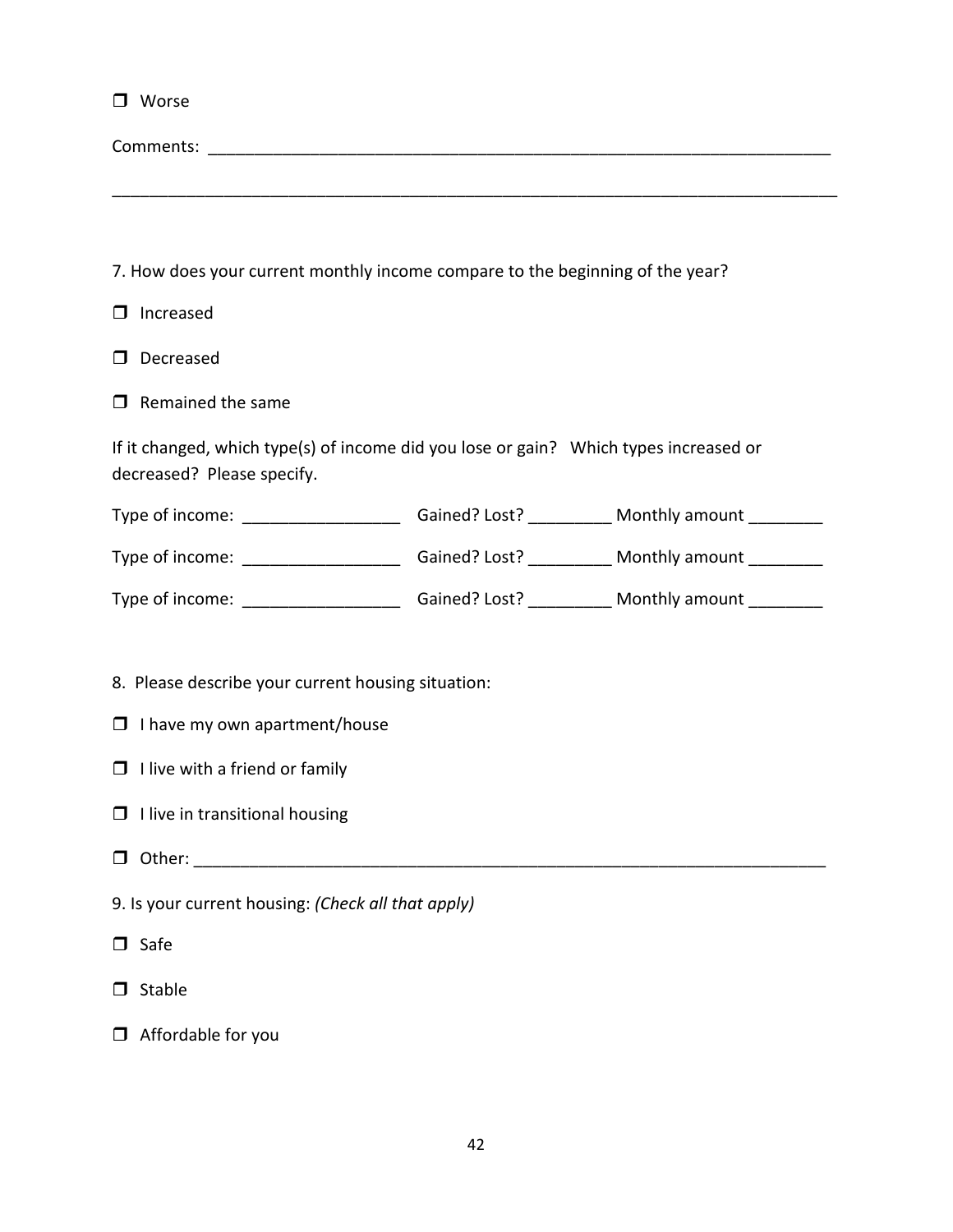| $\Box$ Worse                                                                                                        |  |
|---------------------------------------------------------------------------------------------------------------------|--|
|                                                                                                                     |  |
|                                                                                                                     |  |
|                                                                                                                     |  |
| 7. How does your current monthly income compare to the beginning of the year?                                       |  |
| Increased<br>$\Box$                                                                                                 |  |
| Decreased<br>$\Box$                                                                                                 |  |
| $\Box$ Remained the same                                                                                            |  |
| If it changed, which type(s) of income did you lose or gain? Which types increased or<br>decreased? Please specify. |  |
| Type of income: ________________________Gained? Lost? ____________ Monthly amount _________                         |  |
| Type of income: _________________________Gained? Lost? ____________ Monthly amount __________                       |  |
| Type of income: _________________________Gained? Lost? ____________ Monthly amount ___________                      |  |
|                                                                                                                     |  |

8. Please describe your current housing situation:

|  |  | $\Box$ I have my own apartment/house |
|--|--|--------------------------------------|
|--|--|--------------------------------------|

- $\Box$  I live with a friend or family
- $\Box$  I live in transitional housing
- Other: \_\_\_\_\_\_\_\_\_\_\_\_\_\_\_\_\_\_\_\_\_\_\_\_\_\_\_\_\_\_\_\_\_\_\_\_\_\_\_\_\_\_\_\_\_\_\_\_\_\_\_\_\_\_\_\_\_\_\_\_\_\_\_\_\_\_\_\_

9. Is your current housing: *(Check all that apply)*

 $\square$  Safe

- $\Box$  Stable
- Affordable for you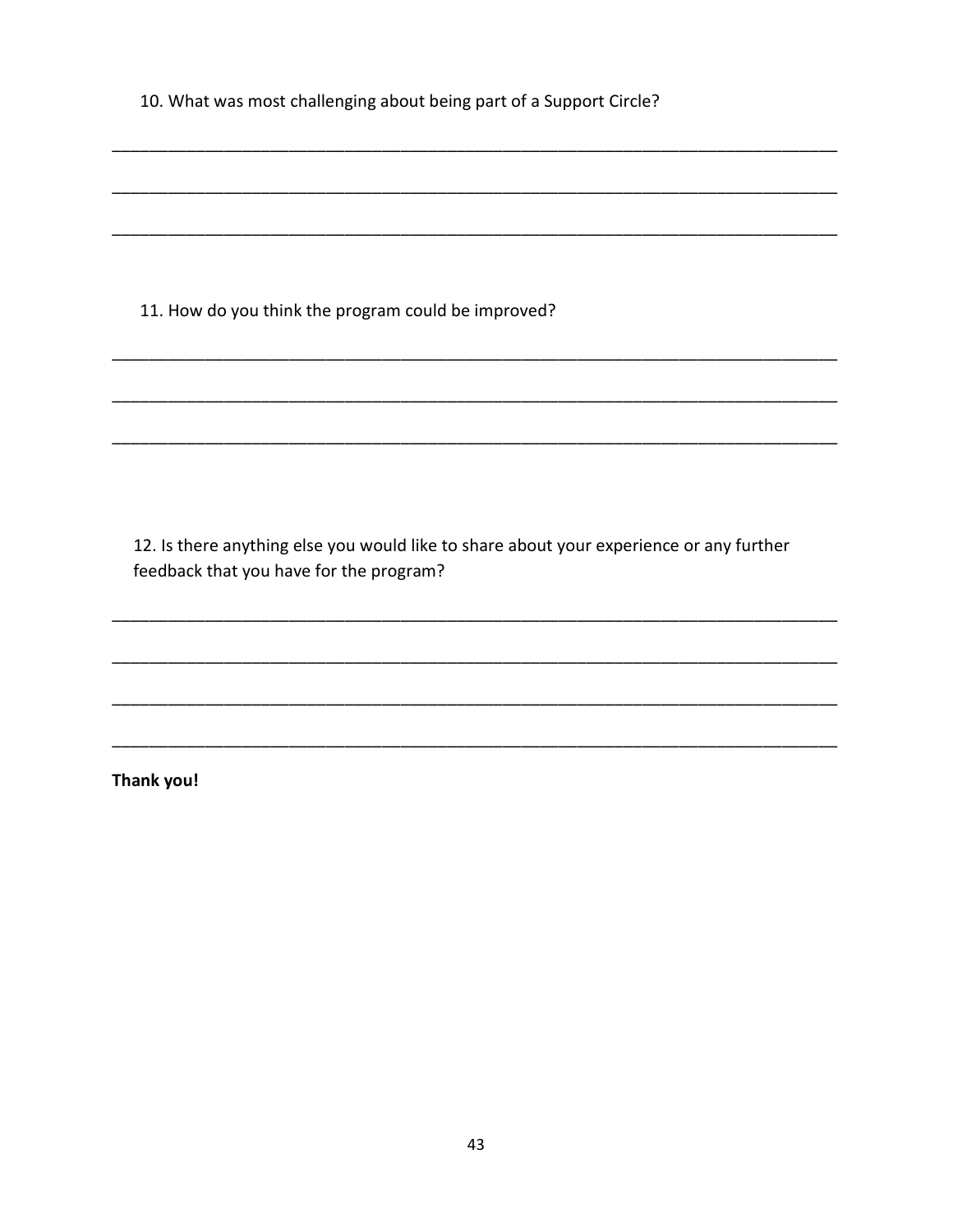| 10. What was most challenging about being part of a Support Circle? |
|---------------------------------------------------------------------|
|---------------------------------------------------------------------|

11. How do you think the program could be improved?

12. Is there anything else you would like to share about your experience or any further feedback that you have for the program?

Thank you!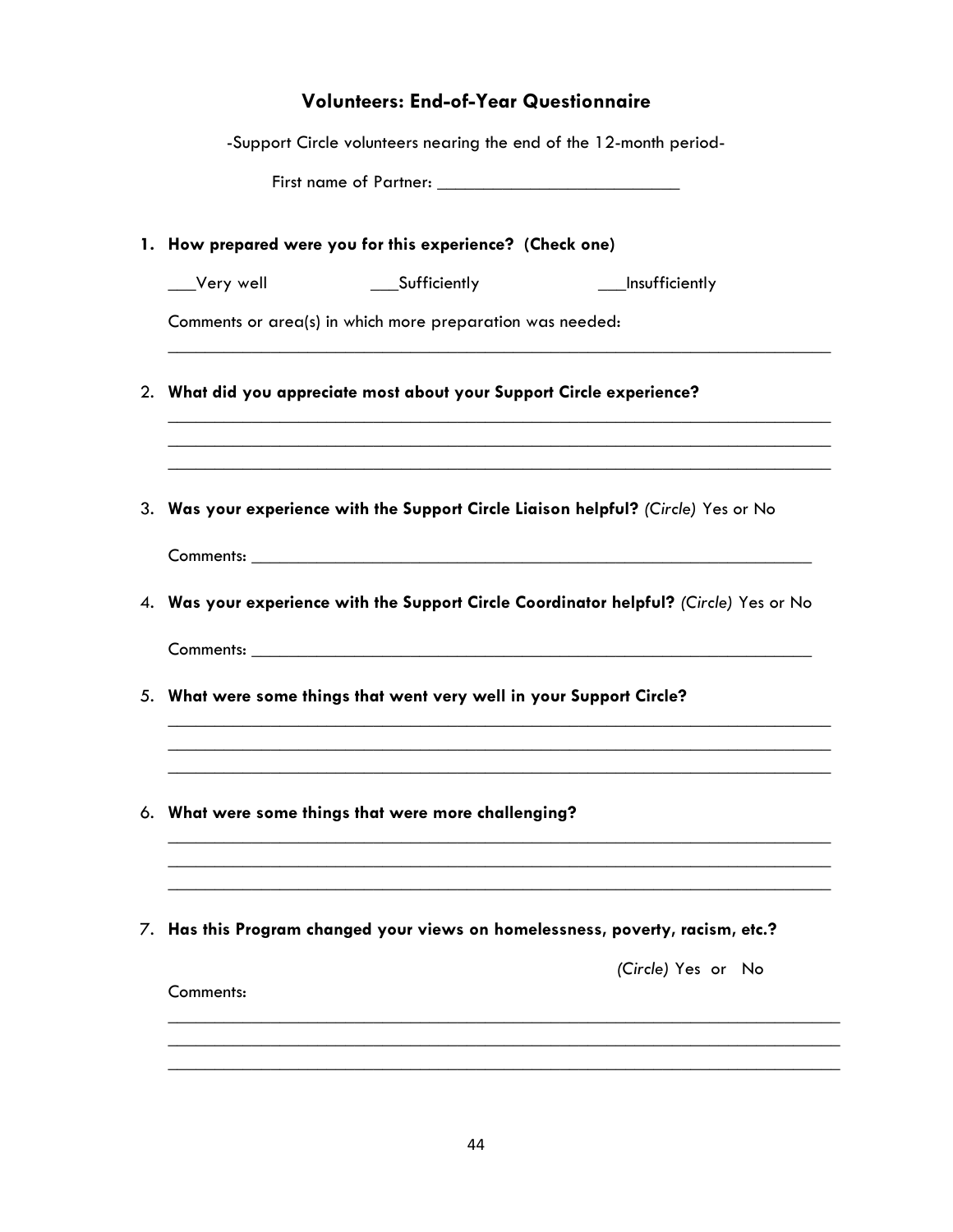## **Volunteers: End-of-Year Questionnaire**

|             | -Support Circle volunteers nearing the end of the 12-month period-    |                                                                                                                                                                        |
|-------------|-----------------------------------------------------------------------|------------------------------------------------------------------------------------------------------------------------------------------------------------------------|
|             |                                                                       |                                                                                                                                                                        |
|             | 1. How prepared were you for this experience? (Check one)             |                                                                                                                                                                        |
| __Very well | ____Sufficiently                                                      | ___Insufficiently                                                                                                                                                      |
|             | Comments or area(s) in which more preparation was needed:             |                                                                                                                                                                        |
|             | 2. What did you appreciate most about your Support Circle experience? | ,我们也不能在这里的人,我们也不能在这里的人,我们也不能在这里的人,我们也不能在这里的人,我们也不能在这里的人,我们也不能在这里的人,我们也不能在这里的人,我们也<br>,我们也不能在这里的时候,我们也不能在这里的时候,我们也不能会在这里的时候,我们也不能会在这里的时候,我们也不能会在这里的时候,我们也不能会在这里的时候,我们也不 |
|             |                                                                       | 3. Was your experience with the Support Circle Liaison helpful? (Circle) Yes or No                                                                                     |
|             |                                                                       |                                                                                                                                                                        |
|             |                                                                       | 4. Was your experience with the Support Circle Coordinator helpful? (Circle) Yes or No                                                                                 |
|             |                                                                       |                                                                                                                                                                        |
|             | 5. What were some things that went very well in your Support Circle?  |                                                                                                                                                                        |
|             |                                                                       |                                                                                                                                                                        |
|             | 6. What were some things that were more challenging?                  |                                                                                                                                                                        |
|             |                                                                       |                                                                                                                                                                        |
|             |                                                                       | Has this Program changed your views on homelessness, poverty, racism, etc.?                                                                                            |
| Comments:   |                                                                       | (Circle) Yes or No                                                                                                                                                     |
|             |                                                                       |                                                                                                                                                                        |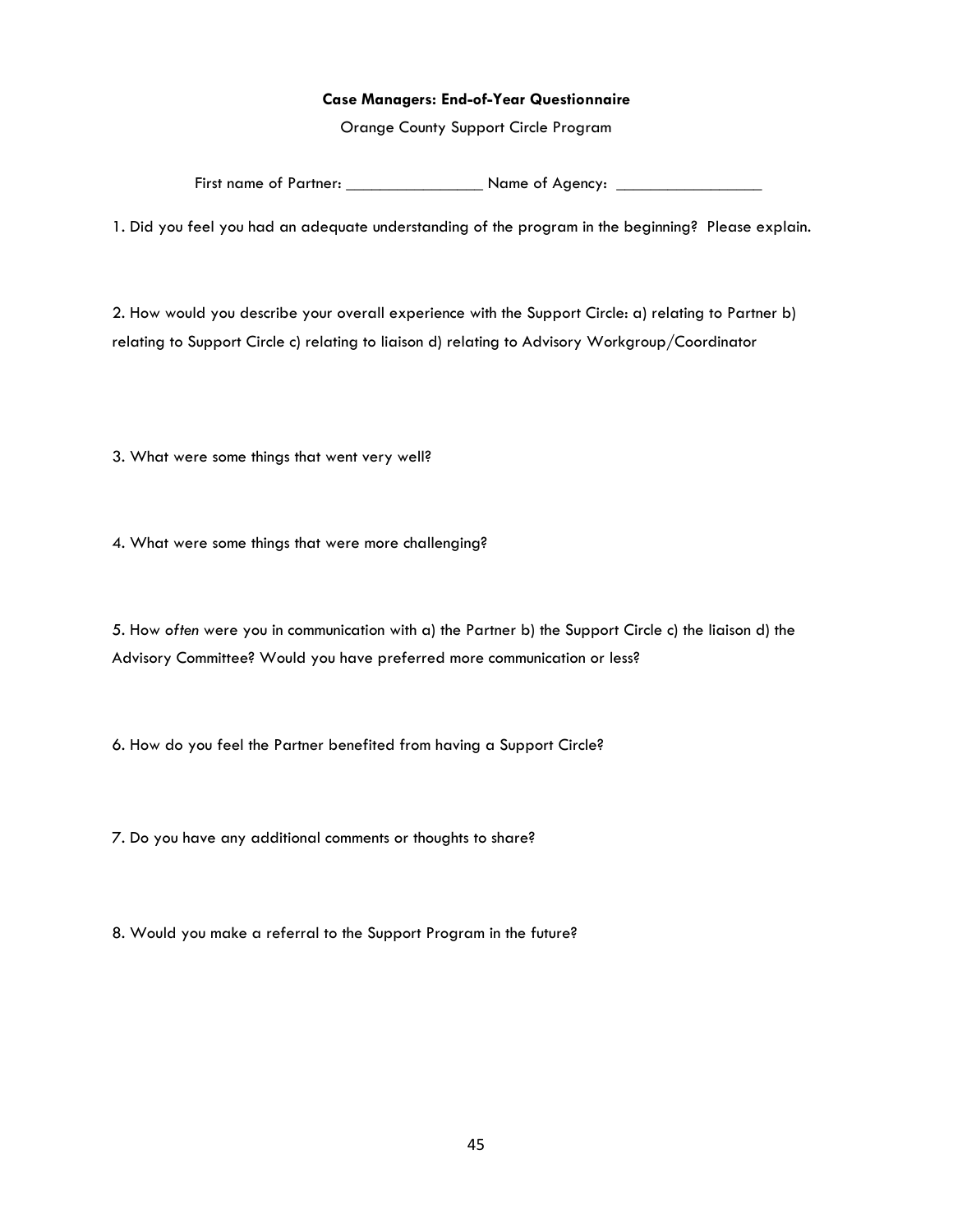#### **Case Managers: End-of-Year Questionnaire**

Orange County Support Circle Program

First name of Partner: \_\_\_\_\_\_\_\_\_\_\_\_\_\_\_\_\_\_\_\_\_\_\_\_ Name of Agency: \_

1. Did you feel you had an adequate understanding of the program in the beginning? Please explain.

2. How would you describe your overall experience with the Support Circle: a) relating to Partner b) relating to Support Circle c) relating to liaison d) relating to Advisory Workgroup/Coordinator

3. What were some things that went very well?

4. What were some things that were more challenging?

5. How *often* were you in communication with a) the Partner b) the Support Circle c) the liaison d) the Advisory Committee? Would you have preferred more communication or less?

6. How do you feel the Partner benefited from having a Support Circle?

7. Do you have any additional comments or thoughts to share?

8. Would you make a referral to the Support Program in the future?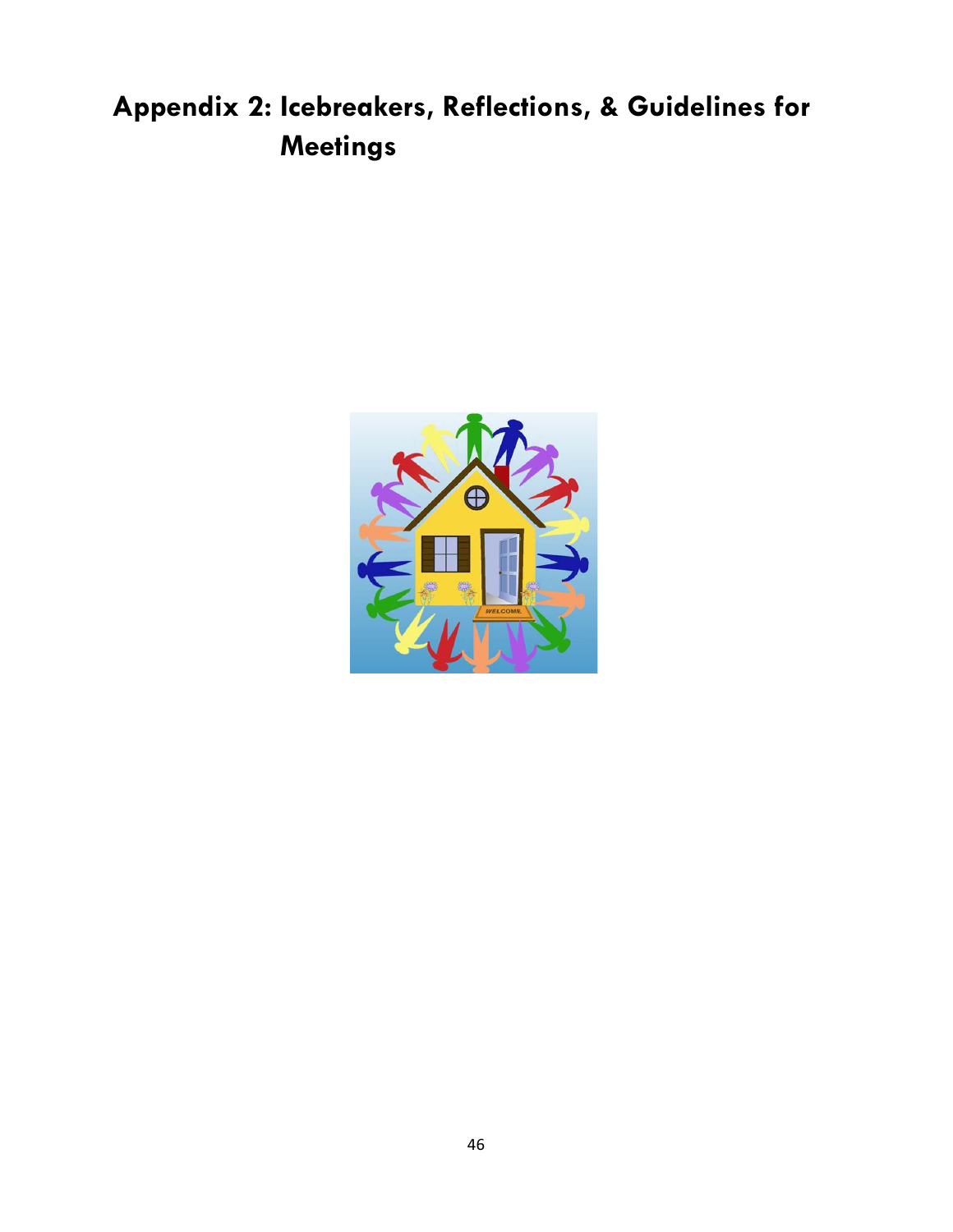# **Appendix 2: Icebreakers, Reflections, & Guidelines for Meetings**

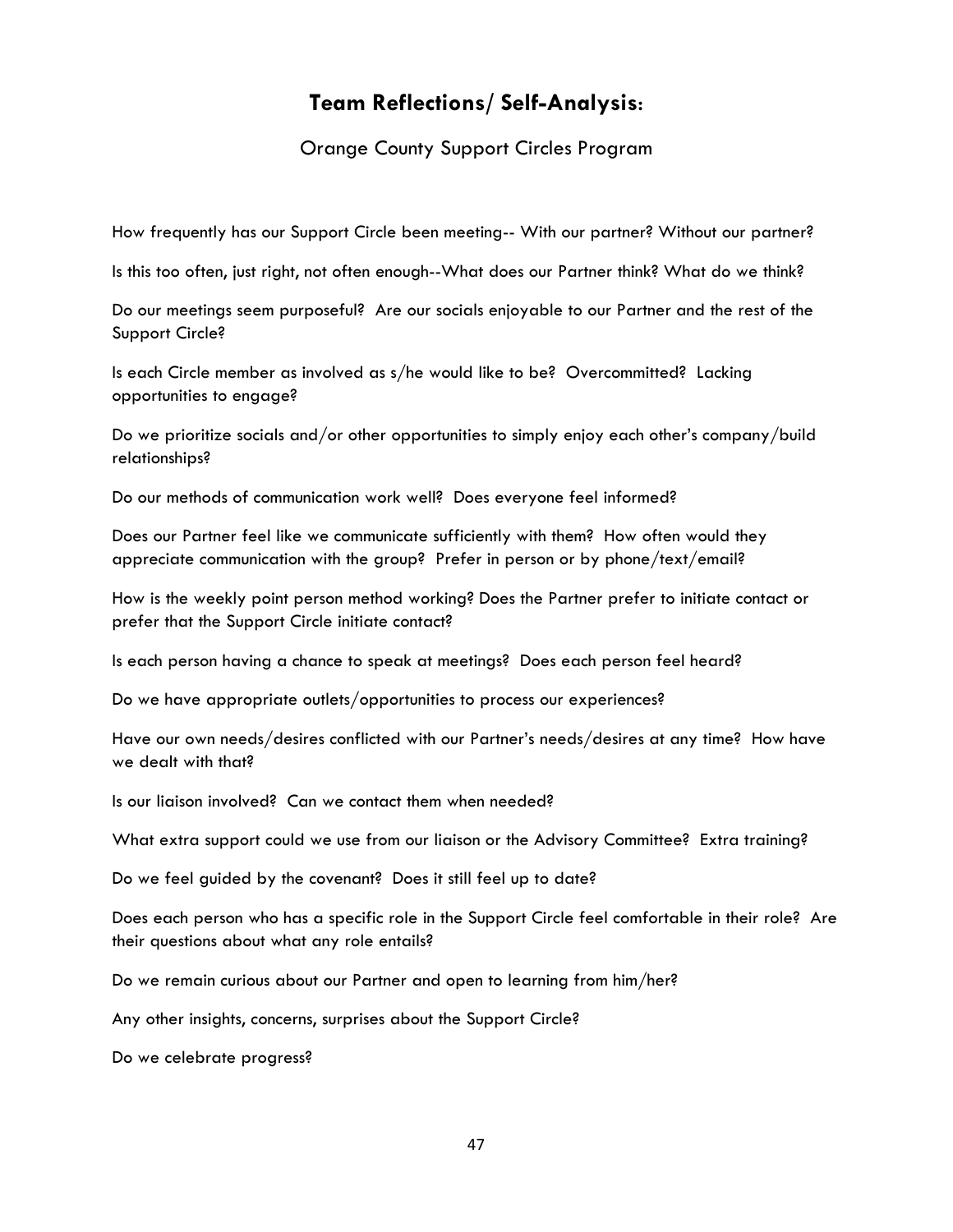## **Team Reflections/ Self-Analysis**:

Orange County Support Circles Program

How frequently has our Support Circle been meeting-- With our partner? Without our partner?

Is this too often, just right, not often enough--What does our Partner think? What do we think?

Do our meetings seem purposeful? Are our socials enjoyable to our Partner and the rest of the Support Circle?

Is each Circle member as involved as s/he would like to be? Overcommitted? Lacking opportunities to engage?

Do we prioritize socials and/or other opportunities to simply enjoy each other's company/build relationships?

Do our methods of communication work well? Does everyone feel informed?

Does our Partner feel like we communicate sufficiently with them? How often would they appreciate communication with the group? Prefer in person or by phone/text/email?

How is the weekly point person method working? Does the Partner prefer to initiate contact or prefer that the Support Circle initiate contact?

Is each person having a chance to speak at meetings? Does each person feel heard?

Do we have appropriate outlets/opportunities to process our experiences?

Have our own needs/desires conflicted with our Partner's needs/desires at any time? How have we dealt with that?

Is our liaison involved? Can we contact them when needed?

What extra support could we use from our liaison or the Advisory Committee? Extra training?

Do we feel guided by the covenant? Does it still feel up to date?

Does each person who has a specific role in the Support Circle feel comfortable in their role? Are their questions about what any role entails?

Do we remain curious about our Partner and open to learning from him/her?

Any other insights, concerns, surprises about the Support Circle?

Do we celebrate progress?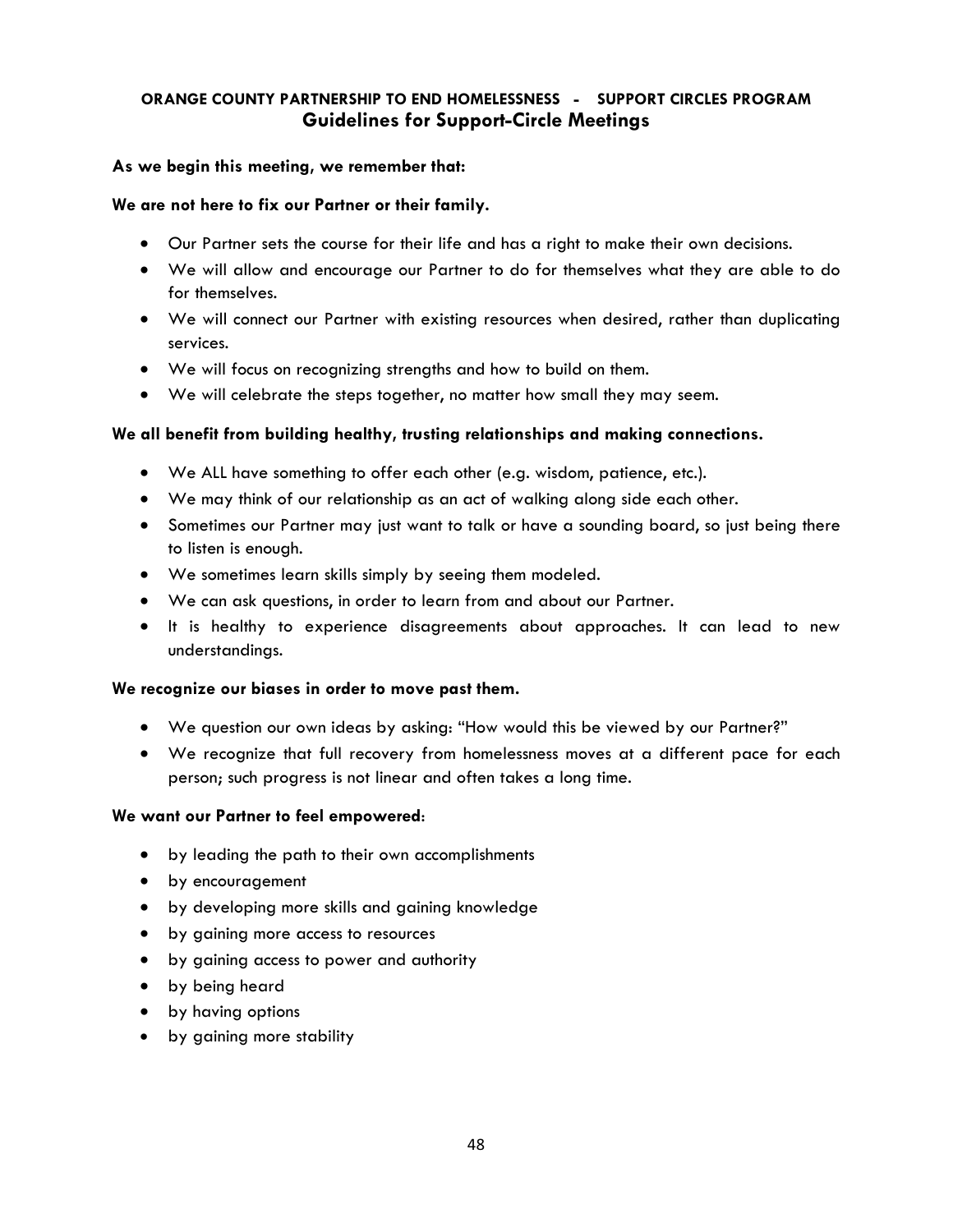## **ORANGE COUNTY PARTNERSHIP TO END HOMELESSNESS - SUPPORT CIRCLES PROGRAM Guidelines for Support-Circle Meetings**

## **As we begin this meeting, we remember that:**

## **We are not here to fix our Partner or their family.**

- Our Partner sets the course for their life and has a right to make their own decisions.
- We will allow and encourage our Partner to do for themselves what they are able to do for themselves.
- We will connect our Partner with existing resources when desired, rather than duplicating services.
- We will focus on recognizing strengths and how to build on them.
- We will celebrate the steps together, no matter how small they may seem.

## **We all benefit from building healthy, trusting relationships and making connections.**

- We ALL have something to offer each other (e.g. wisdom, patience, etc.).
- We may think of our relationship as an act of walking along side each other.
- Sometimes our Partner may just want to talk or have a sounding board, so just being there to listen is enough.
- We sometimes learn skills simply by seeing them modeled.
- We can ask questions, in order to learn from and about our Partner.
- It is healthy to experience disagreements about approaches. It can lead to new understandings.

## **We recognize our biases in order to move past them.**

- We question our own ideas by asking: "How would this be viewed by our Partner?"
- We recognize that full recovery from homelessness moves at a different pace for each person; such progress is not linear and often takes a long time.

## **We want our Partner to feel empowered**:

- by leading the path to their own accomplishments
- by encouragement
- by developing more skills and gaining knowledge
- by gaining more access to resources
- by gaining access to power and authority
- by being heard
- by having options
- by gaining more stability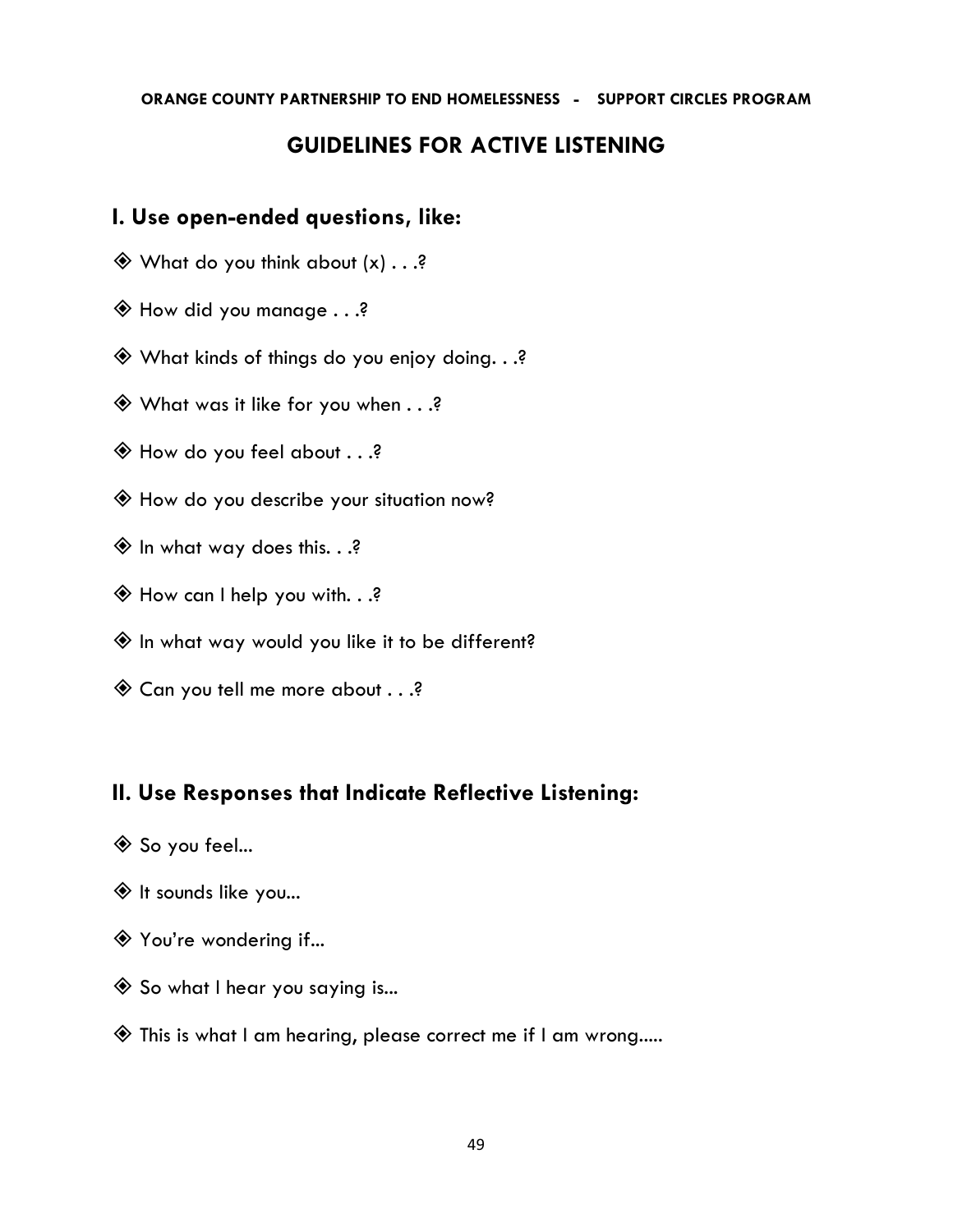## **ORANGE COUNTY PARTNERSHIP TO END HOMELESSNESS - SUPPORT CIRCLES PROGRAM**

## **GUIDELINES FOR ACTIVE LISTENING**

## **I. Use open-ended questions, like:**

- $\textcircled{4}$  What do you think about  $(x) \ldots$ ?
- How did you manage . . .?
- What kinds of things do you enjoy doing. . .?
- $\textcircled{}$  What was it like for you when  $\ldots$ ?
- How do you feel about . . .?
- How do you describe your situation now?
- $\textcircled{*}$  In what way does this. . .?
- How can I help you with. . .?
- $\hat{\Phi}$  In what way would you like it to be different?
- Can you tell me more about . . .?

## **II. Use Responses that Indicate Reflective Listening:**

- ◆ So you feel...
- $\textcircled{1}$  It sounds like you...
- ◆ You're wondering if...
- $\hat{\diamond}$  So what I hear you saying is...
- This is what I am hearing, please correct me if I am wrong.....